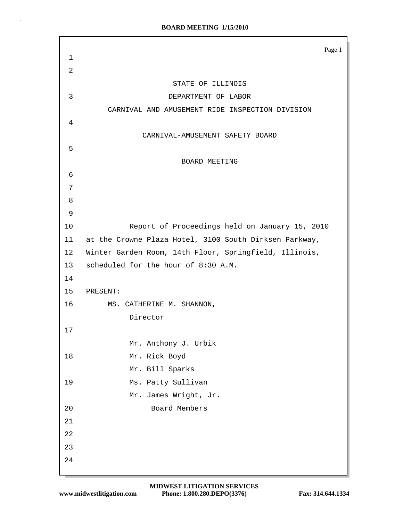|             | Page 1                                                 |
|-------------|--------------------------------------------------------|
| $\mathbf 1$ |                                                        |
| 2           |                                                        |
|             | STATE OF ILLINOIS                                      |
| 3           | DEPARTMENT OF LABOR                                    |
|             | CARNIVAL AND AMUSEMENT RIDE INSPECTION DIVISION        |
| 4           |                                                        |
|             | CARNIVAL-AMUSEMENT SAFETY BOARD                        |
| 5           |                                                        |
|             | BOARD MEETING                                          |
| 6           |                                                        |
| 7           |                                                        |
| 8           |                                                        |
| 9           |                                                        |
| 10          | Report of Proceedings held on January 15, 2010         |
| 11          | at the Crowne Plaza Hotel, 3100 South Dirksen Parkway, |
| 12          | Winter Garden Room, 14th Floor, Springfield, Illinois, |
| 13          | scheduled for the hour of 8:30 A.M.                    |
| 14          |                                                        |
| 15          | PRESENT:                                               |
| 16          | MS. CATHERINE M. SHANNON,                              |
|             | Director                                               |
| 17          |                                                        |
|             | Mr. Anthony J. Urbik                                   |
| 18          | Mr. Rick Boyd                                          |
|             | Mr. Bill Sparks                                        |
| 19          | Ms. Patty Sullivan                                     |
| 20          | Mr. James Wright, Jr.<br>Board Members                 |
| 21          |                                                        |
| 22          |                                                        |
| 23          |                                                        |
| 24          |                                                        |
|             |                                                        |

 $\bar{z}$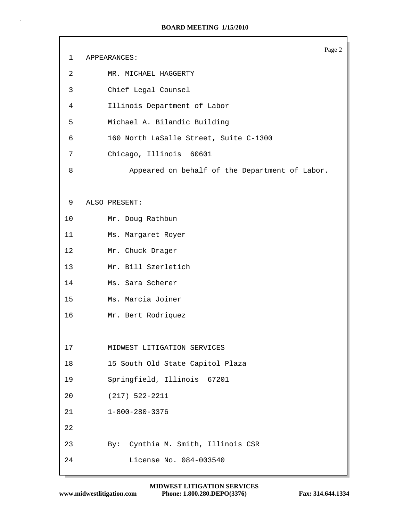|    | Page 2                                         |
|----|------------------------------------------------|
| 1  | APPEARANCES:                                   |
| 2  | MR. MICHAEL HAGGERTY                           |
| 3  | Chief Legal Counsel                            |
| 4  | Illinois Department of Labor                   |
| 5  | Michael A. Bilandic Building                   |
| 6  | 160 North LaSalle Street, Suite C-1300         |
| 7  | Chicago, Illinois 60601                        |
| 8  | Appeared on behalf of the Department of Labor. |
|    |                                                |
| 9  | ALSO PRESENT:                                  |
| 10 | Mr. Doug Rathbun                               |
| 11 | Ms. Margaret Royer                             |
| 12 | Mr. Chuck Drager                               |
| 13 | Mr. Bill Szerletich                            |
| 14 | Ms. Sara Scherer                               |
| 15 | Ms. Marcia Joiner                              |
| 16 | Mr. Bert Rodriquez                             |
|    |                                                |
| 17 | MIDWEST LITIGATION SERVICES                    |
| 18 | 15 South Old State Capitol Plaza               |
| 19 | Springfield, Illinois 67201                    |
| 20 | $(217)$ 522-2211                               |
| 21 | $1 - 800 - 280 - 3376$                         |
| 22 |                                                |
| 23 | By: Cynthia M. Smith, Illinois CSR             |
| 24 | License No. 084-003540                         |
|    |                                                |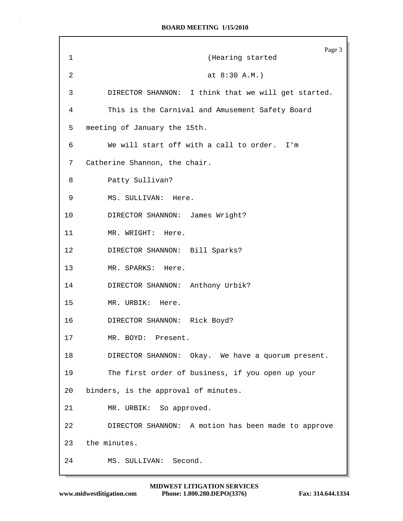|                | Page 3                                              |
|----------------|-----------------------------------------------------|
| $\mathbf 1$    | (Hearing started                                    |
| $\overline{2}$ | at $8:30 A.M.$ )                                    |
| 3              | DIRECTOR SHANNON: I think that we will get started. |
| 4              | This is the Carnival and Amusement Safety Board     |
| 5              | meeting of January the 15th.                        |
| 6              | We will start off with a call to order. I'm         |
| 7              | Catherine Shannon, the chair.                       |
| 8              | Patty Sullivan?                                     |
| 9              | MS. SULLIVAN: Here.                                 |
| $10 \,$        | DIRECTOR SHANNON: James Wright?                     |
| 11             | MR. WRIGHT: Here.                                   |
| $12 \,$        | DIRECTOR SHANNON: Bill Sparks?                      |
| 13             | MR. SPARKS: Here.                                   |
| 14             | DIRECTOR SHANNON: Anthony Urbik?                    |
| 15             | MR. URBIK: Here.                                    |
| 16             | DIRECTOR SHANNON: Rick Boyd?                        |
| 17             | MR. BOYD: Present.                                  |
| 18             | DIRECTOR SHANNON: Okay. We have a quorum present.   |
| 19             | The first order of business, if you open up your    |
| 20             | binders, is the approval of minutes.                |
| 21             | MR. URBIK: So approved.                             |
| 22             | DIRECTOR SHANNON: A motion has been made to approve |
| 23             | the minutes.                                        |
| 24             | MS. SULLIVAN: Second.                               |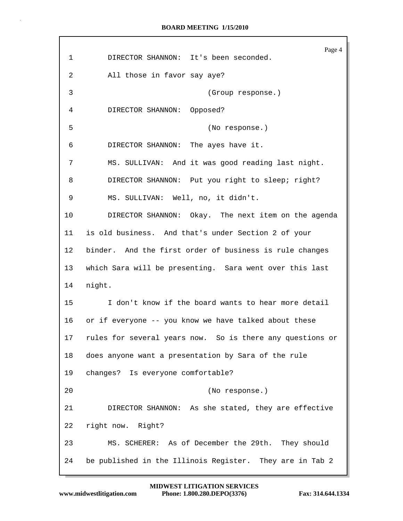Page 4 1 DIRECTOR SHANNON: It's been seconded. 2 All those in favor say aye? 3 (Group response.) 4 DIRECTOR SHANNON: Opposed? 5 (No response.) 6 DIRECTOR SHANNON: The ayes have it. 7 MS. SULLIVAN: And it was good reading last night. 8 DIRECTOR SHANNON: Put you right to sleep; right? 9 MS. SULLIVAN: Well, no, it didn't. 10 DIRECTOR SHANNON: Okay. The next item on the agenda 11 is old business. And that's under Section 2 of your 12 binder. And the first order of business is rule changes 13 which Sara will be presenting. Sara went over this last 14 night. 15 I don't know if the board wants to hear more detail 16 or if everyone -- you know we have talked about these 17 rules for several years now. So is there any questions or 18 does anyone want a presentation by Sara of the rule 19 changes? Is everyone comfortable? 20 (No response.) 21 DIRECTOR SHANNON: As she stated, they are effective 22 right now. Right? 23 MS. SCHERER: As of December the 29th. They should 24 be published in the Illinois Register. They are in Tab 2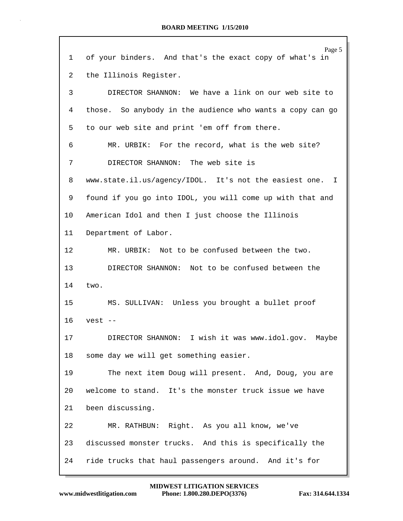| 1  | Page 5<br>of your binders. And that's the exact copy of what's in |
|----|-------------------------------------------------------------------|
| 2  |                                                                   |
|    | the Illinois Register.                                            |
| 3  | DIRECTOR SHANNON: We have a link on our web site to               |
| 4  | those. So anybody in the audience who wants a copy can go         |
| 5  | to our web site and print 'em off from there.                     |
| 6  | MR. URBIK: For the record, what is the web site?                  |
| 7  | DIRECTOR SHANNON: The web site is                                 |
| 8  | www.state.il.us/agency/IDOL. It's not the easiest one. I          |
| 9  | found if you go into IDOL, you will come up with that and         |
| 10 | American Idol and then I just choose the Illinois                 |
| 11 | Department of Labor.                                              |
| 12 | MR. URBIK: Not to be confused between the two.                    |
| 13 | DIRECTOR SHANNON: Not to be confused between the                  |
| 14 | two.                                                              |
| 15 | MS. SULLIVAN: Unless you brought a bullet proof                   |
| 16 | $vest$ --                                                         |
| 17 | DIRECTOR SHANNON: I wish it was www.idol.gov. Maybe               |
| 18 | some day we will get something easier.                            |
| 19 | The next item Doug will present. And, Doug, you are               |
| 20 | welcome to stand. It's the monster truck issue we have            |
| 21 | been discussing.                                                  |
| 22 | MR. RATHBUN: Right. As you all know, we've                        |
| 23 | discussed monster trucks. And this is specifically the            |
| 24 | ride trucks that haul passengers around. And it's for             |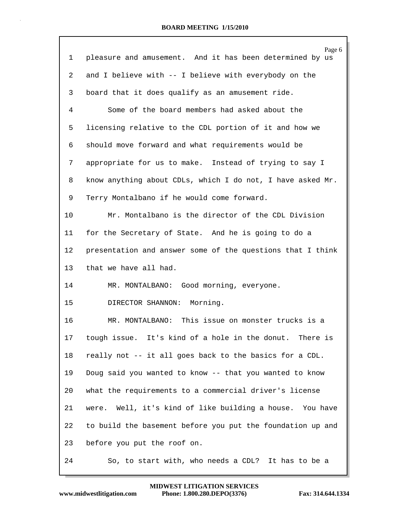|                | Page 6                                                     |
|----------------|------------------------------------------------------------|
| 1              | pleasure and amusement. And it has been determined by us   |
| $\overline{2}$ | and I believe with -- I believe with everybody on the      |
| 3              | board that it does qualify as an amusement ride.           |
| 4              | Some of the board members had asked about the              |
| 5              | licensing relative to the CDL portion of it and how we     |
| 6              | should move forward and what requirements would be         |
| 7              | appropriate for us to make. Instead of trying to say I     |
| 8              | know anything about CDLs, which I do not, I have asked Mr. |
| 9              | Terry Montalbano if he would come forward.                 |
| 10             | Mr. Montalbano is the director of the CDL Division         |
| 11             | for the Secretary of State. And he is going to do a        |
| 12             | presentation and answer some of the questions that I think |
| 13             | that we have all had.                                      |
| 14             | MR. MONTALBANO: Good morning, everyone.                    |
| 15             | DIRECTOR SHANNON: Morning.                                 |
| 16             | MR. MONTALBANO: This issue on monster trucks is a          |
|                | 17 tough issue. It's kind of a hole in the donut. There is |
| 18             | really not -- it all goes back to the basics for a CDL.    |
| 19             | Doug said you wanted to know -- that you wanted to know    |
| 20             | what the requirements to a commercial driver's license     |
| 21             | were. Well, it's kind of like building a house. You have   |
| 22             | to build the basement before you put the foundation up and |
| 23             | before you put the roof on.                                |
| 24             | So, to start with, who needs a CDL? It has to be a         |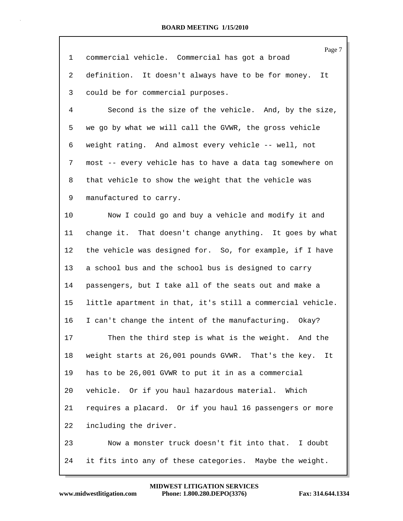|    | Page 7                                                     |
|----|------------------------------------------------------------|
| 1  | commercial vehicle. Commercial has got a broad             |
| 2  | definition. It doesn't always have to be for money.<br>It  |
| 3  | could be for commercial purposes.                          |
| 4  | Second is the size of the vehicle. And, by the size,       |
| 5  | we go by what we will call the GVWR, the gross vehicle     |
| 6  | weight rating. And almost every vehicle -- well, not       |
| 7  | most -- every vehicle has to have a data tag somewhere on  |
| 8  | that vehicle to show the weight that the vehicle was       |
| 9  | manufactured to carry.                                     |
| 10 | Now I could go and buy a vehicle and modify it and         |
| 11 | change it. That doesn't change anything. It goes by what   |
| 12 | the vehicle was designed for. So, for example, if I have   |
| 13 | a school bus and the school bus is designed to carry       |
| 14 | passengers, but I take all of the seats out and make a     |
| 15 | little apartment in that, it's still a commercial vehicle. |
| 16 | I can't change the intent of the manufacturing. Okay?      |
| 17 | Then the third step is what is the weight. And the         |
| 18 | weight starts at 26,001 pounds GVWR. That's the key.<br>It |
| 19 | has to be 26,001 GVWR to put it in as a commercial         |
| 20 | vehicle. Or if you haul hazardous material. Which          |
| 21 | requires a placard. Or if you haul 16 passengers or more   |
| 22 | including the driver.                                      |
| 23 | Now a monster truck doesn't fit into that. I doubt         |
| 24 | it fits into any of these categories. Maybe the weight.    |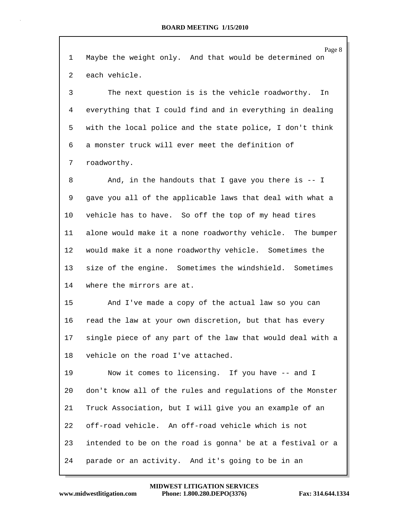| 1  | Page 8<br>Maybe the weight only. And that would be determined on |
|----|------------------------------------------------------------------|
| 2  | each vehicle.                                                    |
| 3  | The next question is is the vehicle roadworthy.<br>In            |
| 4  | everything that I could find and in everything in dealing        |
| 5  | with the local police and the state police, I don't think        |
| 6  | a monster truck will ever meet the definition of                 |
| 7  | roadworthy.                                                      |
| 8  | And, in the handouts that I gave you there is $-1$               |
| 9  | gave you all of the applicable laws that deal with what a        |
| 10 | vehicle has to have. So off the top of my head tires             |
| 11 | alone would make it a none roadworthy vehicle. The bumper        |
| 12 | would make it a none roadworthy vehicle. Sometimes the           |
| 13 | size of the engine. Sometimes the windshield. Sometimes          |
| 14 | where the mirrors are at.                                        |
|    |                                                                  |
| 15 | And I've made a copy of the actual law so you can                |
| 16 | read the law at your own discretion, but that has every          |
| 17 | single piece of any part of the law that would deal with a       |
| 18 | vehicle on the road I've attached.                               |
| 19 | Now it comes to licensing. If you have -- and I                  |
| 20 | don't know all of the rules and regulations of the Monster       |
| 21 | Truck Association, but I will give you an example of an          |
| 22 | off-road vehicle. An off-road vehicle which is not               |
| 23 | intended to be on the road is gonna' be at a festival or a       |
| 24 | parade or an activity. And it's going to be in an                |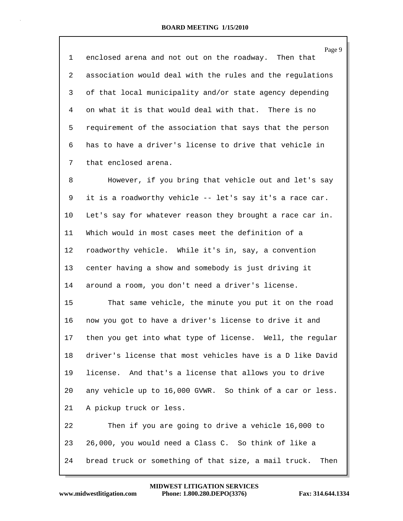| 1  | Page 9<br>enclosed arena and not out on the roadway. Then that |
|----|----------------------------------------------------------------|
| 2  | association would deal with the rules and the regulations      |
| 3  | of that local municipality and/or state agency depending       |
| 4  | on what it is that would deal with that. There is no           |
| 5  | requirement of the association that says that the person       |
| 6  | has to have a driver's license to drive that vehicle in        |
| 7  | that enclosed arena.                                           |
| 8  | However, if you bring that vehicle out and let's say           |
|    |                                                                |
| 9  | it is a roadworthy vehicle -- let's say it's a race car.       |
| 10 | Let's say for whatever reason they brought a race car in.      |
| 11 | Which would in most cases meet the definition of a             |
| 12 | roadworthy vehicle. While it's in, say, a convention           |
| 13 | center having a show and somebody is just driving it           |
| 14 | around a room, you don't need a driver's license.              |
| 15 | That same vehicle, the minute you put it on the road           |
| 16 | now you got to have a driver's license to drive it and         |
| 17 | then you get into what type of license. Well, the regular      |
| 18 | driver's license that most vehicles have is a D like David     |
| 19 | license. And that's a license that allows you to drive         |
| 20 | any vehicle up to 16,000 GVWR. So think of a car or less.      |
| 21 | A pickup truck or less.                                        |
| 22 | Then if you are going to drive a vehicle 16,000 to             |
| 23 | 26,000, you would need a Class C. So think of like a           |
| 24 | bread truck or something of that size, a mail truck.<br>Then   |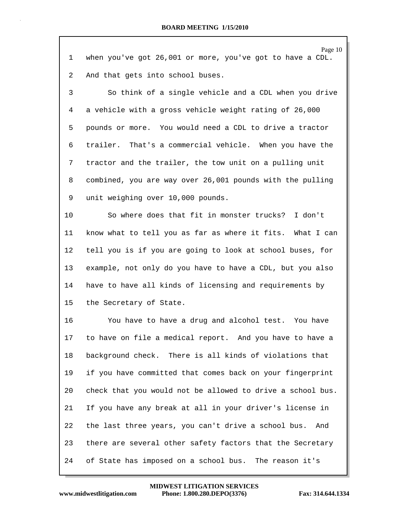| 1  | Page 10<br>when you've got 26,001 or more, you've got to have a CDL. |
|----|----------------------------------------------------------------------|
| 2  | And that gets into school buses.                                     |
| 3  | So think of a single vehicle and a CDL when you drive                |
| 4  | a vehicle with a gross vehicle weight rating of 26,000               |
| 5  | pounds or more. You would need a CDL to drive a tractor              |
| 6  | That's a commercial vehicle. When you have the<br>trailer.           |
| 7  | tractor and the trailer, the tow unit on a pulling unit              |
| 8  | combined, you are way over 26,001 pounds with the pulling            |
| 9  | unit weighing over 10,000 pounds.                                    |
| 10 | So where does that fit in monster trucks? I don't                    |
| 11 | know what to tell you as far as where it fits. What I can            |
| 12 | tell you is if you are going to look at school buses, for            |
| 13 | example, not only do you have to have a CDL, but you also            |
| 14 | have to have all kinds of licensing and requirements by              |
| 15 | the Secretary of State.                                              |
| 16 | You have to have a drug and alcohol test. You have                   |
| 17 | to have on file a medical report. And you have to have a             |
| 18 | background check. There is all kinds of violations that              |
| 19 | if you have committed that comes back on your fingerprint            |
| 20 | check that you would not be allowed to drive a school bus.           |
| 21 | If you have any break at all in your driver's license in             |
| 22 | the last three years, you can't drive a school bus.<br>And           |
| 23 | there are several other safety factors that the Secretary            |
| 24 | of State has imposed on a school bus. The reason it's                |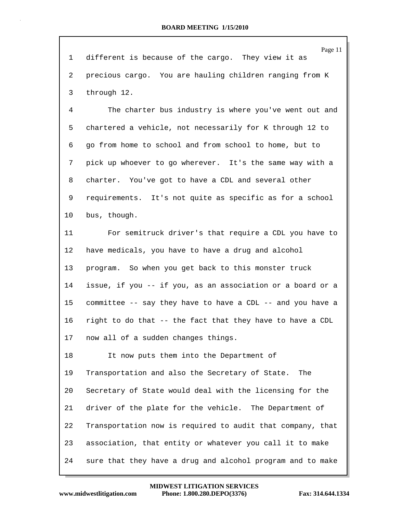Page 11 1 different is because of the cargo. They view it as 2 precious cargo. You are hauling children ranging from K 3 through 12. 4 The charter bus industry is where you've went out and 5 chartered a vehicle, not necessarily for K through 12 to 6 go from home to school and from school to home, but to 7 pick up whoever to go wherever. It's the same way with a 8 charter. You've got to have a CDL and several other 9 requirements. It's not quite as specific as for a school 10 bus, though. 11 For semitruck driver's that require a CDL you have to 12 have medicals, you have to have a drug and alcohol 13 program. So when you get back to this monster truck 14 issue, if you -- if you, as an association or a board or a 15 committee -- say they have to have a CDL -- and you have a 16 right to do that -- the fact that they have to have a CDL 17 now all of a sudden changes things. 18 It now puts them into the Department of 19 Transportation and also the Secretary of State. The 20 Secretary of State would deal with the licensing for the 21 driver of the plate for the vehicle. The Department of 22 Transportation now is required to audit that company, that 23 association, that entity or whatever you call it to make 24 sure that they have a drug and alcohol program and to make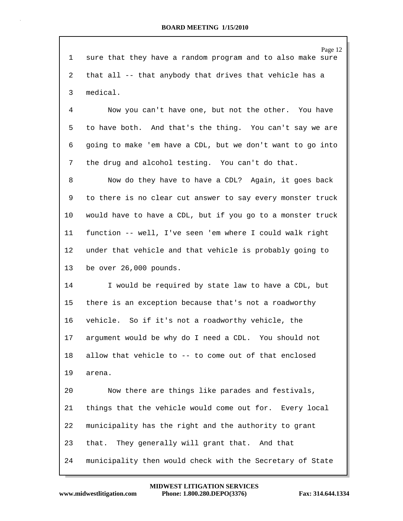Page 12 1 sure that they have a random program and to also make sure 2 that all -- that anybody that drives that vehicle has a 3 medical. 4 Now you can't have one, but not the other. You have 5 to have both. And that's the thing. You can't say we are 6 going to make 'em have a CDL, but we don't want to go into 7 the drug and alcohol testing. You can't do that. 8 Now do they have to have a CDL? Again, it goes back 9 to there is no clear cut answer to say every monster truck 10 would have to have a CDL, but if you go to a monster truck 11 function -- well, I've seen 'em where I could walk right 12 under that vehicle and that vehicle is probably going to 13 be over 26,000 pounds. 14 I would be required by state law to have a CDL, but 15 there is an exception because that's not a roadworthy 16 vehicle. So if it's not a roadworthy vehicle, the 17 argument would be why do I need a CDL. You should not 18 allow that vehicle to -- to come out of that enclosed 19 arena. 20 Now there are things like parades and festivals, 21 things that the vehicle would come out for. Every local 22 municipality has the right and the authority to grant 23 that. They generally will grant that. And that 24 municipality then would check with the Secretary of State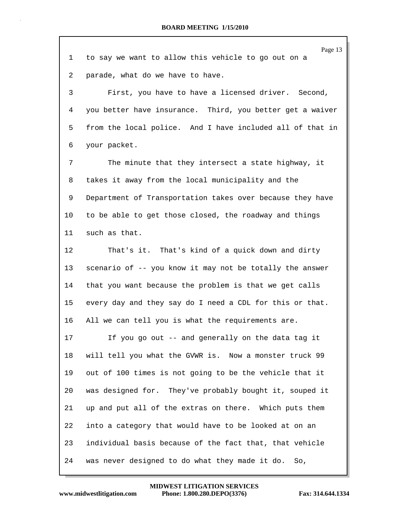|    | Page 13                                                   |
|----|-----------------------------------------------------------|
| 1  | to say we want to allow this vehicle to go out on a       |
| 2  | parade, what do we have to have.                          |
| 3  | First, you have to have a licensed driver. Second,        |
| 4  | you better have insurance. Third, you better get a waiver |
| 5  | from the local police. And I have included all of that in |
| 6  | your packet.                                              |
| 7  | The minute that they intersect a state highway, it        |
| 8  | takes it away from the local municipality and the         |
| 9  | Department of Transportation takes over because they have |
| 10 | to be able to get those closed, the roadway and things    |
| 11 | such as that.                                             |
| 12 | That's it. That's kind of a quick down and dirty          |
| 13 | scenario of -- you know it may not be totally the answer  |
| 14 | that you want because the problem is that we get calls    |
| 15 | every day and they say do I need a CDL for this or that.  |
| 16 | All we can tell you is what the requirements are.         |
| 17 | If you go out -- and generally on the data tag it         |
| 18 | will tell you what the GVWR is. Now a monster truck 99    |
| 19 | out of 100 times is not going to be the vehicle that it   |
| 20 | was designed for. They've probably bought it, souped it   |
| 21 | up and put all of the extras on there. Which puts them    |
| 22 | into a category that would have to be looked at on an     |
| 23 | individual basis because of the fact that, that vehicle   |
| 24 | was never designed to do what they made it do.<br>So,     |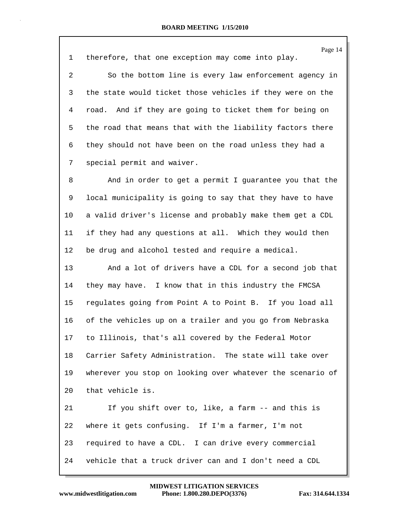Page 14 1 therefore, that one exception may come into play. 2 So the bottom line is every law enforcement agency in 3 the state would ticket those vehicles if they were on the 4 road. And if they are going to ticket them for being on 5 the road that means that with the liability factors there 6 they should not have been on the road unless they had a 7 special permit and waiver. 8 And in order to get a permit I guarantee you that the 9 local municipality is going to say that they have to have 10 a valid driver's license and probably make them get a CDL 11 if they had any questions at all. Which they would then 12 be drug and alcohol tested and require a medical. 13 And a lot of drivers have a CDL for a second job that 14 they may have. I know that in this industry the FMCSA

15 regulates going from Point A to Point B. If you load all 16 of the vehicles up on a trailer and you go from Nebraska 17 to Illinois, that's all covered by the Federal Motor 18 Carrier Safety Administration. The state will take over 19 wherever you stop on looking over whatever the scenario of 20 that vehicle is.

21 If you shift over to, like, a farm -- and this is 22 where it gets confusing. If I'm a farmer, I'm not 23 required to have a CDL. I can drive every commercial 24 vehicle that a truck driver can and I don't need a CDL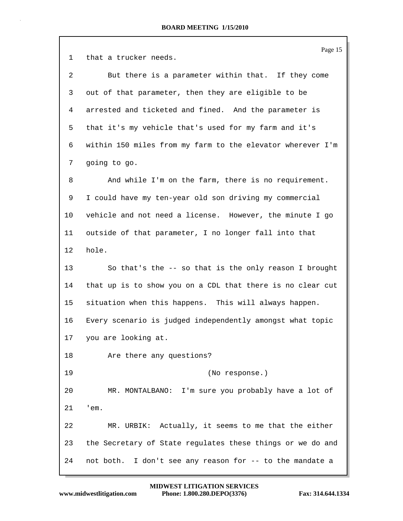|    | Page 15                                                    |
|----|------------------------------------------------------------|
| 1  | that a trucker needs.                                      |
| 2  | But there is a parameter within that. If they come         |
| 3  | out of that parameter, then they are eligible to be        |
| 4  | arrested and ticketed and fined. And the parameter is      |
| 5  | that it's my vehicle that's used for my farm and it's      |
| 6  | within 150 miles from my farm to the elevator wherever I'm |
| 7  | going to go.                                               |
| 8  | And while I'm on the farm, there is no requirement.        |
| 9  | I could have my ten-year old son driving my commercial     |
| 10 | vehicle and not need a license. However, the minute I go   |
| 11 | outside of that parameter, I no longer fall into that      |
| 12 | hole.                                                      |
| 13 | So that's the $-$ - so that is the only reason I brought   |
| 14 | that up is to show you on a CDL that there is no clear cut |
| 15 | situation when this happens. This will always happen.      |
| 16 | Every scenario is judged independently amongst what topic  |
| 17 | you are looking at.                                        |
| 18 | Are there any questions?                                   |
| 19 | (No response.)                                             |
| 20 | MR. MONTALBANO: I'm sure you probably have a lot of        |
| 21 | 'em.                                                       |
| 22 | MR. URBIK: Actually, it seems to me that the either        |
| 23 | the Secretary of State regulates these things or we do and |
| 24 | not both. I don't see any reason for -- to the mandate a   |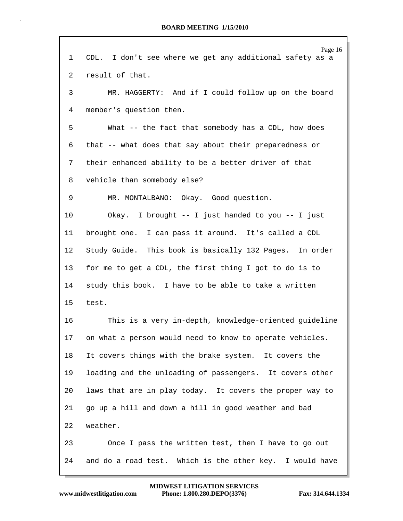| 1  | Page 16<br>CDL. I don't see where we get any additional safety as a |
|----|---------------------------------------------------------------------|
| 2  | result of that.                                                     |
| 3  | MR. HAGGERTY: And if I could follow up on the board                 |
| 4  | member's question then.                                             |
| 5  | What -- the fact that somebody has a CDL, how does                  |
| 6  | that -- what does that say about their preparedness or              |
| 7  | their enhanced ability to be a better driver of that                |
| 8  | vehicle than somebody else?                                         |
| 9  | MR. MONTALBANO: Okay. Good question.                                |
| 10 | Okay. I brought -- I just handed to you -- I just                   |
| 11 | brought one. I can pass it around. It's called a CDL                |
| 12 | Study Guide. This book is basically 132 Pages. In order             |
| 13 | for me to get a CDL, the first thing I got to do is to              |
| 14 | study this book. I have to be able to take a written                |
| 15 | test.                                                               |
| 16 | This is a very in-depth, knowledge-oriented guideline               |
| 17 | on what a person would need to know to operate vehicles.            |
| 18 | It covers things with the brake system. It covers the               |
| 19 | loading and the unloading of passengers. It covers other            |
| 20 | laws that are in play today. It covers the proper way to            |
| 21 | go up a hill and down a hill in good weather and bad                |
| 22 | weather.                                                            |
| 23 | Once I pass the written test, then I have to go out                 |
| 24 | and do a road test. Which is the other key. I would have            |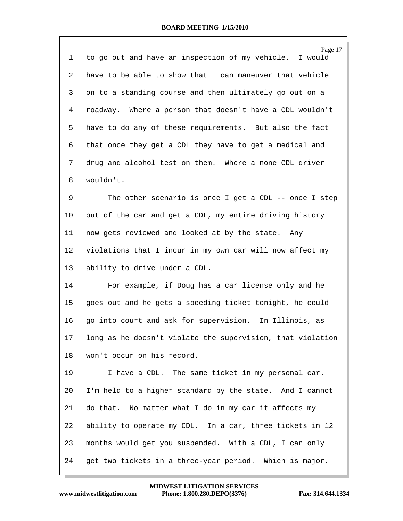| 1              | Page 17<br>to go out and have an inspection of my vehicle. I would |
|----------------|--------------------------------------------------------------------|
| $\overline{2}$ | have to be able to show that I can maneuver that vehicle           |
| 3              | on to a standing course and then ultimately go out on a            |
| 4              | roadway. Where a person that doesn't have a CDL wouldn't           |
| 5              | have to do any of these requirements. But also the fact            |
| 6              | that once they get a CDL they have to get a medical and            |
| 7              | drug and alcohol test on them. Where a none CDL driver             |
| 8              | wouldn't.                                                          |
| 9              | The other scenario is once I get a CDL -- once I step              |
| 10             | out of the car and get a CDL, my entire driving history            |
| 11             | now gets reviewed and looked at by the state. Any                  |
| 12             | violations that I incur in my own car will now affect my           |
| 13             | ability to drive under a CDL.                                      |
| 14             | For example, if Doug has a car license only and he                 |
| 15             | goes out and he gets a speeding ticket tonight, he could           |
| 16             | go into court and ask for supervision. In Illinois, as             |
| 17             | long as he doesn't violate the supervision, that violation         |
| 18             | won't occur on his record.                                         |
| 19             | I have a CDL. The same ticket in my personal car.                  |
| 20             | I'm held to a higher standard by the state. And I cannot           |
| 21             | do that. No matter what I do in my car it affects my               |
| 22             | ability to operate my CDL. In a car, three tickets in 12           |
| 23             | months would get you suspended. With a CDL, I can only             |
| 24             | get two tickets in a three-year period. Which is major.            |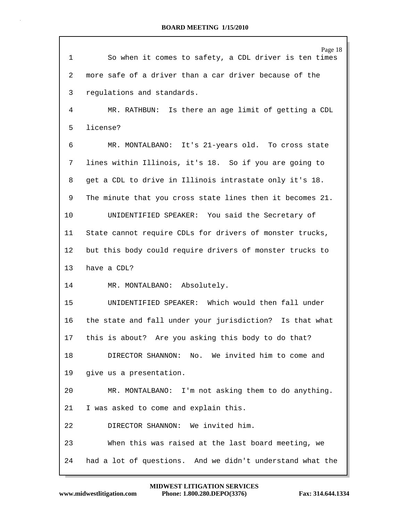| $\mathbf{1}$ | Page 18<br>So when it comes to safety, a CDL driver is ten times |
|--------------|------------------------------------------------------------------|
| 2            | more safe of a driver than a car driver because of the           |
| 3            | regulations and standards.                                       |
| 4            | MR. RATHBUN: Is there an age limit of getting a CDL              |
| 5            | license?                                                         |
| 6            | MR. MONTALBANO: It's 21-years old. To cross state                |
| 7            | lines within Illinois, it's 18. So if you are going to           |
| 8            | get a CDL to drive in Illinois intrastate only it's 18.          |
| 9            | The minute that you cross state lines then it becomes 21.        |
| 10           | UNIDENTIFIED SPEAKER: You said the Secretary of                  |
| 11           | State cannot require CDLs for drivers of monster trucks,         |
| 12           | but this body could require drivers of monster trucks to         |
| 13           | have a CDL?                                                      |
| 14           | MR. MONTALBANO: Absolutely.                                      |
| 15           | UNIDENTIFIED SPEAKER: Which would then fall under                |
| 16           | the state and fall under your jurisdiction? Is that what         |
| 17           | this is about? Are you asking this body to do that?              |
| 18           | DIRECTOR SHANNON:<br>No. We invited him to come and              |
| 19           | give us a presentation.                                          |
| 20           | MR. MONTALBANO: I'm not asking them to do anything.              |
| 21           | I was asked to come and explain this.                            |
| 22           | DIRECTOR SHANNON: We invited him.                                |
| 23           | When this was raised at the last board meeting, we               |
| 24           | had a lot of questions. And we didn't understand what the        |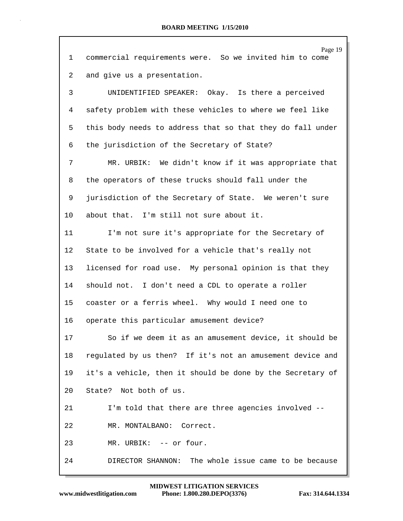| 1  | Page 19<br>commercial requirements were. So we invited him to come |
|----|--------------------------------------------------------------------|
| 2  | and give us a presentation.                                        |
| 3  | UNIDENTIFIED SPEAKER: Okay. Is there a perceived                   |
| 4  | safety problem with these vehicles to where we feel like           |
| 5  | this body needs to address that so that they do fall under         |
| 6  | the jurisdiction of the Secretary of State?                        |
| 7  | MR. URBIK: We didn't know if it was appropriate that               |
| 8  | the operators of these trucks should fall under the                |
| 9  | jurisdiction of the Secretary of State. We weren't sure            |
| 10 | about that. I'm still not sure about it.                           |
| 11 | I'm not sure it's appropriate for the Secretary of                 |
| 12 | State to be involved for a vehicle that's really not               |
| 13 | licensed for road use. My personal opinion is that they            |
| 14 | should not. I don't need a CDL to operate a roller                 |
| 15 | coaster or a ferris wheel. Why would I need one to                 |
| 16 | operate this particular amusement device?                          |
| 17 | So if we deem it as an amusement device, it should be              |
| 18 | regulated by us then? If it's not an amusement device and          |
| 19 | it's a vehicle, then it should be done by the Secretary of         |
| 20 | State? Not both of us.                                             |
| 21 | I'm told that there are three agencies involved --                 |
| 22 | MR. MONTALBANO: Correct.                                           |
| 23 | MR. URBIK: -- or four.                                             |
| 24 | DIRECTOR SHANNON: The whole issue came to be because               |

 $\Gamma$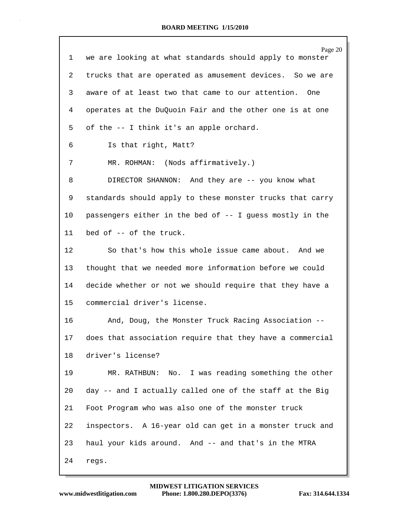|    | Page 20                                                   |
|----|-----------------------------------------------------------|
| 1  | we are looking at what standards should apply to monster  |
| 2  | trucks that are operated as amusement devices. So we are  |
| 3  | aware of at least two that came to our attention.<br>One  |
| 4  | operates at the DuQuoin Fair and the other one is at one  |
| 5  | of the -- I think it's an apple orchard.                  |
| 6  | Is that right, Matt?                                      |
| 7  | MR. ROHMAN: (Nods affirmatively.)                         |
| 8  | DIRECTOR SHANNON: And they are -- you know what           |
| 9  | standards should apply to these monster trucks that carry |
| 10 | passengers either in the bed of -- I guess mostly in the  |
| 11 | bed of -- of the truck.                                   |
| 12 | So that's how this whole issue came about. And we         |
| 13 | thought that we needed more information before we could   |
| 14 | decide whether or not we should require that they have a  |
| 15 | commercial driver's license.                              |
| 16 | And, Doug, the Monster Truck Racing Association --        |
| 17 | does that association require that they have a commercial |
| 18 | driver's license?                                         |
| 19 | MR. RATHBUN: No. I was reading something the other        |
| 20 | day -- and I actually called one of the staff at the Big  |
| 21 | Foot Program who was also one of the monster truck        |
| 22 | inspectors. A 16-year old can get in a monster truck and  |
| 23 | haul your kids around. And -- and that's in the MTRA      |
| 24 | regs.                                                     |
|    |                                                           |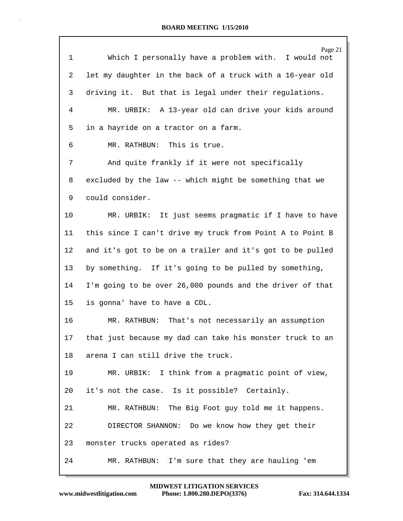|             | Page 21                                                   |
|-------------|-----------------------------------------------------------|
| $\mathbf 1$ | Which I personally have a problem with. I would not       |
| 2           | let my daughter in the back of a truck with a 16-year old |
| 3           | driving it. But that is legal under their regulations.    |
| 4           | MR. URBIK: A 13-year old can drive your kids around       |
| 5           | in a hayride on a tractor on a farm.                      |
| 6           | MR. RATHBUN: This is true.                                |
| 7           | And quite frankly if it were not specifically             |
| 8           | excluded by the law -- which might be something that we   |
| 9           | could consider.                                           |
| 10          | MR. URBIK: It just seems pragmatic if I have to have      |
| 11          | this since I can't drive my truck from Point A to Point B |
| 12          | and it's got to be on a trailer and it's got to be pulled |
| 13          | by something. If it's going to be pulled by something,    |
| 14          | I'm going to be over 26,000 pounds and the driver of that |
| 15          | is gonna' have to have a CDL.                             |
| 16          | MR. RATHBUN: That's not necessarily an assumption         |
| 17          | that just because my dad can take his monster truck to an |
| 18          | arena I can still drive the truck.                        |
| 19          | MR. URBIK: I think from a pragmatic point of view,        |
| 20          | it's not the case. Is it possible? Certainly.             |
| 21          | MR. RATHBUN: The Big Foot guy told me it happens.         |
| 22          | DIRECTOR SHANNON: Do we know how they get their           |
| 23          | monster trucks operated as rides?                         |
| 24          | I'm sure that they are hauling 'em<br>MR. RATHBUN:        |

Г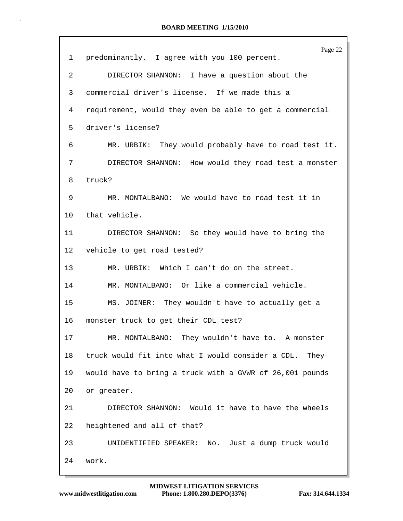|         | Page 22                                                   |
|---------|-----------------------------------------------------------|
| 1       | predominantly. I agree with you 100 percent.              |
| 2       | DIRECTOR SHANNON: I have a question about the             |
| 3       | commercial driver's license. If we made this a            |
| 4       | requirement, would they even be able to get a commercial  |
| 5       | driver's license?                                         |
| 6       | MR. URBIK: They would probably have to road test it.      |
| 7       | DIRECTOR SHANNON: How would they road test a monster      |
| 8       | truck?                                                    |
| 9       | MR. MONTALBANO: We would have to road test it in          |
| $10 \,$ | that vehicle.                                             |
| 11      | DIRECTOR SHANNON: So they would have to bring the         |
| $12 \,$ | vehicle to get road tested?                               |
| 13      | MR. URBIK: Which I can't do on the street.                |
| 14      | MR. MONTALBANO: Or like a commercial vehicle.             |
| 15      | MS. JOINER: They wouldn't have to actually get a          |
| 16      | monster truck to get their CDL test?                      |
| 17      | MR. MONTALBANO: They wouldn't have to. A monster          |
| 18      | truck would fit into what I would consider a CDL.<br>They |
| 19      | would have to bring a truck with a GVWR of 26,001 pounds  |
| 20      | or greater.                                               |
| 21      | DIRECTOR SHANNON: Would it have to have the wheels        |
| 22      | heightened and all of that?                               |
| 23      | UNIDENTIFIED SPEAKER: No. Just a dump truck would         |
| 24      | work.                                                     |
|         |                                                           |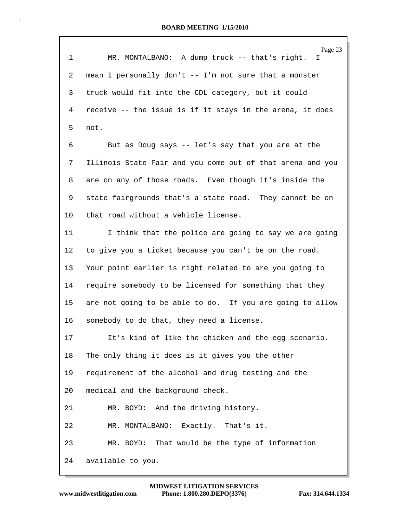| $\mathbf{1}$ | Page 23<br>MR. MONTALBANO: A dump truck -- that's right.<br>T. |
|--------------|----------------------------------------------------------------|
| 2            | mean I personally don't -- I'm not sure that a monster         |
| 3            | truck would fit into the CDL category, but it could            |
| 4            | receive -- the issue is if it stays in the arena, it does      |
| 5            | not.                                                           |
| 6            | But as Doug says -- let's say that you are at the              |
| 7            | Illinois State Fair and you come out of that arena and you     |
| 8            | are on any of those roads. Even though it's inside the         |
| 9            | state fairgrounds that's a state road. They cannot be on       |
| 10           | that road without a vehicle license.                           |
| 11           | I think that the police are going to say we are going          |
| 12           | to give you a ticket because you can't be on the road.         |
| 13           | Your point earlier is right related to are you going to        |
| 14           | require somebody to be licensed for something that they        |
| 15           | are not going to be able to do. If you are going to allow      |
| 16           | somebody to do that, they need a license.                      |
| 17           | It's kind of like the chicken and the egg scenario.            |
| 18           | The only thing it does is it gives you the other               |
| 19           | requirement of the alcohol and drug testing and the            |
| 20           | medical and the background check.                              |
| 21           | MR. BOYD: And the driving history.                             |
| 22           | MR. MONTALBANO: Exactly. That's it.                            |
| 23           | MR. BOYD: That would be the type of information                |
| 24           | available to you.                                              |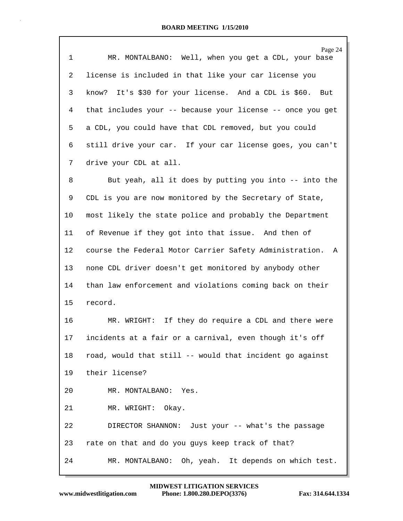| $\mathbf 1$ | Page 24<br>MR. MONTALBANO: Well, when you get a CDL, your base |
|-------------|----------------------------------------------------------------|
| 2           | license is included in that like your car license you          |
| 3           | know? It's \$30 for your license. And a CDL is \$60. But       |
| 4           | that includes your -- because your license -- once you get     |
| 5           | a CDL, you could have that CDL removed, but you could          |
| 6           | still drive your car. If your car license goes, you can't      |
| 7           | drive your CDL at all.                                         |
| 8           | But yeah, all it does by putting you into -- into the          |
| 9           | CDL is you are now monitored by the Secretary of State,        |
| 10          | most likely the state police and probably the Department       |
| 11          | of Revenue if they got into that issue. And then of            |
| 12          | course the Federal Motor Carrier Safety Administration. A      |
| 13          | none CDL driver doesn't get monitored by anybody other         |
| 14          | than law enforcement and violations coming back on their       |
| 15          | record.                                                        |
| 16          | MR. WRIGHT: If they do require a CDL and there were            |
| 17          | incidents at a fair or a carnival, even though it's off        |
| 18          | road, would that still -- would that incident go against       |
| 19          | their license?                                                 |
| 20          | MR. MONTALBANO: Yes.                                           |
| 21          | MR. WRIGHT: Okay.                                              |
| 22          | DIRECTOR SHANNON: Just your -- what's the passage              |
| 23          | rate on that and do you guys keep track of that?               |
| 24          | MR. MONTALBANO: Oh, yeah. It depends on which test.            |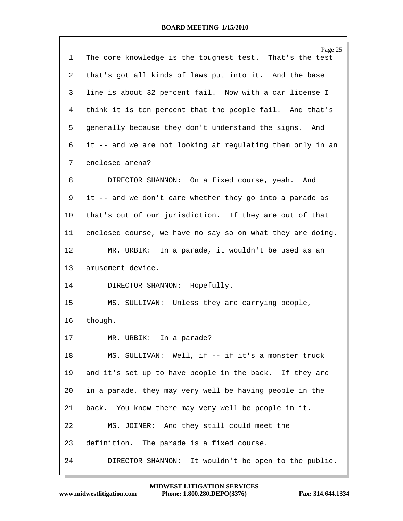|              | Page 25                                                    |
|--------------|------------------------------------------------------------|
| $\mathbf{1}$ | The core knowledge is the toughest test. That's the test   |
| 2            | that's got all kinds of laws put into it. And the base     |
| 3            | line is about 32 percent fail. Now with a car license I    |
| 4            | think it is ten percent that the people fail. And that's   |
| 5            | generally because they don't understand the signs. And     |
| 6            | it -- and we are not looking at regulating them only in an |
| 7            | enclosed arena?                                            |
| 8            | DIRECTOR SHANNON: On a fixed course, yeah. And             |
| 9            | it -- and we don't care whether they go into a parade as   |
| 10           | that's out of our jurisdiction. If they are out of that    |
| 11           | enclosed course, we have no say so on what they are doing. |
| 12           | MR. URBIK: In a parade, it wouldn't be used as an          |
| 13           | amusement device.                                          |
| 14           | DIRECTOR SHANNON: Hopefully.                               |
| 15           | MS. SULLIVAN: Unless they are carrying people,             |
| 16           | though.                                                    |
| 17           | MR. URBIK:<br>In a parade?                                 |
| 18           | MS. SULLIVAN: Well, if -- if it's a monster truck          |
| 19           | and it's set up to have people in the back. If they are    |
| 20           | in a parade, they may very well be having people in the    |
| 21           | back. You know there may very well be people in it.        |
| 22           | MS. JOINER: And they still could meet the                  |
| 23           | definition. The parade is a fixed course.                  |
| 24           | DIRECTOR SHANNON:<br>It wouldn't be open to the public.    |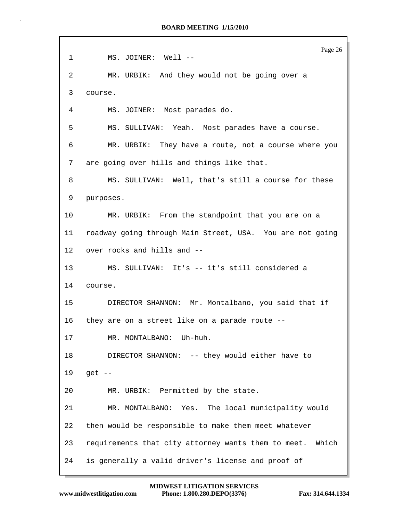Page 26 1 MS. JOINER: Well -- 2 MR. URBIK: And they would not be going over a 3 course. 4 MS. JOINER: Most parades do. 5 MS. SULLIVAN: Yeah. Most parades have a course. 6 MR. URBIK: They have a route, not a course where you 7 are going over hills and things like that. 8 MS. SULLIVAN: Well, that's still a course for these 9 purposes. 10 MR. URBIK: From the standpoint that you are on a 11 roadway going through Main Street, USA. You are not going 12 over rocks and hills and -- 13 MS. SULLIVAN: It's -- it's still considered a 14 course. 15 DIRECTOR SHANNON: Mr. Montalbano, you said that if 16 they are on a street like on a parade route -- 17 MR. MONTALBANO: Uh-huh. 18 DIRECTOR SHANNON: -- they would either have to 19 get -- 20 MR. URBIK: Permitted by the state. 21 MR. MONTALBANO: Yes. The local municipality would 22 then would be responsible to make them meet whatever 23 requirements that city attorney wants them to meet. Which 24 is generally a valid driver's license and proof of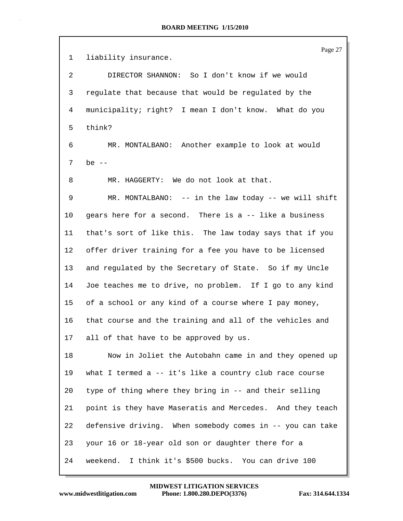Page 27 1 liability insurance. 2 DIRECTOR SHANNON: So I don't know if we would 3 regulate that because that would be regulated by the 4 municipality; right? I mean I don't know. What do you 5 think? 6 MR. MONTALBANO: Another example to look at would 7 be -- 8 MR. HAGGERTY: We do not look at that. 9 MR. MONTALBANO: -- in the law today -- we will shift 10 gears here for a second. There is a -- like a business 11 that's sort of like this. The law today says that if you 12 offer driver training for a fee you have to be licensed 13 and regulated by the Secretary of State. So if my Uncle 14 Joe teaches me to drive, no problem. If I go to any kind 15 of a school or any kind of a course where I pay money, 16 that course and the training and all of the vehicles and 17 all of that have to be approved by us. 18 Now in Joliet the Autobahn came in and they opened up 19 what I termed a -- it's like a country club race course 20 type of thing where they bring in -- and their selling 21 point is they have Maseratis and Mercedes. And they teach 22 defensive driving. When somebody comes in -- you can take 23 your 16 or 18-year old son or daughter there for a 24 weekend. I think it's \$500 bucks. You can drive 100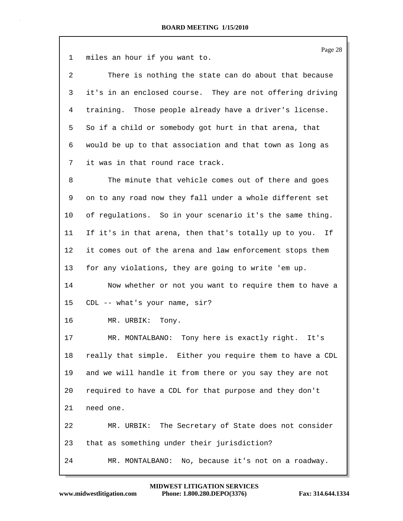Page 28 1 miles an hour if you want to. 2 There is nothing the state can do about that because 3 it's in an enclosed course. They are not offering driving 4 training. Those people already have a driver's license. 5 So if a child or somebody got hurt in that arena, that 6 would be up to that association and that town as long as 7 it was in that round race track. 8 The minute that vehicle comes out of there and goes 9 on to any road now they fall under a whole different set 10 of regulations. So in your scenario it's the same thing. 11 If it's in that arena, then that's totally up to you. If 12 it comes out of the arena and law enforcement stops them 13 for any violations, they are going to write 'em up. 14 Now whether or not you want to require them to have a 15 CDL -- what's your name, sir? 16 MR. URBIK: Tony.

17 MR. MONTALBANO: Tony here is exactly right. It's 18 really that simple. Either you require them to have a CDL 19 and we will handle it from there or you say they are not 20 required to have a CDL for that purpose and they don't 21 need one. 22 MR. URBIK: The Secretary of State does not consider 23 that as something under their jurisdiction? 24 MR. MONTALBANO: No, because it's not on a roadway.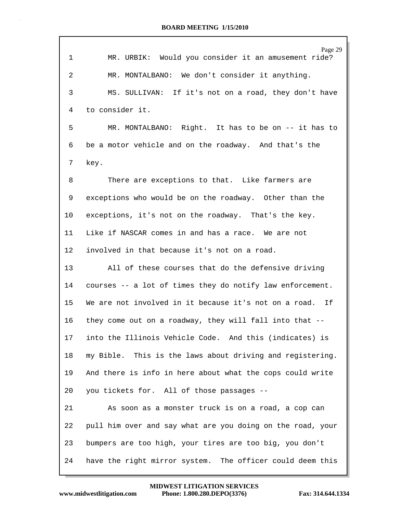| $\mathbf 1$ | Page 29<br>MR. URBIK: Would you consider it an amusement ride? |
|-------------|----------------------------------------------------------------|
| 2           | MR. MONTALBANO: We don't consider it anything.                 |
| 3           | MS. SULLIVAN: If it's not on a road, they don't have           |
| 4           | to consider it.                                                |
| 5           | MR. MONTALBANO: Right. It has to be on -- it has to            |
| 6           | be a motor vehicle and on the roadway. And that's the          |
| 7           | key.                                                           |
| 8           | There are exceptions to that. Like farmers are                 |
| 9           | exceptions who would be on the roadway. Other than the         |
| 10          | exceptions, it's not on the roadway. That's the key.           |
| 11          | Like if NASCAR comes in and has a race. We are not             |
| 12          | involved in that because it's not on a road.                   |
| 13          | All of these courses that do the defensive driving             |
| 14          | courses -- a lot of times they do notify law enforcement.      |
| 15          | We are not involved in it because it's not on a road. If       |
| 16          | they come out on a roadway, they will fall into that --        |
| 17          | into the Illinois Vehicle Code. And this (indicates) is        |
| 18          | my Bible. This is the laws about driving and registering.      |
| 19          | And there is info in here about what the cops could write      |
| 20          | you tickets for. All of those passages --                      |
| 21          | As soon as a monster truck is on a road, a cop can             |
| 22          | pull him over and say what are you doing on the road, your     |
| 23          | bumpers are too high, your tires are too big, you don't        |
| 24          | have the right mirror system. The officer could deem this      |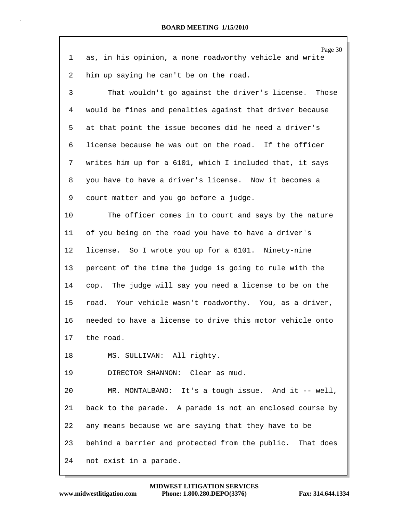|    | Page 30                                                   |
|----|-----------------------------------------------------------|
| 1  | as, in his opinion, a none roadworthy vehicle and write   |
| 2  | him up saying he can't be on the road.                    |
| 3  | That wouldn't go against the driver's license. Those      |
| 4  | would be fines and penalties against that driver because  |
| 5  | at that point the issue becomes did he need a driver's    |
| 6  | license because he was out on the road. If the officer    |
| 7  | writes him up for a 6101, which I included that, it says  |
| 8  | you have to have a driver's license. Now it becomes a     |
| 9  | court matter and you go before a judge.                   |
| 10 | The officer comes in to court and says by the nature      |
| 11 | of you being on the road you have to have a driver's      |
| 12 | license. So I wrote you up for a 6101. Ninety-nine        |
| 13 | percent of the time the judge is going to rule with the   |
| 14 | cop. The judge will say you need a license to be on the   |
| 15 | road. Your vehicle wasn't roadworthy. You, as a driver,   |
| 16 | needed to have a license to drive this motor vehicle onto |
| 17 | the road.                                                 |
| 18 | MS. SULLIVAN: All righty.                                 |
| 19 | DIRECTOR SHANNON: Clear as mud.                           |
| 20 | MR. MONTALBANO: It's a tough issue. And it -- well,       |
| 21 | back to the parade. A parade is not an enclosed course by |
| 22 | any means because we are saying that they have to be      |
| 23 | behind a barrier and protected from the public. That does |
| 24 | not exist in a parade.                                    |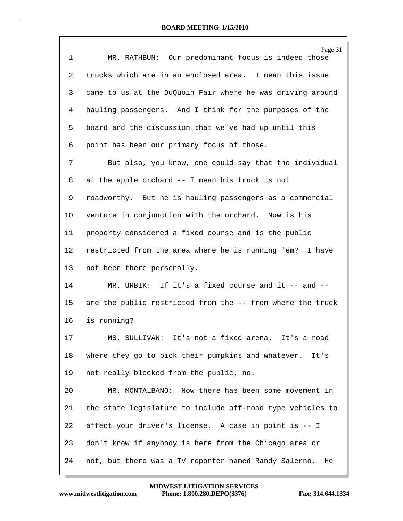|    | Page 31                                                     |
|----|-------------------------------------------------------------|
| 1  | MR. RATHBUN: Our predominant focus is indeed those          |
| 2  | trucks which are in an enclosed area. I mean this issue     |
| 3  | came to us at the DuQuoin Fair where he was driving around  |
| 4  | hauling passengers. And I think for the purposes of the     |
| 5  | board and the discussion that we've had up until this       |
| 6  | point has been our primary focus of those.                  |
| 7  | But also, you know, one could say that the individual       |
| 8  | at the apple orchard -- I mean his truck is not             |
| 9  | roadworthy. But he is hauling passengers as a commercial    |
| 10 | venture in conjunction with the orchard. Now is his         |
| 11 | property considered a fixed course and is the public        |
| 12 | restricted from the area where he is running 'em? I have    |
| 13 | not been there personally.                                  |
| 14 | MR. URBIK: If it's a fixed course and it -- and --          |
| 15 | are the public restricted from the -- from where the truck  |
| 16 | is running?                                                 |
| 17 | MS. SULLIVAN: It's not a fixed arena. It's a road           |
| 18 | where they go to pick their pumpkins and whatever.<br>It's  |
| 19 | not really blocked from the public, no.                     |
| 20 | Now there has been some movement in<br>MR. MONTALBANO:      |
| 21 | the state legislature to include off-road type vehicles to  |
| 22 | affect your driver's license. A case in point is -- I       |
| 23 | don't know if anybody is here from the Chicago area or      |
| 24 | not, but there was a TV reporter named Randy Salerno.<br>He |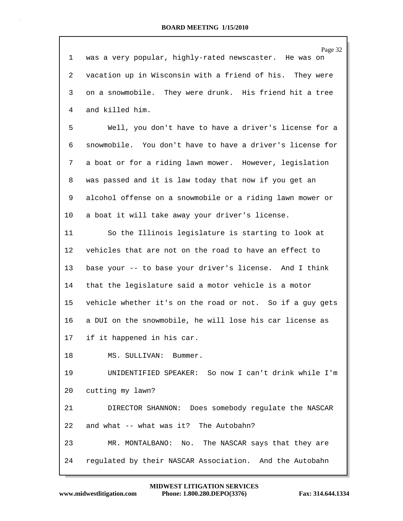|              | Page 32                                                   |
|--------------|-----------------------------------------------------------|
| $\mathbf{1}$ | was a very popular, highly-rated newscaster. He was on    |
| 2            | vacation up in Wisconsin with a friend of his. They were  |
| 3            | on a snowmobile. They were drunk. His friend hit a tree   |
| 4            | and killed him.                                           |
| 5            | Well, you don't have to have a driver's license for a     |
| 6            | snowmobile. You don't have to have a driver's license for |
| 7            | a boat or for a riding lawn mower. However, legislation   |
| 8            | was passed and it is law today that now if you get an     |
| 9            | alcohol offense on a snowmobile or a riding lawn mower or |
| 10           | a boat it will take away your driver's license.           |
| 11           | So the Illinois legislature is starting to look at        |
| $12 \,$      | vehicles that are not on the road to have an effect to    |
| 13           | base your -- to base your driver's license. And I think   |
| 14           | that the legislature said a motor vehicle is a motor      |
| 15           | vehicle whether it's on the road or not. So if a guy gets |
| 16           | a DUI on the snowmobile, he will lose his car license as  |
| 17           | if it happened in his car.                                |
| 18           | MS. SULLIVAN: Bummer.                                     |
| 19           | UNIDENTIFIED SPEAKER: So now I can't drink while I'm      |
| 20           | cutting my lawn?                                          |
| 21           | DIRECTOR SHANNON: Does somebody regulate the NASCAR       |
| 22           | and what -- what was it? The Autobahn?                    |
| 23           | MR. MONTALBANO: No. The NASCAR says that they are         |
| 24           | regulated by their NASCAR Association. And the Autobahn   |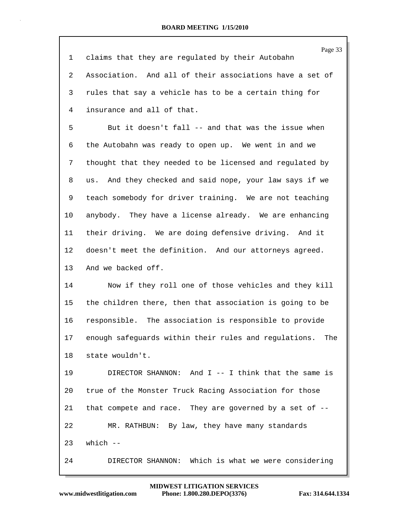Page 33 1 claims that they are regulated by their Autobahn 2 Association. And all of their associations have a set of 3 rules that say a vehicle has to be a certain thing for 4 insurance and all of that. 5 But it doesn't fall -- and that was the issue when 6 the Autobahn was ready to open up. We went in and we 7 thought that they needed to be licensed and regulated by 8 us. And they checked and said nope, your law says if we 9 teach somebody for driver training. We are not teaching 10 anybody. They have a license already. We are enhancing 11 their driving. We are doing defensive driving. And it 12 doesn't meet the definition. And our attorneys agreed. 13 And we backed off. 14 Now if they roll one of those vehicles and they kill 15 the children there, then that association is going to be 16 responsible. The association is responsible to provide 17 enough safeguards within their rules and regulations. The 18 state wouldn't. 19 DIRECTOR SHANNON: And I -- I think that the same is 20 true of the Monster Truck Racing Association for those 21 that compete and race. They are governed by a set of -- 22 MR. RATHBUN: By law, they have many standards  $23$  which  $-$ 24 DIRECTOR SHANNON: Which is what we were considering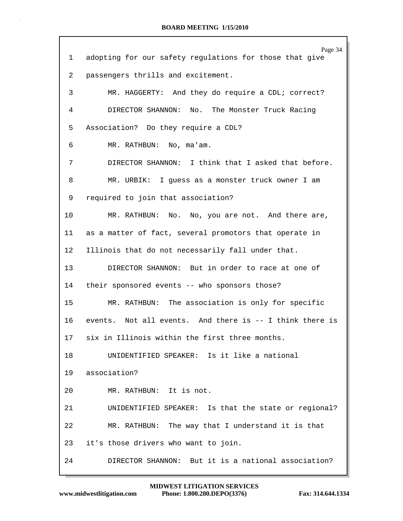| $\mathbf{1}$ | Page 34<br>adopting for our safety regulations for those that give |
|--------------|--------------------------------------------------------------------|
| 2            | passengers thrills and excitement.                                 |
| 3            | MR. HAGGERTY: And they do require a CDL; correct?                  |
| 4            | DIRECTOR SHANNON: No.<br>The Monster Truck Racing                  |
| 5            | Association? Do they require a CDL?                                |
| 6            | MR. RATHBUN: No, ma'am.                                            |
| 7            | DIRECTOR SHANNON: I think that I asked that before.                |
| 8            | MR. URBIK: I guess as a monster truck owner I am                   |
| 9            | required to join that association?                                 |
| 10           | MR. RATHBUN: No. No, you are not. And there are,                   |
| 11           | as a matter of fact, several promotors that operate in             |
| $12 \,$      | Illinois that do not necessarily fall under that.                  |
| 13           | DIRECTOR SHANNON: But in order to race at one of                   |
| 14           | their sponsored events -- who sponsors those?                      |
| 15           | MR. RATHBUN: The association is only for specific                  |
| 16           | events. Not all events. And there is -- I think there is           |
| 17           | six in Illinois within the first three months.                     |
| 18           | UNIDENTIFIED SPEAKER: Is it like a national                        |
|              | 19 association?                                                    |
| 20           | MR. RATHBUN: It is not.                                            |
| 21           | UNIDENTIFIED SPEAKER: Is that the state or regional?               |
| 22           | MR. RATHBUN: The way that I understand it is that                  |
| 23           | it's those drivers who want to join.                               |
| 24           | DIRECTOR SHANNON: But it is a national association?                |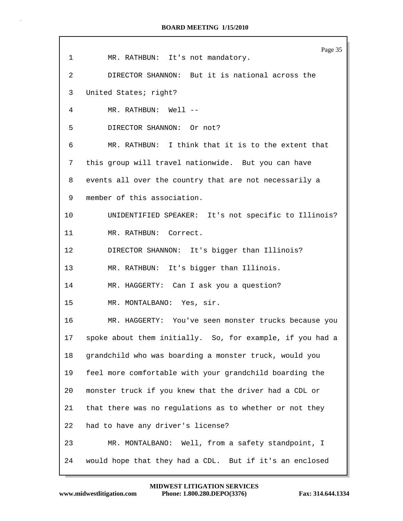| 1  | Page 35<br>MR. RATHBUN: It's not mandatory.               |
|----|-----------------------------------------------------------|
| 2  | DIRECTOR SHANNON: But it is national across the           |
| 3  | United States; right?                                     |
| 4  | MR. RATHBUN: Well --                                      |
| 5  | DIRECTOR SHANNON: Or not?                                 |
| 6  | MR. RATHBUN: I think that it is to the extent that        |
| 7  | this group will travel nationwide. But you can have       |
| 8  | events all over the country that are not necessarily a    |
| 9  | member of this association.                               |
| 10 | UNIDENTIFIED SPEAKER: It's not specific to Illinois?      |
| 11 | MR. RATHBUN: Correct.                                     |
| 12 | DIRECTOR SHANNON: It's bigger than Illinois?              |
| 13 | MR. RATHBUN: It's bigger than Illinois.                   |
| 14 | MR. HAGGERTY: Can I ask you a question?                   |
| 15 | MR. MONTALBANO: Yes, sir.                                 |
| 16 | MR. HAGGERTY: You've seen monster trucks because you      |
| 17 | spoke about them initially. So, for example, if you had a |
| 18 | grandchild who was boarding a monster truck, would you    |
| 19 | feel more comfortable with your grandchild boarding the   |
| 20 | monster truck if you knew that the driver had a CDL or    |
| 21 | that there was no regulations as to whether or not they   |
| 22 | had to have any driver's license?                         |
| 23 | MR. MONTALBANO: Well, from a safety standpoint, I         |
| 24 | would hope that they had a CDL. But if it's an enclosed   |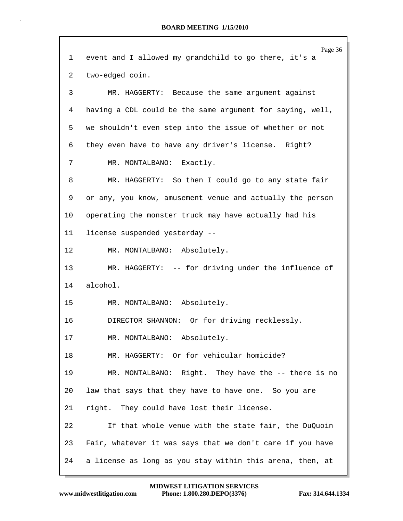|    | Page 36                                                   |
|----|-----------------------------------------------------------|
| 1  | event and I allowed my grandchild to go there, it's a     |
| 2  | two-edged coin.                                           |
| 3  | MR. HAGGERTY: Because the same argument against           |
| 4  | having a CDL could be the same argument for saying, well, |
| 5  | we shouldn't even step into the issue of whether or not   |
| 6  | they even have to have any driver's license. Right?       |
| 7  | MR. MONTALBANO: Exactly.                                  |
| 8  | MR. HAGGERTY: So then I could go to any state fair        |
| 9  | or any, you know, amusement venue and actually the person |
| 10 | operating the monster truck may have actually had his     |
| 11 | license suspended yesterday --                            |
| 12 | MR. MONTALBANO: Absolutely.                               |
| 13 | MR. HAGGERTY: -- for driving under the influence of       |
| 14 | alcohol.                                                  |
| 15 | MR. MONTALBANO: Absolutely.                               |
| 16 | DIRECTOR SHANNON: Or for driving recklessly.              |
| 17 | MR. MONTALBANO: Absolutely.                               |
| 18 | MR. HAGGERTY: Or for vehicular homicide?                  |
| 19 | MR. MONTALBANO: Right. They have the -- there is no       |
| 20 | law that says that they have to have one. So you are      |
| 21 | right. They could have lost their license.                |
| 22 | If that whole venue with the state fair, the DuQuoin      |
| 23 | Fair, whatever it was says that we don't care if you have |
| 24 | a license as long as you stay within this arena, then, at |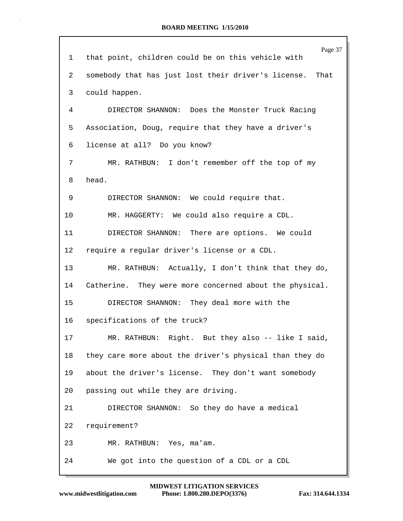|    | Page 37                                                     |
|----|-------------------------------------------------------------|
| 1  | that point, children could be on this vehicle with          |
| 2  | somebody that has just lost their driver's license.<br>That |
| 3  | could happen.                                               |
| 4  | DIRECTOR SHANNON: Does the Monster Truck Racing             |
| 5  | Association, Doug, require that they have a driver's        |
| 6  | license at all? Do you know?                                |
| 7  | MR. RATHBUN: I don't remember off the top of my             |
| 8  | head.                                                       |
| 9  | DIRECTOR SHANNON: We could require that.                    |
| 10 | MR. HAGGERTY: We could also require a CDL.                  |
| 11 | DIRECTOR SHANNON: There are options. We could               |
| 12 | require a regular driver's license or a CDL.                |
| 13 | MR. RATHBUN: Actually, I don't think that they do,          |
| 14 | Catherine. They were more concerned about the physical.     |
| 15 | DIRECTOR SHANNON: They deal more with the                   |
| 16 | specifications of the truck?                                |
| 17 | MR. RATHBUN: Right. But they also -- like I said,           |
| 18 | they care more about the driver's physical than they do     |
| 19 | about the driver's license. They don't want somebody        |
| 20 | passing out while they are driving.                         |
| 21 | DIRECTOR SHANNON: So they do have a medical                 |
| 22 | requirement?                                                |
| 23 | MR. RATHBUN: Yes, ma'am.                                    |
| 24 | We got into the question of a CDL or a CDL                  |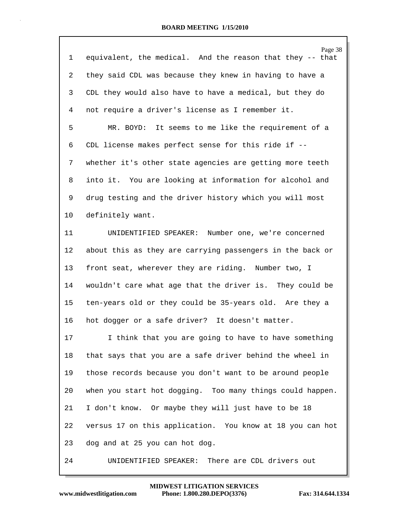| $\mathbf 1$ | Page 38<br>equivalent, the medical. And the reason that they -- that |
|-------------|----------------------------------------------------------------------|
| 2           | they said CDL was because they knew in having to have a              |
| 3           | CDL they would also have to have a medical, but they do              |
| 4           | not require a driver's license as I remember it.                     |
| 5           | MR. BOYD: It seems to me like the requirement of a                   |
| 6           | CDL license makes perfect sense for this ride if --                  |
| 7           | whether it's other state agencies are getting more teeth             |
| 8           | into it. You are looking at information for alcohol and              |
| 9           | drug testing and the driver history which you will most              |
| 10          | definitely want.                                                     |
| 11          | UNIDENTIFIED SPEAKER:<br>Number one, we're concerned                 |
| 12          | about this as they are carrying passengers in the back or            |
| 13          | front seat, wherever they are riding. Number two, I                  |
| 14          | wouldn't care what age that the driver is. They could be             |
| 15          | ten-years old or they could be 35-years old. Are they a              |
| 16          | hot dogger or a safe driver? It doesn't matter.                      |
| 17          | I think that you are going to have to have something                 |
| 18          | that says that you are a safe driver behind the wheel in             |
| 19          | those records because you don't want to be around people             |
| 20          | when you start hot dogging. Too many things could happen.            |
| 21          | I don't know. Or maybe they will just have to be 18                  |
| 22          | versus 17 on this application. You know at 18 you can hot            |
| 23          | dog and at 25 you can hot dog.                                       |
| 24          | There are CDL drivers out<br>UNIDENTIFIED SPEAKER:                   |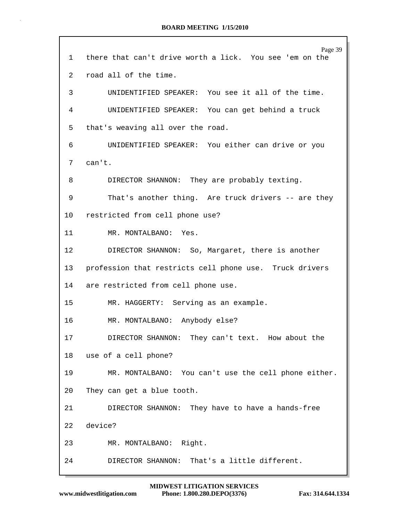| 1                 | Page 39<br>there that can't drive worth a lick. You see 'em on the |
|-------------------|--------------------------------------------------------------------|
| 2                 | road all of the time.                                              |
| 3                 | UNIDENTIFIED SPEAKER: You see it all of the time.                  |
| 4                 | UNIDENTIFIED SPEAKER: You can get behind a truck                   |
| 5                 | that's weaving all over the road.                                  |
| 6                 | UNIDENTIFIED SPEAKER: You either can drive or you                  |
| 7                 | can't.                                                             |
| 8                 | DIRECTOR SHANNON: They are probably texting.                       |
| 9                 | That's another thing. Are truck drivers -- are they                |
| 10 <sup>°</sup>   | restricted from cell phone use?                                    |
| 11                | MR. MONTALBANO: Yes.                                               |
| $12 \overline{ }$ | DIRECTOR SHANNON: So, Margaret, there is another                   |
| 13                | profession that restricts cell phone use. Truck drivers            |
| 14                | are restricted from cell phone use.                                |
| 15                | MR. HAGGERTY: Serving as an example.                               |
| 16                | MR. MONTALBANO: Anybody else?                                      |
| 17                | DIRECTOR SHANNON: They can't text. How about the                   |
| 18                | use of a cell phone?                                               |
| 19                | MR. MONTALBANO: You can't use the cell phone either.               |
| 20                | They can get a blue tooth.                                         |
| 21                | DIRECTOR SHANNON: They have to have a hands-free                   |
| 22                | device?                                                            |
| 23                | MR. MONTALBANO: Right.                                             |
| 24                | That's a little different.<br>DIRECTOR SHANNON:                    |
|                   |                                                                    |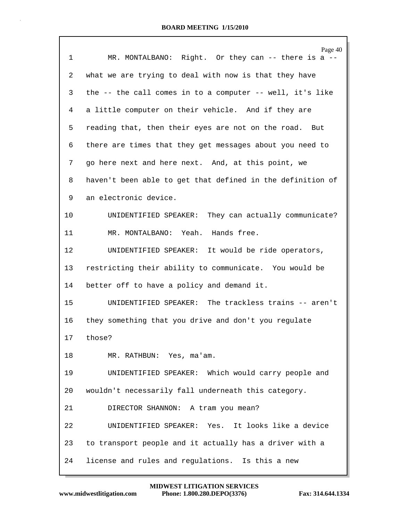| $\mathbf{1}$ | Page 40<br>MR. MONTALBANO: Right. Or they can -- there is a -- |
|--------------|----------------------------------------------------------------|
| 2            | what we are trying to deal with now is that they have          |
| 3            | the -- the call comes in to a computer -- well, it's like      |
| 4            | a little computer on their vehicle. And if they are            |
| 5            | reading that, then their eyes are not on the road. But         |
| 6            | there are times that they get messages about you need to       |
| 7            | go here next and here next. And, at this point, we             |
| 8            | haven't been able to get that defined in the definition of     |
| 9            | an electronic device.                                          |
| 10           | UNIDENTIFIED SPEAKER: They can actually communicate?           |
| 11           | MR. MONTALBANO: Yeah. Hands free.                              |
| 12           | UNIDENTIFIED SPEAKER: It would be ride operators,              |
| 13           | restricting their ability to communicate. You would be         |
| 14           | better off to have a policy and demand it.                     |
| 15           | UNIDENTIFIED SPEAKER: The trackless trains -- aren't           |
| 16           | they something that you drive and don't you regulate           |
| 17           | those?                                                         |
| 18           | MR. RATHBUN: Yes, ma'am.                                       |
| 19           | UNIDENTIFIED SPEAKER: Which would carry people and             |
| 20           | wouldn't necessarily fall underneath this category.            |
| 21           | DIRECTOR SHANNON: A tram you mean?                             |
| 22           | UNIDENTIFIED SPEAKER: Yes. It looks like a device              |
| 23           | to transport people and it actually has a driver with a        |
| 24           | license and rules and regulations. Is this a new               |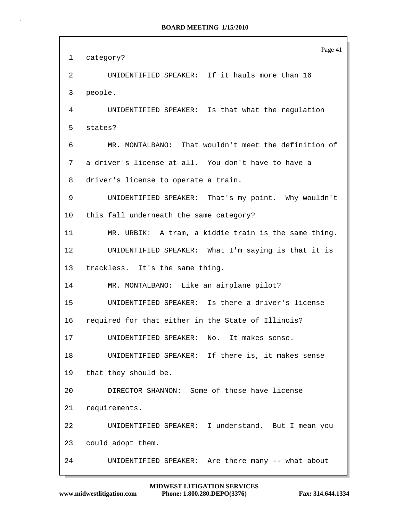|                 | Page 41                                              |
|-----------------|------------------------------------------------------|
| 1               | category?                                            |
| 2               | UNIDENTIFIED SPEAKER: If it hauls more than 16       |
| 3               | people.                                              |
| 4               | UNIDENTIFIED SPEAKER: Is that what the regulation    |
| 5               | states?                                              |
| 6               | MR. MONTALBANO: That wouldn't meet the definition of |
| 7               | a driver's license at all. You don't have to have a  |
| 8               | driver's license to operate a train.                 |
| 9               | UNIDENTIFIED SPEAKER: That's my point. Why wouldn't  |
| 10              | this fall underneath the same category?              |
| 11              | MR. URBIK: A tram, a kiddie train is the same thing. |
| 12              | UNIDENTIFIED SPEAKER: What I'm saying is that it is  |
| 13 <sup>°</sup> | trackless. It's the same thing.                      |
| 14              | MR. MONTALBANO: Like an airplane pilot?              |
| 15              | UNIDENTIFIED SPEAKER: Is there a driver's license    |
| 16              | required for that either in the State of Illinois?   |
| 17              | UNIDENTIFIED SPEAKER: No. It makes sense.            |
| 18              | UNIDENTIFIED SPEAKER: If there is, it makes sense    |
| 19              | that they should be.                                 |
| 20              | DIRECTOR SHANNON: Some of those have license         |
| 21              | requirements.                                        |
| 22              | UNIDENTIFIED SPEAKER: I understand. But I mean you   |
| 23              | could adopt them.                                    |
| 24              | UNIDENTIFIED SPEAKER: Are there many -- what about   |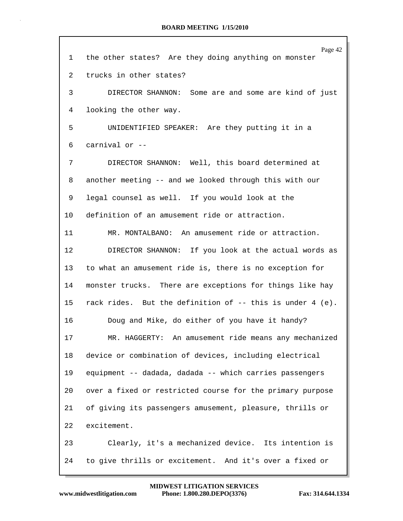| 1       | Page 42<br>the other states? Are they doing anything on monster |
|---------|-----------------------------------------------------------------|
| 2       | trucks in other states?                                         |
| 3       | DIRECTOR SHANNON: Some are and some are kind of just            |
| 4       | looking the other way.                                          |
| 5       | UNIDENTIFIED SPEAKER: Are they putting it in a                  |
| 6       | carnival or --                                                  |
| 7       | DIRECTOR SHANNON: Well, this board determined at                |
| 8       | another meeting -- and we looked through this with our          |
| 9       | legal counsel as well. If you would look at the                 |
| $10 \,$ | definition of an amusement ride or attraction.                  |
| 11      | MR. MONTALBANO: An amusement ride or attraction.                |
| 12      | DIRECTOR SHANNON: If you look at the actual words as            |
| 13      | to what an amusement ride is, there is no exception for         |
| 14      | monster trucks. There are exceptions for things like hay        |
| 15      | rack rides. But the definition of $-$ - this is under 4 (e).    |
| 16      | Doug and Mike, do either of you have it handy?                  |
| 17      | MR. HAGGERTY: An amusement ride means any mechanized            |
| 18      | device or combination of devices, including electrical          |
| 19      | equipment -- dadada, dadada -- which carries passengers         |
| 20      | over a fixed or restricted course for the primary purpose       |
| 21      | of giving its passengers amusement, pleasure, thrills or        |
| 22      | excitement.                                                     |
| 23      | Clearly, it's a mechanized device. Its intention is             |
| 24      | to give thrills or excitement. And it's over a fixed or         |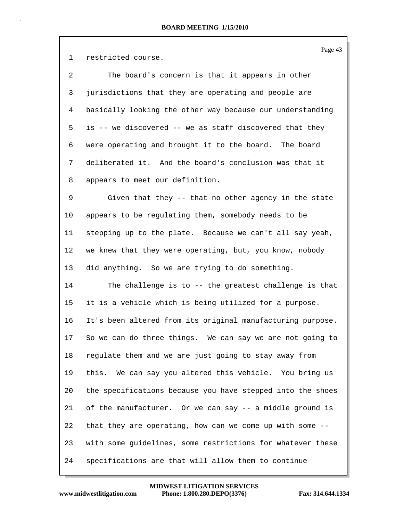Page 43

1 restricted course.

2 The board's concern is that it appears in other 3 jurisdictions that they are operating and people are 4 basically looking the other way because our understanding 5 is -- we discovered -- we as staff discovered that they 6 were operating and brought it to the board. The board 7 deliberated it. And the board's conclusion was that it 8 appears to meet our definition.

9 Given that they -- that no other agency in the state 10 appears to be regulating them, somebody needs to be 11 stepping up to the plate. Because we can't all say yeah, 12 we knew that they were operating, but, you know, nobody 13 did anything. So we are trying to do something.

14 The challenge is to -- the greatest challenge is that 15 it is a vehicle which is being utilized for a purpose. 16 It's been altered from its original manufacturing purpose. 17 So we can do three things. We can say we are not going to 18 regulate them and we are just going to stay away from 19 this. We can say you altered this vehicle. You bring us 20 the specifications because you have stepped into the shoes 21 of the manufacturer. Or we can say -- a middle ground is 22 that they are operating, how can we come up with some -- 23 with some guidelines, some restrictions for whatever these 24 specifications are that will allow them to continue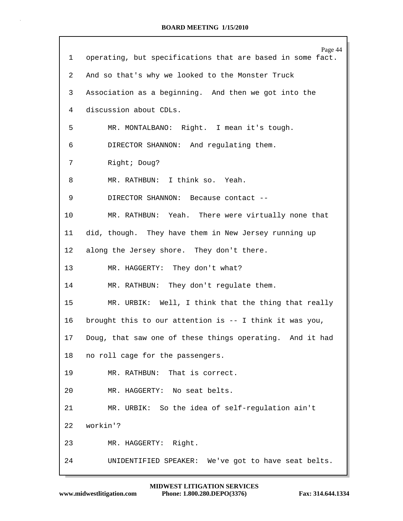| $\mathbf{1}$    | Page 44<br>operating, but specifications that are based in some fact. |
|-----------------|-----------------------------------------------------------------------|
| 2               | And so that's why we looked to the Monster Truck                      |
| 3               | Association as a beginning. And then we got into the                  |
| 4               | discussion about CDLs.                                                |
| 5               | MR. MONTALBANO: Right. I mean it's tough.                             |
| 6               | DIRECTOR SHANNON: And regulating them.                                |
| 7               | Right; Doug?                                                          |
| 8               | MR. RATHBUN: I think so. Yeah.                                        |
| 9               | DIRECTOR SHANNON: Because contact --                                  |
| 10              | MR. RATHBUN: Yeah. There were virtually none that                     |
| 11              | did, though. They have them in New Jersey running up                  |
| 12 <sub>1</sub> | along the Jersey shore. They don't there.                             |
| 13              | MR. HAGGERTY: They don't what?                                        |
| 14              | MR. RATHBUN: They don't regulate them.                                |
| 15              | MR. URBIK: Well, I think that the thing that really                   |
| 16              | brought this to our attention is -- I think it was you,               |
|                 | 17 Doug, that saw one of these things operating. And it had           |
| 18              | no roll cage for the passengers.                                      |
| 19              | MR. RATHBUN: That is correct.                                         |
| 20              | MR. HAGGERTY: No seat belts.                                          |
| 21              | MR. URBIK: So the idea of self-regulation ain't                       |
| 22              | workin'?                                                              |
| 23              | MR. HAGGERTY: Right.                                                  |
| 24              | UNIDENTIFIED SPEAKER: We've got to have seat belts.                   |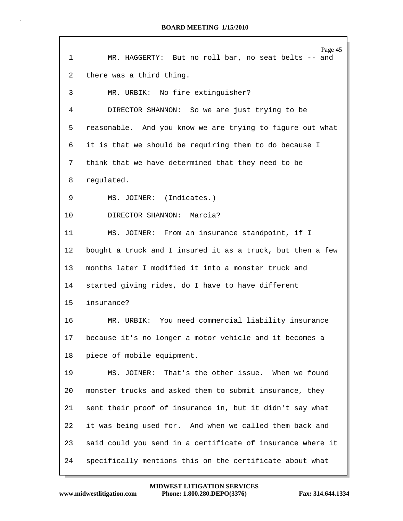| 1       | Page 45<br>MR. HAGGERTY: But no roll bar, no seat belts -- and |
|---------|----------------------------------------------------------------|
| 2       | there was a third thing.                                       |
| 3       | MR. URBIK: No fire extinguisher?                               |
| 4       | DIRECTOR SHANNON: So we are just trying to be                  |
| 5       | reasonable. And you know we are trying to figure out what      |
| 6       | it is that we should be requiring them to do because I         |
| 7       | think that we have determined that they need to be             |
| 8       | regulated.                                                     |
| 9       | MS. JOINER: (Indicates.)                                       |
| 10      | DIRECTOR SHANNON: Marcia?                                      |
| 11      | MS. JOINER: From an insurance standpoint, if I                 |
| $12 \,$ | bought a truck and I insured it as a truck, but then a few     |
| 13      | months later I modified it into a monster truck and            |
| 14      | started giving rides, do I have to have different              |
| 15      | insurance?                                                     |
| 16      | MR. URBIK: You need commercial liability insurance             |
| 17      | because it's no longer a motor vehicle and it becomes a        |
| 18      | piece of mobile equipment.                                     |
| 19      | MS. JOINER: That's the other issue. When we found              |
| 20      | monster trucks and asked them to submit insurance, they        |
| 21      | sent their proof of insurance in, but it didn't say what       |
| 22      | it was being used for. And when we called them back and        |
| 23      | said could you send in a certificate of insurance where it     |
| 24      | specifically mentions this on the certificate about what       |

Г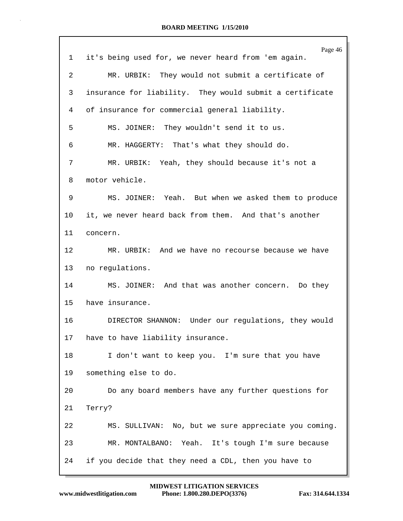|    | Page 46                                                  |
|----|----------------------------------------------------------|
| ı  | it's being used for, we never heard from 'em again.      |
| 2  | MR. URBIK: They would not submit a certificate of        |
| 3  | insurance for liability. They would submit a certificate |
| 4  | of insurance for commercial general liability.           |
| 5  | MS. JOINER: They wouldn't send it to us.                 |
| 6  | MR. HAGGERTY: That's what they should do.                |
| 7  | MR. URBIK: Yeah, they should because it's not a          |
| 8  | motor vehicle.                                           |
| 9  | MS. JOINER: Yeah. But when we asked them to produce      |
| 10 | it, we never heard back from them. And that's another    |
| 11 | concern.                                                 |
| 12 | MR. URBIK: And we have no recourse because we have       |
| 13 | no regulations.                                          |
| 14 | MS. JOINER: And that was another concern. Do they        |
| 15 | have insurance.                                          |
| 16 | DIRECTOR SHANNON: Under our regulations, they would      |
| 17 | have to have liability insurance.                        |
| 18 | I don't want to keep you. I'm sure that you have         |
| 19 | something else to do.                                    |
| 20 | Do any board members have any further questions for      |
| 21 | Terry?                                                   |
| 22 | MS. SULLIVAN: No, but we sure appreciate you coming.     |
| 23 | MR. MONTALBANO: Yeah. It's tough I'm sure because        |
| 24 | if you decide that they need a CDL, then you have to     |
|    |                                                          |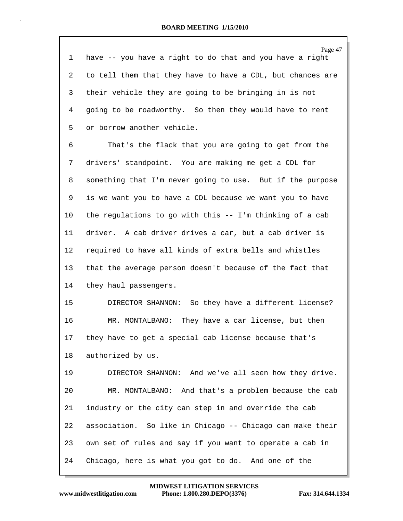Page 47 1 have -- you have a right to do that and you have a right 2 to tell them that they have to have a CDL, but chances are 3 their vehicle they are going to be bringing in is not 4 going to be roadworthy. So then they would have to rent 5 or borrow another vehicle. 6 That's the flack that you are going to get from the 7 drivers' standpoint. You are making me get a CDL for 8 something that I'm never going to use. But if the purpose 9 is we want you to have a CDL because we want you to have 10 the regulations to go with this -- I'm thinking of a cab 11 driver. A cab driver drives a car, but a cab driver is 12 required to have all kinds of extra bells and whistles 13 that the average person doesn't because of the fact that 14 they haul passengers. 15 DIRECTOR SHANNON: So they have a different license? 16 MR. MONTALBANO: They have a car license, but then 17 they have to get a special cab license because that's 18 authorized by us. 19 DIRECTOR SHANNON: And we've all seen how they drive. 20 MR. MONTALBANO: And that's a problem because the cab 21 industry or the city can step in and override the cab 22 association. So like in Chicago -- Chicago can make their 23 own set of rules and say if you want to operate a cab in

24 Chicago, here is what you got to do. And one of the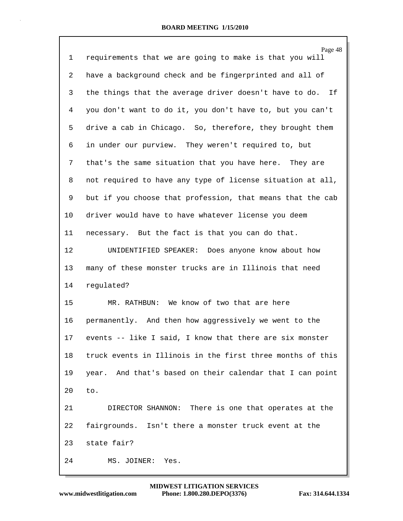| 1       | Page 48<br>requirements that we are going to make is that you will |
|---------|--------------------------------------------------------------------|
| 2       | have a background check and be fingerprinted and all of            |
| 3       | the things that the average driver doesn't have to do. If          |
| 4       | you don't want to do it, you don't have to, but you can't          |
| 5       | drive a cab in Chicago. So, therefore, they brought them           |
| 6       | in under our purview. They weren't required to, but                |
| 7       | that's the same situation that you have here. They are             |
| 8       | not required to have any type of license situation at all,         |
| 9       | but if you choose that profession, that means that the cab         |
| 10      | driver would have to have whatever license you deem                |
| 11      | necessary. But the fact is that you can do that.                   |
| $12 \,$ | UNIDENTIFIED SPEAKER: Does anyone know about how                   |
| 13      | many of these monster trucks are in Illinois that need             |
| 14      | regulated?                                                         |
| 15      | MR. RATHBUN: We know of two that are here                          |
| 16      | permanently. And then how aggressively we went to the              |
| 17      | events -- like I said, I know that there are six monster           |
| 18      | truck events in Illinois in the first three months of this         |
| 19      | year. And that's based on their calendar that I can point          |
| 20      | to.                                                                |
| 21      | DIRECTOR SHANNON: There is one that operates at the                |
| 22      | fairgrounds. Isn't there a monster truck event at the              |
| 23      | state fair?                                                        |
| 24      | MS. JOINER:<br>Yes.                                                |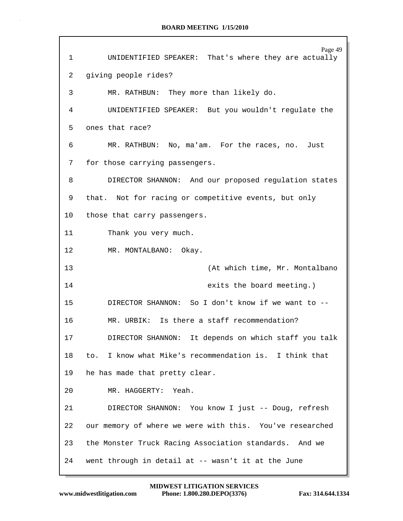|             | Page 49                                                  |
|-------------|----------------------------------------------------------|
| $\mathbf 1$ | UNIDENTIFIED SPEAKER: That's where they are actually     |
| 2           | giving people rides?                                     |
| 3           | MR. RATHBUN: They more than likely do.                   |
| 4           | UNIDENTIFIED SPEAKER: But you wouldn't regulate the      |
| 5           | ones that race?                                          |
| 6           | MR. RATHBUN: No, ma'am. For the races, no. Just          |
| 7           | for those carrying passengers.                           |
| 8           | DIRECTOR SHANNON: And our proposed regulation states     |
| 9           | that. Not for racing or competitive events, but only     |
| 10          | those that carry passengers.                             |
| 11          | Thank you very much.                                     |
| 12          | MR. MONTALBANO: Okay.                                    |
|             |                                                          |
| 13          | (At which time, Mr. Montalbano                           |
| 14          | exits the board meeting.)                                |
| 15          | DIRECTOR SHANNON: So I don't know if we want to --       |
| 16          | MR. URBIK: Is there a staff recommendation?              |
| 17          | DIRECTOR SHANNON: It depends on which staff you talk     |
| 18          | to. I know what Mike's recommendation is. I think that   |
| 19          | he has made that pretty clear.                           |
| 20          | MR. HAGGERTY: Yeah.                                      |
| 21          | DIRECTOR SHANNON: You know I just -- Doug, refresh       |
| 22          | our memory of where we were with this. You've researched |
| 23          | the Monster Truck Racing Association standards. And we   |
| 24          | went through in detail at -- wasn't it at the June       |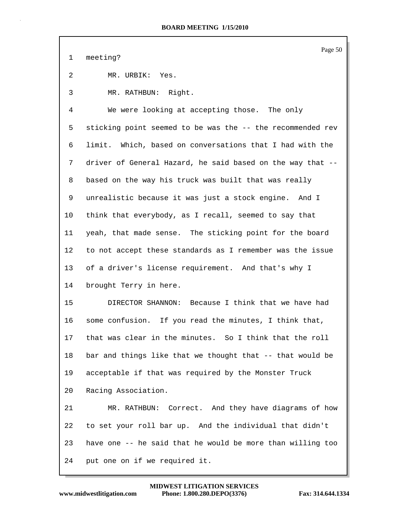1 meeting?

2 MR. URBIK: Yes.

3 MR. RATHBUN: Right.

4 We were looking at accepting those. The only 5 sticking point seemed to be was the -- the recommended rev 6 limit. Which, based on conversations that I had with the 7 driver of General Hazard, he said based on the way that -- 8 based on the way his truck was built that was really 9 unrealistic because it was just a stock engine. And I 10 think that everybody, as I recall, seemed to say that 11 yeah, that made sense. The sticking point for the board 12 to not accept these standards as I remember was the issue 13 of a driver's license requirement. And that's why I 14 brought Terry in here.

15 DIRECTOR SHANNON: Because I think that we have had 16 some confusion. If you read the minutes, I think that, 17 that was clear in the minutes. So I think that the roll 18 bar and things like that we thought that -- that would be 19 acceptable if that was required by the Monster Truck 20 Racing Association.

21 MR. RATHBUN: Correct. And they have diagrams of how 22 to set your roll bar up. And the individual that didn't 23 have one -- he said that he would be more than willing too 24 put one on if we required it.

Page 50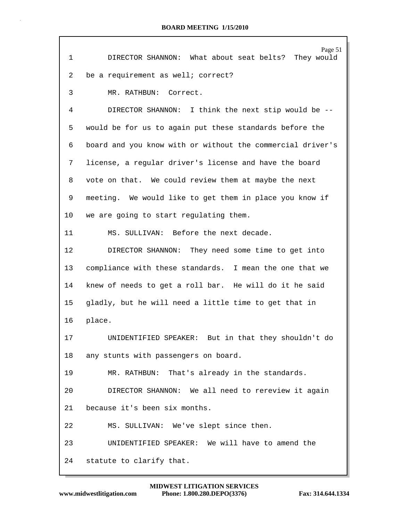| 1  | Page 51<br>DIRECTOR SHANNON: What about seat belts? They would |
|----|----------------------------------------------------------------|
| 2  | be a requirement as well; correct?                             |
| 3  | MR. RATHBUN: Correct.                                          |
| 4  | DIRECTOR SHANNON: I think the next stip would be --            |
| 5  | would be for us to again put these standards before the        |
| 6  | board and you know with or without the commercial driver's     |
| 7  | license, a regular driver's license and have the board         |
| 8  | vote on that. We could review them at maybe the next           |
| 9  | meeting. We would like to get them in place you know if        |
| 10 | we are going to start regulating them.                         |
| 11 | MS. SULLIVAN: Before the next decade.                          |
| 12 | DIRECTOR SHANNON: They need some time to get into              |
| 13 | compliance with these standards. I mean the one that we        |
| 14 | knew of needs to get a roll bar. He will do it he said         |
| 15 | gladly, but he will need a little time to get that in          |
| 16 | place.                                                         |
| 17 | UNIDENTIFIED SPEAKER: But in that they shouldn't do            |
| 18 | any stunts with passengers on board.                           |
| 19 | MR. RATHBUN: That's already in the standards.                  |
| 20 | DIRECTOR SHANNON: We all need to rereview it again             |
| 21 | because it's been six months.                                  |
| 22 | MS. SULLIVAN: We've slept since then.                          |
| 23 | UNIDENTIFIED SPEAKER: We will have to amend the                |
| 24 | statute to clarify that.                                       |

Г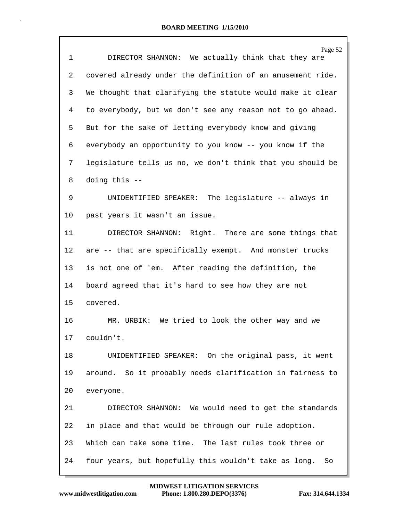| 1       | Page 52<br>DIRECTOR SHANNON: We actually think that they are |
|---------|--------------------------------------------------------------|
| 2       | covered already under the definition of an amusement ride.   |
| 3       | We thought that clarifying the statute would make it clear   |
| 4       | to everybody, but we don't see any reason not to go ahead.   |
| 5       | But for the sake of letting everybody know and giving        |
| 6       | everybody an opportunity to you know -- you know if the      |
| 7       | legislature tells us no, we don't think that you should be   |
| 8       | doing this --                                                |
| 9       | UNIDENTIFIED SPEAKER: The legislature -- always in           |
| 10      | past years it wasn't an issue.                               |
| 11      | DIRECTOR SHANNON: Right. There are some things that          |
| $12 \,$ | are -- that are specifically exempt. And monster trucks      |
| 13      | is not one of 'em. After reading the definition, the         |
| 14      | board agreed that it's hard to see how they are not          |
| 15      | covered.                                                     |
| 16      | MR. URBIK: We tried to look the other way and we             |
| 17      | couldn't.                                                    |
| 18      | UNIDENTIFIED SPEAKER: On the original pass, it went          |
| 19      | around. So it probably needs clarification in fairness to    |
| 20      | everyone.                                                    |
| 21      | DIRECTOR SHANNON: We would need to get the standards         |
| 22      | in place and that would be through our rule adoption.        |
| 23      | Which can take some time. The last rules took three or       |
| 24      | four years, but hopefully this wouldn't take as long.<br>So  |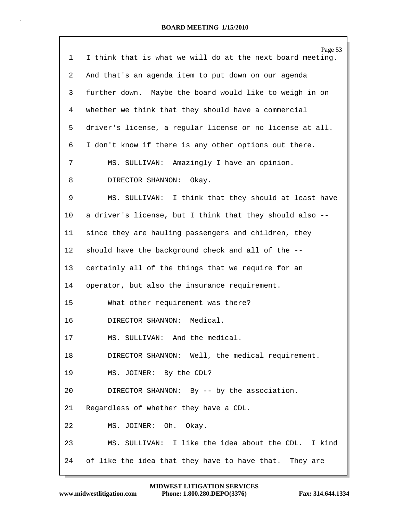| 1  | Page 53<br>I think that is what we will do at the next board meeting. |
|----|-----------------------------------------------------------------------|
| 2  | And that's an agenda item to put down on our agenda                   |
|    |                                                                       |
| 3  | further down. Maybe the board would like to weigh in on               |
| 4  | whether we think that they should have a commercial                   |
| 5  | driver's license, a regular license or no license at all.             |
| 6  | I don't know if there is any other options out there.                 |
| 7  | MS. SULLIVAN: Amazingly I have an opinion.                            |
| 8  | DIRECTOR SHANNON:<br>Okay.                                            |
| 9  | MS. SULLIVAN: I think that they should at least have                  |
| 10 | a driver's license, but I think that they should also --              |
| 11 | since they are hauling passengers and children, they                  |
| 12 | should have the background check and all of the --                    |
| 13 | certainly all of the things that we require for an                    |
| 14 | operator, but also the insurance requirement.                         |
| 15 | What other requirement was there?                                     |
| 16 | DIRECTOR SHANNON: Medical.                                            |
| 17 | SULLIVAN: And the medical<br>MS.                                      |
| 18 | DIRECTOR SHANNON: Well, the medical requirement.                      |
| 19 | MS. JOINER: By the CDL?                                               |
| 20 | DIRECTOR SHANNON: By -- by the association.                           |
| 21 | Regardless of whether they have a CDL.                                |
| 22 | MS. JOINER: Oh. Okay.                                                 |
| 23 | MS. SULLIVAN: I like the idea about the CDL. I kind                   |
| 24 | of like the idea that they have to have that. They are                |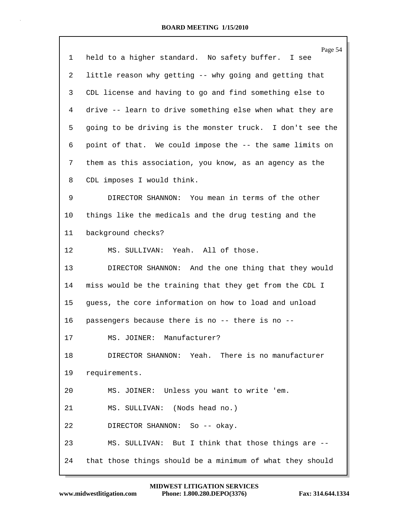|    | Page 54                                                   |
|----|-----------------------------------------------------------|
| 1  | held to a higher standard. No safety buffer. I see        |
| 2  | little reason why getting -- why going and getting that   |
| 3  | CDL license and having to go and find something else to   |
| 4  | drive -- learn to drive something else when what they are |
| 5  | going to be driving is the monster truck. I don't see the |
| 6  | point of that. We could impose the -- the same limits on  |
| 7  | them as this association, you know, as an agency as the   |
| 8  | CDL imposes I would think.                                |
| 9  | DIRECTOR SHANNON: You mean in terms of the other          |
| 10 | things like the medicals and the drug testing and the     |
| 11 | background checks?                                        |
| 12 | MS. SULLIVAN: Yeah. All of those.                         |
| 13 | DIRECTOR SHANNON: And the one thing that they would       |
| 14 | miss would be the training that they get from the CDL I   |
| 15 | guess, the core information on how to load and unload     |
| 16 | passengers because there is no -- there is no --          |
| 17 | MS. JOINER: Manufacturer?                                 |
| 18 | DIRECTOR SHANNON: Yeah. There is no manufacturer          |
| 19 | requirements.                                             |
| 20 | MS. JOINER: Unless you want to write 'em.                 |
| 21 | MS. SULLIVAN: (Nods head no.)                             |
| 22 | DIRECTOR SHANNON: So -- okay.                             |
| 23 | MS. SULLIVAN: But I think that those things are --        |
| 24 | that those things should be a minimum of what they should |
|    |                                                           |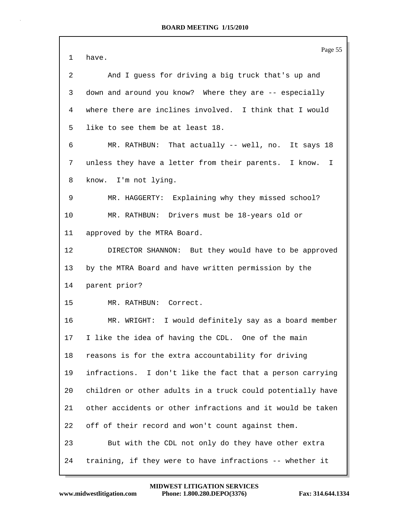| $\mathbf{1}$ | Page 55<br>have.                                           |
|--------------|------------------------------------------------------------|
| 2            | And I guess for driving a big truck that's up and          |
| 3            | down and around you know? Where they are -- especially     |
| 4            | where there are inclines involved. I think that I would    |
| 5            | like to see them be at least 18.                           |
| 6            | MR. RATHBUN: That actually -- well, no. It says 18         |
| 7            | unless they have a letter from their parents. I know.<br>I |
| 8            | know. I'm not lying.                                       |
| 9            | MR. HAGGERTY: Explaining why they missed school?           |
| 10           | MR. RATHBUN: Drivers must be 18-years old or               |
| 11           | approved by the MTRA Board.                                |
| 12           | DIRECTOR SHANNON: But they would have to be approved       |
| 13           | by the MTRA Board and have written permission by the       |
| 14           | parent prior?                                              |
| 15           | MR. RATHBUN: Correct.                                      |
| 16           | MR. WRIGHT: I would definitely say as a board member       |
| 17           | I like the idea of having the CDL. One of the main         |
| 18           | reasons is for the extra accountability for driving        |
| 19           | infractions. I don't like the fact that a person carrying  |
| 20           | children or other adults in a truck could potentially have |
| 21           | other accidents or other infractions and it would be taken |
| 22           | off of their record and won't count against them.          |
| 23           | But with the CDL not only do they have other extra         |
| 24           | training, if they were to have infractions -- whether it   |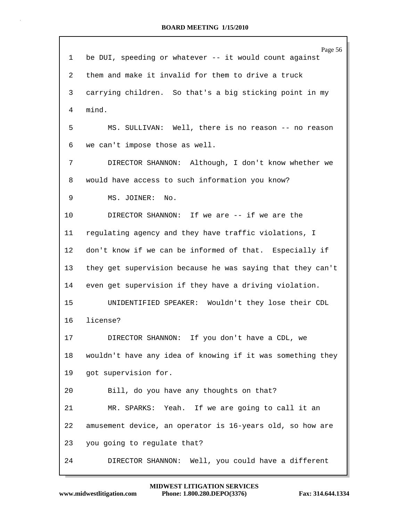| $\mathbf{1}$ | Page 56<br>be DUI, speeding or whatever -- it would count against |
|--------------|-------------------------------------------------------------------|
|              |                                                                   |
| 2            | them and make it invalid for them to drive a truck                |
| 3            | carrying children. So that's a big sticking point in my           |
| 4            | mind.                                                             |
| 5            | MS. SULLIVAN: Well, there is no reason -- no reason               |
| 6            | we can't impose those as well.                                    |
| 7            | DIRECTOR SHANNON: Although, I don't know whether we               |
| 8            | would have access to such information you know?                   |
| 9            | MS. JOINER:<br>No.                                                |
| 10           | DIRECTOR SHANNON: If we are -- if we are the                      |
| 11           | regulating agency and they have traffic violations, I             |
| $12 \,$      | don't know if we can be informed of that. Especially if           |
| 13           | they get supervision because he was saying that they can't        |
| 14           | even get supervision if they have a driving violation.            |
| 15           | UNIDENTIFIED SPEAKER: Wouldn't they lose their CDL                |
| 16           | license?                                                          |
| 17           | DIRECTOR SHANNON: If you don't have a CDL, we                     |
| 18           | wouldn't have any idea of knowing if it was something they        |
| 19           | got supervision for.                                              |
| 20           | Bill, do you have any thoughts on that?                           |
| 21           | MR. SPARKS: Yeah. If we are going to call it an                   |
| 22           | amusement device, an operator is 16-years old, so how are         |
| 23           | you going to regulate that?                                       |
| 24           | DIRECTOR SHANNON: Well, you could have a different                |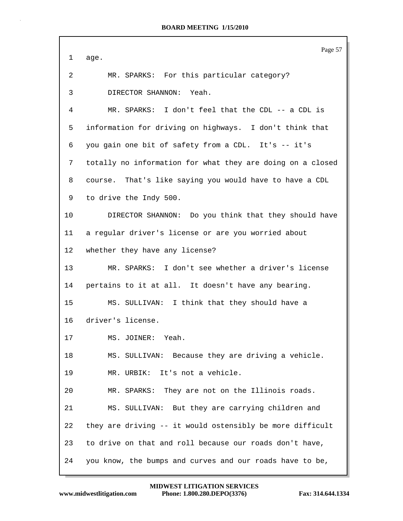Page 57 1 age. 2 MR. SPARKS: For this particular category? 3 DIRECTOR SHANNON: Yeah. 4 MR. SPARKS: I don't feel that the CDL -- a CDL is 5 information for driving on highways. I don't think that 6 you gain one bit of safety from a CDL. It's -- it's 7 totally no information for what they are doing on a closed 8 course. That's like saying you would have to have a CDL 9 to drive the Indy 500. 10 DIRECTOR SHANNON: Do you think that they should have 11 a regular driver's license or are you worried about 12 whether they have any license? 13 MR. SPARKS: I don't see whether a driver's license 14 pertains to it at all. It doesn't have any bearing. 15 MS. SULLIVAN: I think that they should have a 16 driver's license. 17 MS. JOINER: Yeah. 18 MS. SULLIVAN: Because they are driving a vehicle. 19 MR. URBIK: It's not a vehicle. 20 MR. SPARKS: They are not on the Illinois roads. 21 MS. SULLIVAN: But they are carrying children and 22 they are driving -- it would ostensibly be more difficult 23 to drive on that and roll because our roads don't have, 24 you know, the bumps and curves and our roads have to be,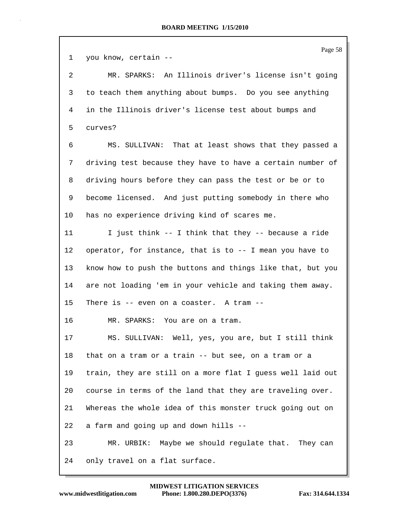Page 58 1 you know, certain -- 2 MR. SPARKS: An Illinois driver's license isn't going 3 to teach them anything about bumps. Do you see anything 4 in the Illinois driver's license test about bumps and 5 curves? 6 MS. SULLIVAN: That at least shows that they passed a 7 driving test because they have to have a certain number of 8 driving hours before they can pass the test or be or to 9 become licensed. And just putting somebody in there who 10 has no experience driving kind of scares me. 11 I just think -- I think that they -- because a ride 12 operator, for instance, that is to -- I mean you have to 13 know how to push the buttons and things like that, but you 14 are not loading 'em in your vehicle and taking them away. 15 There is -- even on a coaster. A tram -- 16 MR. SPARKS: You are on a tram. 17 MS. SULLIVAN: Well, yes, you are, but I still think 18 that on a tram or a train -- but see, on a tram or a 19 train, they are still on a more flat I guess well laid out 20 course in terms of the land that they are traveling over. 21 Whereas the whole idea of this monster truck going out on 22 a farm and going up and down hills -- 23 MR. URBIK: Maybe we should regulate that. They can 24 only travel on a flat surface.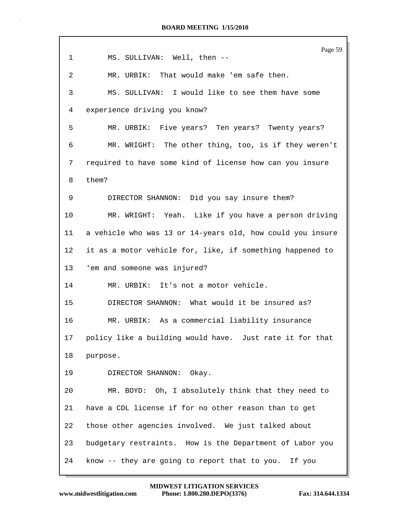| 1               | Page 59<br>MS. SULLIVAN: Well, then --                     |
|-----------------|------------------------------------------------------------|
| 2               | MR. URBIK: That would make 'em safe then.                  |
| 3               | MS. SULLIVAN: I would like to see them have some           |
| 4               | experience driving you know?                               |
| 5               | MR. URBIK: Five years? Ten years? Twenty years?            |
| 6               | MR. WRIGHT: The other thing, too, is if they weren't       |
| 7               | required to have some kind of license how can you insure   |
| 8               | them?                                                      |
| 9               | DIRECTOR SHANNON: Did you say insure them?                 |
| 10              | MR. WRIGHT: Yeah. Like if you have a person driving        |
| 11              | a vehicle who was 13 or 14-years old, how could you insure |
| 12 <sub>2</sub> | it as a motor vehicle for, like, if something happened to  |
| 13              | 'em and someone was injured?                               |
| 14              | MR. URBIK: It's not a motor vehicle.                       |
| 15              | DIRECTOR SHANNON: What would it be insured as?             |
| 16              | MR. URBIK: As a commercial liability insurance             |
| 17              | policy like a building would have. Just rate it for that   |
| 18              | purpose.                                                   |
| 19              | DIRECTOR SHANNON: Okay.                                    |
| 20              | MR. BOYD: Oh, I absolutely think that they need to         |
| 21              | have a CDL license if for no other reason than to get      |
| 22              | those other agencies involved. We just talked about        |
| 23              | budgetary restraints. How is the Department of Labor you   |
| 24              | know -- they are going to report that to you. If you       |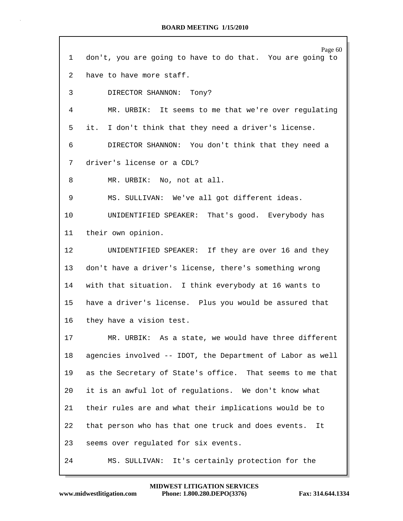| 1               | Page 60<br>don't, you are going to have to do that. You are going to |
|-----------------|----------------------------------------------------------------------|
| $\overline{2}$  | have to have more staff.                                             |
| 3               | DIRECTOR SHANNON: Tony?                                              |
| 4               | MR. URBIK: It seems to me that we're over regulating                 |
| 5               | it. I don't think that they need a driver's license.                 |
| 6               | DIRECTOR SHANNON: You don't think that they need a                   |
| 7               | driver's license or a CDL?                                           |
| 8               | MR. URBIK: No, not at all.                                           |
| 9               | MS. SULLIVAN: We've all got different ideas.                         |
| 10              | UNIDENTIFIED SPEAKER: That's good. Everybody has                     |
| 11              | their own opinion.                                                   |
| 12              | UNIDENTIFIED SPEAKER: If they are over 16 and they                   |
| 13              | don't have a driver's license, there's something wrong               |
| 14              | with that situation. I think everybody at 16 wants to                |
| 15 <sub>1</sub> | have a driver's license. Plus you would be assured that              |
| 16              | they have a vision test.                                             |
| 17              | MR. URBIK: As a state, we would have three different                 |
| 18              | agencies involved -- IDOT, the Department of Labor as well           |
| 19              | as the Secretary of State's office. That seems to me that            |
| 20              | it is an awful lot of regulations. We don't know what                |
| 21              | their rules are and what their implications would be to              |
|                 |                                                                      |
| 22              | that person who has that one truck and does events.<br>It            |
| 23              | seems over regulated for six events.                                 |
| 24              | MS. SULLIVAN: It's certainly protection for the                      |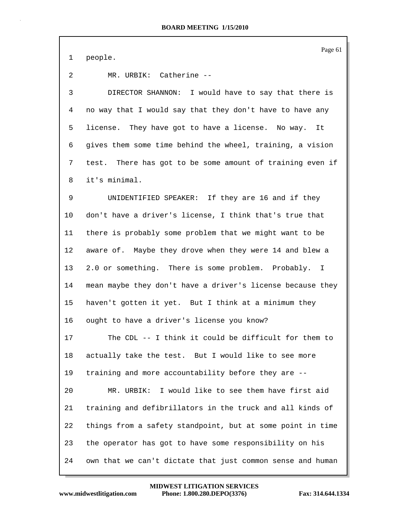Page 61

1 people.

2 MR. URBIK: Catherine --

3 DIRECTOR SHANNON: I would have to say that there is 4 no way that I would say that they don't have to have any 5 license. They have got to have a license. No way. It 6 gives them some time behind the wheel, training, a vision 7 test. There has got to be some amount of training even if 8 it's minimal.

9 UNIDENTIFIED SPEAKER: If they are 16 and if they 10 don't have a driver's license, I think that's true that 11 there is probably some problem that we might want to be 12 aware of. Maybe they drove when they were 14 and blew a 13 2.0 or something. There is some problem. Probably. I 14 mean maybe they don't have a driver's license because they 15 haven't gotten it yet. But I think at a minimum they 16 ought to have a driver's license you know? 17 The CDL -- I think it could be difficult for them to 18 actually take the test. But I would like to see more 19 training and more accountability before they are -- 20 MR. URBIK: I would like to see them have first aid 21 training and defibrillators in the truck and all kinds of 22 things from a safety standpoint, but at some point in time 23 the operator has got to have some responsibility on his 24 own that we can't dictate that just common sense and human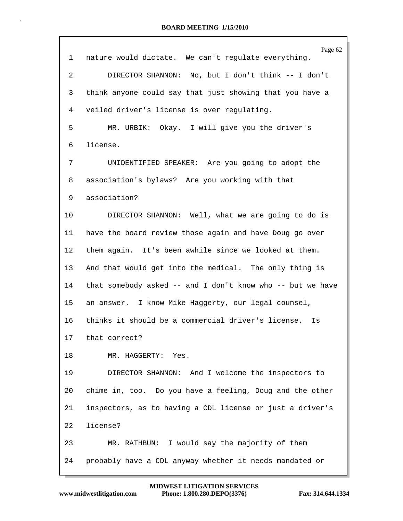|                 | Page 62                                                    |
|-----------------|------------------------------------------------------------|
| $\mathbf{1}$    | nature would dictate. We can't regulate everything.        |
| $\overline{a}$  | DIRECTOR SHANNON: No, but I don't think -- I don't         |
| 3               | think anyone could say that just showing that you have a   |
| 4               | veiled driver's license is over regulating.                |
| 5               | MR. URBIK: Okay. I will give you the driver's              |
| 6               | license.                                                   |
| 7               | UNIDENTIFIED SPEAKER: Are you going to adopt the           |
| 8               | association's bylaws? Are you working with that            |
| 9               | association?                                               |
| 10              | DIRECTOR SHANNON: Well, what we are going to do is         |
| 11              | have the board review those again and have Doug go over    |
| 12              | them again. It's been awhile since we looked at them.      |
| 13              | And that would get into the medical. The only thing is     |
| 14              | that somebody asked -- and I don't know who -- but we have |
| 15              | an answer. I know Mike Haggerty, our legal counsel,        |
| 16              | thinks it should be a commercial driver's license.<br>Is   |
| 17 <sub>2</sub> | that correct?                                              |
| 18              | MR. HAGGERTY: Yes.                                         |
| 19              | DIRECTOR SHANNON: And I welcome the inspectors to          |
| 20              | chime in, too. Do you have a feeling, Doug and the other   |
| 21              | inspectors, as to having a CDL license or just a driver's  |
| 22              | license?                                                   |
| 23              | MR. RATHBUN: I would say the majority of them              |
| 24              | probably have a CDL anyway whether it needs mandated or    |
|                 |                                                            |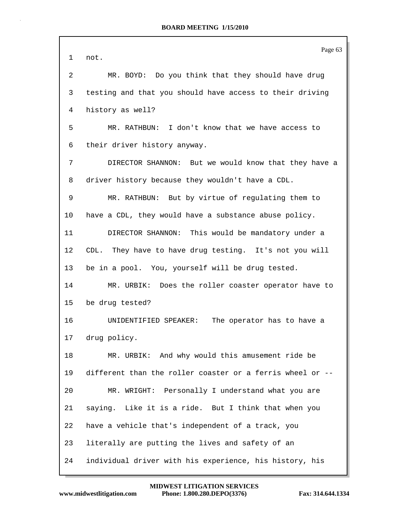|    | Page 63                                                   |
|----|-----------------------------------------------------------|
| 1  | not.                                                      |
| 2  | MR. BOYD: Do you think that they should have drug         |
| 3  | testing and that you should have access to their driving  |
| 4  | history as well?                                          |
| 5  | MR. RATHBUN: I don't know that we have access to          |
| 6  | their driver history anyway.                              |
| 7  | DIRECTOR SHANNON: But we would know that they have a      |
| 8  | driver history because they wouldn't have a CDL.          |
| 9  | MR. RATHBUN: But by virtue of regulating them to          |
| 10 | have a CDL, they would have a substance abuse policy.     |
| 11 | DIRECTOR SHANNON: This would be mandatory under a         |
| 12 | They have to have drug testing. It's not you will<br>CDL. |
| 13 | be in a pool. You, yourself will be drug tested.          |
| 14 | MR. URBIK: Does the roller coaster operator have to       |
| 15 | be drug tested?                                           |
| 16 | UNIDENTIFIED SPEAKER:<br>The operator has to have a       |
| 17 | drug policy.                                              |
| 18 | MR. URBIK: And why would this amusement ride be           |
| 19 | different than the roller coaster or a ferris wheel or -- |
| 20 | MR. WRIGHT: Personally I understand what you are          |
| 21 | saying. Like it is a ride. But I think that when you      |
| 22 | have a vehicle that's independent of a track, you         |
| 23 | literally are putting the lives and safety of an          |
| 24 | individual driver with his experience, his history, his   |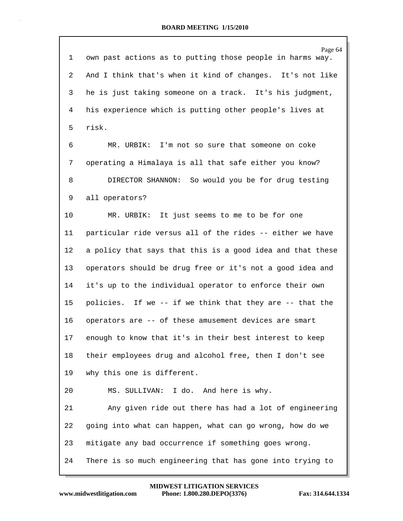| 1  | Page 64<br>own past actions as to putting those people in harms way. |
|----|----------------------------------------------------------------------|
| 2  | And I think that's when it kind of changes. It's not like            |
| 3  | he is just taking someone on a track. It's his judgment,             |
| 4  | his experience which is putting other people's lives at              |
| 5  | risk.                                                                |
| 6  | MR. URBIK: I'm not so sure that someone on coke                      |
| 7  | operating a Himalaya is all that safe either you know?               |
| 8  | DIRECTOR SHANNON: So would you be for drug testing                   |
| 9  | all operators?                                                       |
| 10 | MR. URBIK: It just seems to me to be for one                         |
| 11 | particular ride versus all of the rides -- either we have            |
| 12 | a policy that says that this is a good idea and that these           |
| 13 | operators should be drug free or it's not a good idea and            |
| 14 | it's up to the individual operator to enforce their own              |
| 15 | policies. If we -- if we think that they are -- that the             |
| 16 | operators are -- of these amusement devices are smart                |
| 17 | enough to know that it's in their best interest to keep              |
| 18 | their employees drug and alcohol free, then I don't see              |
| 19 | why this one is different.                                           |
| 20 | MS. SULLIVAN: I do. And here is why.                                 |
| 21 | Any given ride out there has had a lot of engineering                |
| 22 | going into what can happen, what can go wrong, how do we             |
| 23 | mitigate any bad occurrence if something goes wrong.                 |
| 24 | There is so much engineering that has gone into trying to            |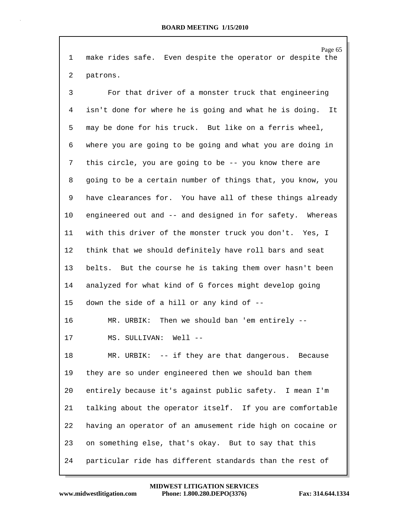Page 65 1 make rides safe. Even despite the operator or despite the 2 patrons.

3 For that driver of a monster truck that engineering 4 isn't done for where he is going and what he is doing. It 5 may be done for his truck. But like on a ferris wheel, 6 where you are going to be going and what you are doing in 7 this circle, you are going to be -- you know there are 8 going to be a certain number of things that, you know, you 9 have clearances for. You have all of these things already 10 engineered out and -- and designed in for safety. Whereas 11 with this driver of the monster truck you don't. Yes, I 12 think that we should definitely have roll bars and seat 13 belts. But the course he is taking them over hasn't been 14 analyzed for what kind of G forces might develop going 15 down the side of a hill or any kind of -- 16 MR. URBIK: Then we should ban 'em entirely -- 17 MS. SULLIVAN: Well -- 18 MR. URBIK: -- if they are that dangerous. Because 19 they are so under engineered then we should ban them 20 entirely because it's against public safety. I mean I'm 21 talking about the operator itself. If you are comfortable 22 having an operator of an amusement ride high on cocaine or 23 on something else, that's okay. But to say that this 24 particular ride has different standards than the rest of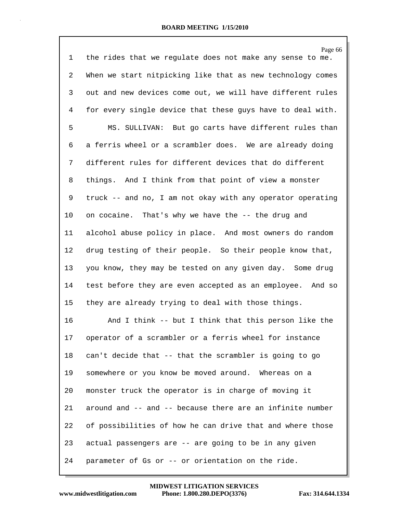| $\mathbf{1}$   | Page 66<br>the rides that we regulate does not make any sense to me. |
|----------------|----------------------------------------------------------------------|
| $\overline{2}$ | When we start nitpicking like that as new technology comes           |
| 3              | out and new devices come out, we will have different rules           |
| 4              | for every single device that these guys have to deal with.           |
| 5              | MS. SULLIVAN: But go carts have different rules than                 |
| 6              | a ferris wheel or a scrambler does. We are already doing             |
| 7              | different rules for different devices that do different              |
| 8              | things. And I think from that point of view a monster                |
| 9              | truck -- and no, I am not okay with any operator operating           |
| 10             | on cocaine. That's why we have the -- the drug and                   |
| 11             | alcohol abuse policy in place. And most owners do random             |
| 12             | drug testing of their people. So their people know that,             |
| 13             | you know, they may be tested on any given day. Some drug             |
| 14             | test before they are even accepted as an employee. And so            |
| 15             | they are already trying to deal with those things.                   |
| 16             | And I think -- but I think that this person like the                 |
| 17             | operator of a scrambler or a ferris wheel for instance               |
| 18             | can't decide that -- that the scrambler is going to go               |
| 19             | somewhere or you know be moved around. Whereas on a                  |
| 20             | monster truck the operator is in charge of moving it                 |
| 21             | around and -- and -- because there are an infinite number            |
| 22             | of possibilities of how he can drive that and where those            |
| 23             | actual passengers are -- are going to be in any given                |
| 24             | parameter of Gs or -- or orientation on the ride.                    |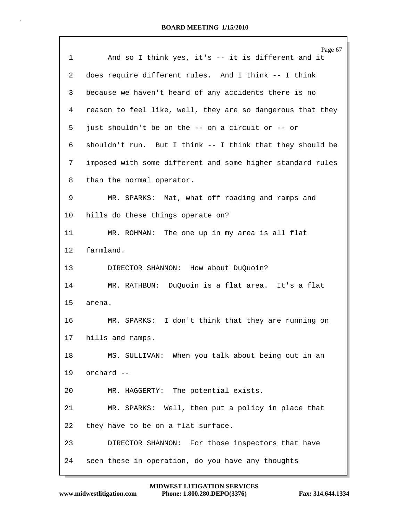|                 | Page 67                                                    |
|-----------------|------------------------------------------------------------|
| $\mathbf{1}$    | And so I think yes, it's -- it is different and it         |
| 2               | does require different rules. And I think -- I think       |
| 3               | because we haven't heard of any accidents there is no      |
| 4               | reason to feel like, well, they are so dangerous that they |
| 5               | just shouldn't be on the -- on a circuit or -- or          |
| 6               | shouldn't run. But I think -- I think that they should be  |
| 7               | imposed with some different and some higher standard rules |
| 8               | than the normal operator.                                  |
| 9               | MR. SPARKS: Mat, what off roading and ramps and            |
| 10              | hills do these things operate on?                          |
| 11              | MR. ROHMAN: The one up in my area is all flat              |
| 12 <sup>°</sup> | farmland.                                                  |
| 13              | DIRECTOR SHANNON: How about DuQuoin?                       |
| 14              | MR. RATHBUN: DuQuoin is a flat area. It's a flat           |
| 15              | arena.                                                     |
| 16              | MR. SPARKS: I don't think that they are running on         |
| 17              | hills and ramps.                                           |
| 18              | MS. SULLIVAN: When you talk about being out in an          |
| 19              | orchard --                                                 |
| 20              | MR. HAGGERTY: The potential exists.                        |
| 21              | MR. SPARKS: Well, then put a policy in place that          |
| 22              | they have to be on a flat surface.                         |
| 23              | DIRECTOR SHANNON: For those inspectors that have           |
| 24              | seen these in operation, do you have any thoughts          |
|                 |                                                            |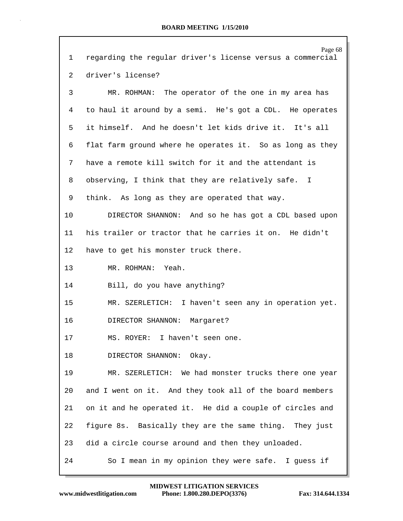| $\mathbf{1}$   | Page 68<br>regarding the regular driver's license versus a commercial |
|----------------|-----------------------------------------------------------------------|
| $\overline{2}$ | driver's license?                                                     |
| 3              | MR. ROHMAN: The operator of the one in my area has                    |
| 4              | to haul it around by a semi. He's got a CDL. He operates              |
| 5              | it himself. And he doesn't let kids drive it. It's all                |
| 6              | flat farm ground where he operates it. So as long as they             |
| 7              | have a remote kill switch for it and the attendant is                 |
| 8              | observing, I think that they are relatively safe. I                   |
| 9              | think. As long as they are operated that way.                         |
| 10             | DIRECTOR SHANNON: And so he has got a CDL based upon                  |
| 11             | his trailer or tractor that he carries it on. He didn't               |
| $12 \,$        | have to get his monster truck there.                                  |
| 13             | MR. ROHMAN: Yeah.                                                     |
| 14             | Bill, do you have anything?                                           |
| 15             | MR. SZERLETICH: I haven't seen any in operation yet.                  |
| 16             | DIRECTOR SHANNON: Margaret?                                           |
| 17             | MS. ROYER: I haven't seen one.                                        |
| 18             | DIRECTOR SHANNON: Okay.                                               |
| 19             | MR. SZERLETICH: We had monster trucks there one year                  |
| 20             | and I went on it. And they took all of the board members              |
| 21             | on it and he operated it. He did a couple of circles and              |
| 22             | figure 8s. Basically they are the same thing. They just               |
| 23             | did a circle course around and then they unloaded.                    |
| 24             | So I mean in my opinion they were safe. I guess if                    |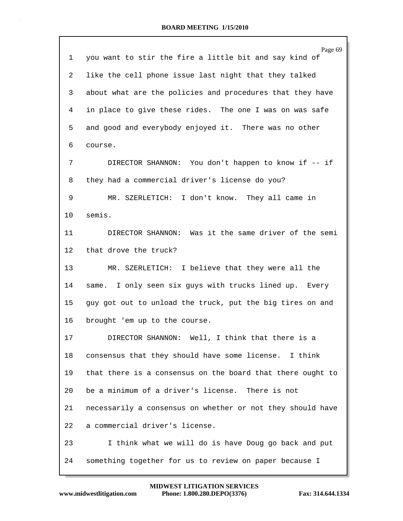|         | Page 69                                                    |
|---------|------------------------------------------------------------|
| 1       | you want to stir the fire a little bit and say kind of     |
| 2       | like the cell phone issue last night that they talked      |
| 3       | about what are the policies and procedures that they have  |
| 4       | in place to give these rides. The one I was on was safe    |
| 5       | and good and everybody enjoyed it. There was no other      |
| 6       | course.                                                    |
| 7       | DIRECTOR SHANNON: You don't happen to know if -- if        |
| 8       | they had a commercial driver's license do you?             |
| 9       | MR. SZERLETICH: I don't know. They all came in             |
| 10      | semis.                                                     |
| 11      | DIRECTOR SHANNON: Was it the same driver of the semi       |
| $12 \,$ | that drove the truck?                                      |
| 13      | MR. SZERLETICH: I believe that they were all the           |
| 14      | same. I only seen six guys with trucks lined up. Every     |
| 15      | guy got out to unload the truck, put the big tires on and  |
| 16      | brought 'em up to the course.                              |
| 17      | DIRECTOR SHANNON: Well, I think that there is a            |
| 18      | consensus that they should have some license. I think      |
| 19      | that there is a consensus on the board that there ought to |
| 20      | be a minimum of a driver's license. There is not           |
| 21      | necessarily a consensus on whether or not they should have |
| 22      | a commercial driver's license.                             |
| 23      | I think what we will do is have Doug go back and put       |
| 24      | something together for us to review on paper because I     |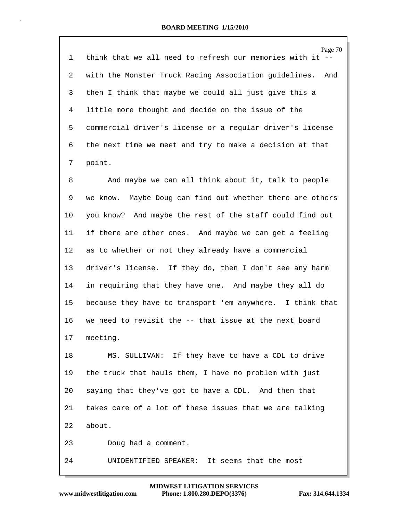|    | Page 70                                                      |
|----|--------------------------------------------------------------|
| 1  | think that we all need to refresh our memories with it       |
| 2  | with the Monster Truck Racing Association guidelines.<br>And |
| 3  | then I think that maybe we could all just give this a        |
| 4  | little more thought and decide on the issue of the           |
| 5  | commercial driver's license or a regular driver's license    |
| 6  | the next time we meet and try to make a decision at that     |
| 7  | point.                                                       |
| 8  | And maybe we can all think about it, talk to people          |
| 9  | we know. Maybe Doug can find out whether there are others    |
| 10 | you know? And maybe the rest of the staff could find out     |
| 11 | if there are other ones. And maybe we can get a feeling      |
| 12 | as to whether or not they already have a commercial          |
| 13 | driver's license. If they do, then I don't see any harm      |
| 14 | in requiring that they have one. And maybe they all do       |
| 15 | because they have to transport 'em anywhere. I think that    |
| 16 | we need to revisit the -- that issue at the next board       |
| 17 | meeting.                                                     |
| 18 | MS. SULLIVAN: If they have to have a CDL to drive            |
| 19 | the truck that hauls them, I have no problem with just       |
| 20 | saying that they've got to have a CDL. And then that         |
| 21 | takes care of a lot of these issues that we are talking      |
| 22 | about.                                                       |
| 23 | Doug had a comment.                                          |
| 24 | UNIDENTIFIED SPEAKER: It seems that the most                 |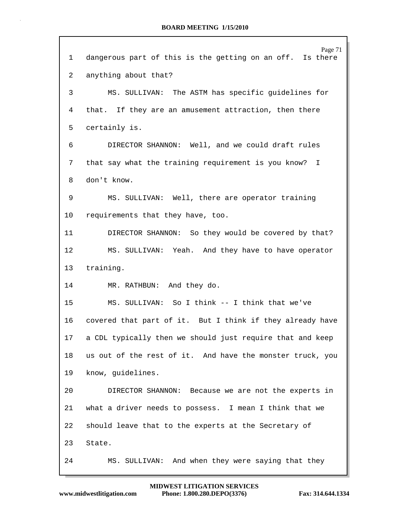| 1               | Page 71<br>dangerous part of this is the getting on an off. Is there |
|-----------------|----------------------------------------------------------------------|
| 2               | anything about that?                                                 |
| 3               | MS. SULLIVAN: The ASTM has specific guidelines for                   |
| 4               | that. If they are an amusement attraction, then there                |
| 5               | certainly is.                                                        |
| 6               | DIRECTOR SHANNON: Well, and we could draft rules                     |
| 7               | that say what the training requirement is you know? I                |
| 8               | don't know.                                                          |
| 9               | MS. SULLIVAN: Well, there are operator training                      |
| 10 <sup>°</sup> | requirements that they have, too.                                    |
| 11              | DIRECTOR SHANNON: So they would be covered by that?                  |
| 12              | MS. SULLIVAN: Yeah. And they have to have operator                   |
| 13              | training.                                                            |
| 14              | MR. RATHBUN: And they do.                                            |
| 15              | MS. SULLIVAN: So I think -- I think that we've                       |
| 16              | covered that part of it. But I think if they already have            |
| 17              | a CDL typically then we should just require that and keep            |
| 18              | us out of the rest of it. And have the monster truck, you            |
| 19              | know, guidelines.                                                    |
| 20              | DIRECTOR SHANNON: Because we are not the experts in                  |
| 21              | what a driver needs to possess. I mean I think that we               |
| 22              | should leave that to the experts at the Secretary of                 |
| 23              | State.                                                               |
| 24              | MS. SULLIVAN: And when they were saying that they                    |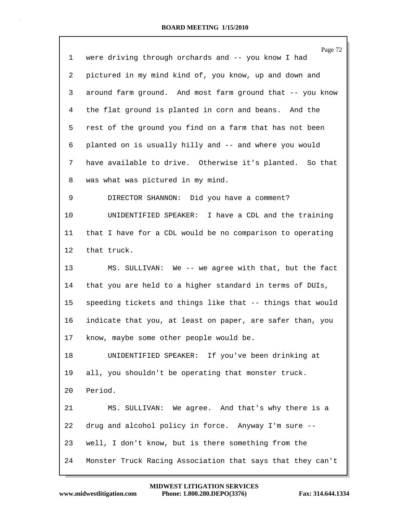| $\mathbf 1$ | Page 72<br>were driving through orchards and -- you know I had |
|-------------|----------------------------------------------------------------|
| 2           | pictured in my mind kind of, you know, up and down and         |
| 3           | around farm ground. And most farm ground that -- you know      |
| 4           | the flat ground is planted in corn and beans. And the          |
| 5           | rest of the ground you find on a farm that has not been        |
| 6           | planted on is usually hilly and -- and where you would         |
| 7           | have available to drive. Otherwise it's planted. So that       |
| 8           | was what was pictured in my mind.                              |
| 9           | DIRECTOR SHANNON: Did you have a comment?                      |
| 10          | UNIDENTIFIED SPEAKER: I have a CDL and the training            |
| 11          | that I have for a CDL would be no comparison to operating      |
| 12          | that truck.                                                    |
| 13          | MS. SULLIVAN: We -- we agree with that, but the fact           |
| 14          | that you are held to a higher standard in terms of DUIs,       |
| 15          | speeding tickets and things like that -- things that would     |
| 16          | indicate that you, at least on paper, are safer than, you      |
| 17          | know, maybe some other people would be.                        |
| 18          | UNIDENTIFIED SPEAKER: If you've been drinking at               |
| 19          | all, you shouldn't be operating that monster truck.            |
| 20          | Period.                                                        |
| 21          | MS. SULLIVAN: We agree. And that's why there is a              |
| 22          | drug and alcohol policy in force. Anyway I'm sure --           |
| 23          | well, I don't know, but is there something from the            |
| 24          | Monster Truck Racing Association that says that they can't     |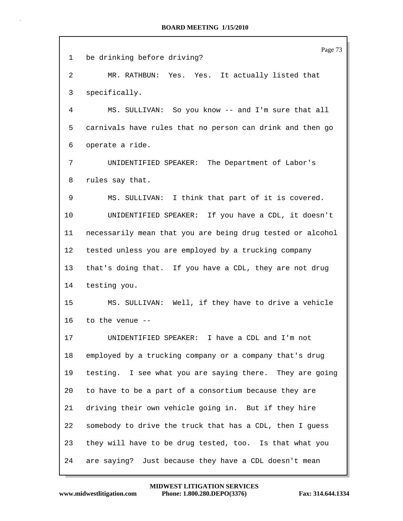|    | Page 73                                                    |
|----|------------------------------------------------------------|
| 1  | be drinking before driving?                                |
| 2  | MR. RATHBUN: Yes. Yes. It actually listed that             |
| 3  | specifically.                                              |
| 4  | MS. SULLIVAN: So you know -- and I'm sure that all         |
| 5  | carnivals have rules that no person can drink and then go  |
| 6  | operate a ride.                                            |
| 7  | UNIDENTIFIED SPEAKER: The Department of Labor's            |
| 8  | rules say that.                                            |
| 9  | MS. SULLIVAN: I think that part of it is covered.          |
| 10 | UNIDENTIFIED SPEAKER: If you have a CDL, it doesn't        |
| 11 | necessarily mean that you are being drug tested or alcohol |
| 12 | tested unless you are employed by a trucking company       |
| 13 | that's doing that. If you have a CDL, they are not drug    |
| 14 | testing you.                                               |
| 15 | MS. SULLIVAN: Well, if they have to drive a vehicle        |
| 16 | to the venue $-$                                           |
| 17 | UNIDENTIFIED SPEAKER: I have a CDL and I'm not             |
| 18 | employed by a trucking company or a company that's drug    |
| 19 | testing. I see what you are saying there. They are going   |
| 20 | to have to be a part of a consortium because they are      |
| 21 | driving their own vehicle going in. But if they hire       |
| 22 | somebody to drive the truck that has a CDL, then I guess   |
| 23 | they will have to be drug tested, too. Is that what you    |
| 24 | are saying? Just because they have a CDL doesn't mean      |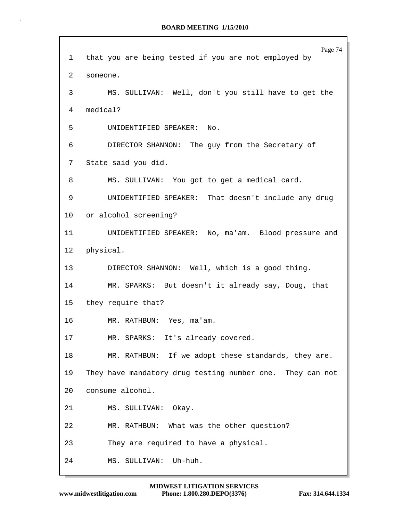Page 74 1 that you are being tested if you are not employed by 2 someone. 3 MS. SULLIVAN: Well, don't you still have to get the 4 medical? 5 UNIDENTIFIED SPEAKER: No. 6 DIRECTOR SHANNON: The guy from the Secretary of 7 State said you did. 8 MS. SULLIVAN: You got to get a medical card. 9 UNIDENTIFIED SPEAKER: That doesn't include any drug 10 or alcohol screening? 11 UNIDENTIFIED SPEAKER: No, ma'am. Blood pressure and 12 physical. 13 DIRECTOR SHANNON: Well, which is a good thing. 14 MR. SPARKS: But doesn't it already say, Doug, that 15 they require that? 16 MR. RATHBUN: Yes, ma'am. 17 MR. SPARKS: It's already covered. 18 MR. RATHBUN: If we adopt these standards, they are. 19 They have mandatory drug testing number one. They can not 20 consume alcohol. 21 MS. SULLIVAN: Okay. 22 MR. RATHBUN: What was the other question? 23 They are required to have a physical. 24 MS. SULLIVAN: Uh-huh.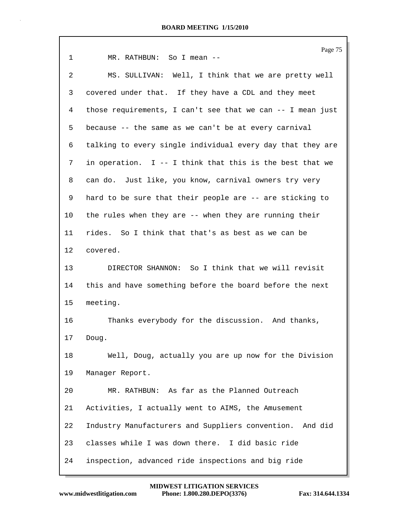| 1               | Page 75<br>MR. RATHBUN: So I mean --                       |
|-----------------|------------------------------------------------------------|
| 2               | MS. SULLIVAN: Well, I think that we are pretty well        |
| 3               | covered under that. If they have a CDL and they meet       |
| 4               | those requirements, I can't see that we can -- I mean just |
| 5               | because -- the same as we can't be at every carnival       |
| 6               | talking to every single individual every day that they are |
| 7               | in operation. $I - I$ think that this is the best that we  |
| 8               | can do. Just like, you know, carnival owners try very      |
| 9               | hard to be sure that their people are -- are sticking to   |
| 10              | the rules when they are -- when they are running their     |
| 11              | rides. So I think that that's as best as we can be         |
| 12              | covered.                                                   |
| 13 <sup>°</sup> | DIRECTOR SHANNON: So I think that we will revisit          |
| 14              | this and have something before the board before the next   |
| 15              | meeting.                                                   |
| 16              | Thanks everybody for the discussion. And thanks,           |
| 17              | Doug.                                                      |
| 18              | Well, Doug, actually you are up now for the Division       |
| 19              | Manager Report.                                            |
| 20              | MR. RATHBUN: As far as the Planned Outreach                |
| 21              | Activities, I actually went to AIMS, the Amusement         |
| 22              | Industry Manufacturers and Suppliers convention. And did   |
| 23              | classes while I was down there. I did basic ride           |
| 24              | inspection, advanced ride inspections and big ride         |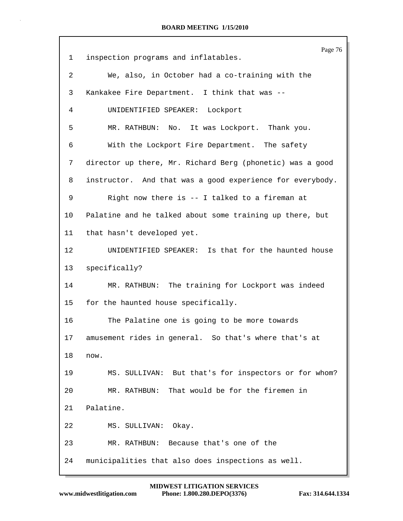Page 76 1 inspection programs and inflatables. 2 We, also, in October had a co-training with the 3 Kankakee Fire Department. I think that was -- 4 UNIDENTIFIED SPEAKER: Lockport 5 MR. RATHBUN: No. It was Lockport. Thank you. 6 With the Lockport Fire Department. The safety 7 director up there, Mr. Richard Berg (phonetic) was a good 8 instructor. And that was a good experience for everybody. 9 Right now there is -- I talked to a fireman at 10 Palatine and he talked about some training up there, but 11 that hasn't developed yet. 12 UNIDENTIFIED SPEAKER: Is that for the haunted house 13 specifically? 14 MR. RATHBUN: The training for Lockport was indeed 15 for the haunted house specifically. 16 The Palatine one is going to be more towards 17 amusement rides in general. So that's where that's at 18 now. 19 MS. SULLIVAN: But that's for inspectors or for whom? 20 MR. RATHBUN: That would be for the firemen in 21 Palatine. 22 MS. SULLIVAN: Okay. 23 MR. RATHBUN: Because that's one of the 24 municipalities that also does inspections as well.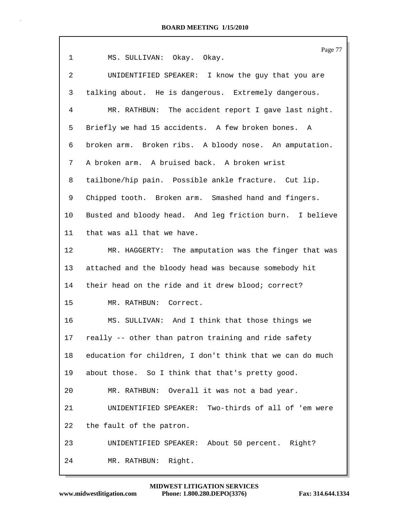| $\mathbf 1$     | Page 77<br>MS. SULLIVAN: Okay. Okay.                      |
|-----------------|-----------------------------------------------------------|
| $\overline{2}$  | UNIDENTIFIED SPEAKER: I know the guy that you are         |
| 3               | talking about. He is dangerous. Extremely dangerous.      |
| 4               | MR. RATHBUN: The accident report I gave last night.       |
| 5               | Briefly we had 15 accidents. A few broken bones.<br>A     |
| 6               | broken arm. Broken ribs. A bloody nose. An amputation.    |
| 7               | A broken arm. A bruised back. A broken wrist              |
| 8               | tailbone/hip pain. Possible ankle fracture. Cut lip.      |
| 9               | Chipped tooth. Broken arm. Smashed hand and fingers.      |
| $10 \,$         | Busted and bloody head. And leg friction burn. I believe  |
| 11              | that was all that we have.                                |
| 12              | MR. HAGGERTY: The amputation was the finger that was      |
| 13              | attached and the bloody head was because somebody hit     |
| 14              | their head on the ride and it drew blood; correct?        |
| 15              | MR. RATHBUN: Correct.                                     |
| 16              | MS. SULLIVAN: And I think that those things we            |
| 17 <sub>2</sub> | really -- other than patron training and ride safety      |
| 18              | education for children, I don't think that we can do much |
| 19              | about those. So I think that that's pretty good.          |
| 20              | MR. RATHBUN: Overall it was not a bad year.               |
| 21              | UNIDENTIFIED SPEAKER: Two-thirds of all of 'em were       |
| 22              | the fault of the patron.                                  |
| 23              | UNIDENTIFIED SPEAKER: About 50 percent. Right?            |
| 24              | MR. RATHBUN: Right.                                       |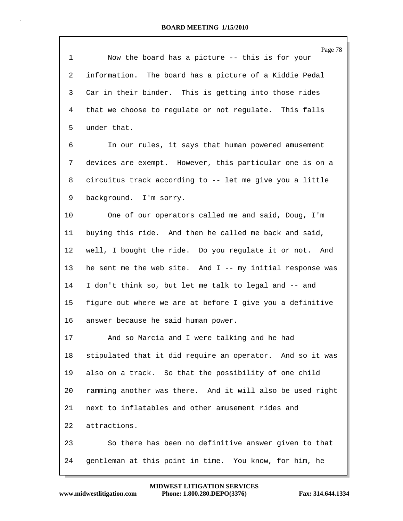| 1  | Page 78<br>Now the board has a picture -- this is for your  |
|----|-------------------------------------------------------------|
| 2  | information. The board has a picture of a Kiddie Pedal      |
| 3  | Car in their binder. This is getting into those rides       |
| 4  | that we choose to regulate or not regulate. This falls      |
| 5  | under that.                                                 |
| 6  | In our rules, it says that human powered amusement          |
| 7  | devices are exempt. However, this particular one is on a    |
| 8  | circuitus track according to -- let me give you a little    |
| 9  | background. I'm sorry.                                      |
| 10 | One of our operators called me and said, Doug, I'm          |
| 11 | buying this ride. And then he called me back and said,      |
| 12 | well, I bought the ride. Do you regulate it or not. And     |
| 13 | he sent me the web site. And $I$ -- my initial response was |
| 14 | I don't think so, but let me talk to legal and -- and       |
| 15 | figure out where we are at before I give you a definitive   |
| 16 | answer because he said human power.                         |
| 17 | And so Marcia and I were talking and he had                 |
| 18 | stipulated that it did require an operator. And so it was   |
| 19 | also on a track. So that the possibility of one child       |
| 20 | ramming another was there. And it will also be used right   |
| 21 | next to inflatables and other amusement rides and           |
| 22 | attractions.                                                |
| 23 | So there has been no definitive answer given to that        |
| 24 | gentleman at this point in time. You know, for him, he      |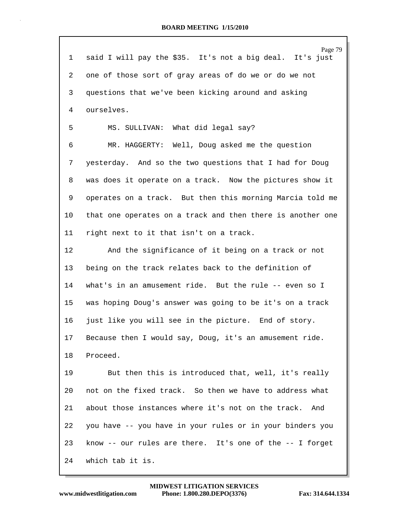|                 | Page 79                                                    |
|-----------------|------------------------------------------------------------|
| 1               | said I will pay the \$35. It's not a big deal. It's just   |
| 2               | one of those sort of gray areas of do we or do we not      |
| 3               | questions that we've been kicking around and asking        |
| $\overline{4}$  | ourselves.                                                 |
| 5               | MS. SULLIVAN: What did legal say?                          |
| 6               | MR. HAGGERTY: Well, Doug asked me the question             |
| 7               | yesterday. And so the two questions that I had for Doug    |
| 8               | was does it operate on a track. Now the pictures show it   |
| 9               | operates on a track. But then this morning Marcia told me  |
| 10              | that one operates on a track and then there is another one |
| 11              | right next to it that isn't on a track.                    |
| 12              | And the significance of it being on a track or not         |
| 13              | being on the track relates back to the definition of       |
| 14              | what's in an amusement ride. But the rule -- even so I     |
| 15              | was hoping Doug's answer was going to be it's on a track   |
| 16              | just like you will see in the picture. End of story.       |
| 17 <sub>2</sub> | Because then I would say, Doug, it's an amusement ride.    |
| 18              | Proceed.                                                   |
| 19              | But then this is introduced that, well, it's really        |
| 20              | not on the fixed track. So then we have to address what    |
| 21              | about those instances where it's not on the track.<br>And  |
| 22              | you have -- you have in your rules or in your binders you  |
| 23              | know -- our rules are there. It's one of the -- I forget   |
| 24              | which tab it is.                                           |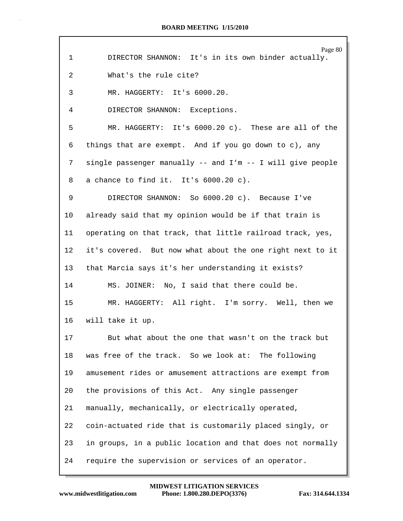| $\mathbf 1$     | Page 80<br>DIRECTOR SHANNON: It's in its own binder actually. |
|-----------------|---------------------------------------------------------------|
| 2               | What's the rule cite?                                         |
| 3               | MR. HAGGERTY: It's 6000.20.                                   |
| 4               | DIRECTOR SHANNON: Exceptions.                                 |
| 5               | MR. HAGGERTY: It's 6000.20 c). These are all of the           |
| 6               | things that are exempt. And if you go down to c), any         |
| 7               | single passenger manually -- and I'm -- I will give people    |
| 8               | a chance to find it. It's 6000.20 c).                         |
| 9               | DIRECTOR SHANNON: So 6000.20 c). Because I've                 |
| 10              | already said that my opinion would be if that train is        |
| 11              | operating on that track, that little railroad track, yes,     |
| 12              | it's covered. But now what about the one right next to it     |
| 13 <sup>°</sup> | that Marcia says it's her understanding it exists?            |
| 14              | MS. JOINER: No, I said that there could be.                   |
| 15              | MR. HAGGERTY: All right. I'm sorry. Well, then we             |
| 16              | will take it up.                                              |
| 17              | But what about the one that wasn't on the track but           |
| 18              | was free of the track. So we look at: The following           |
| 19              | amusement rides or amusement attractions are exempt from      |
| 20              | the provisions of this Act. Any single passenger              |
| 21              | manually, mechanically, or electrically operated,             |
| 22              | coin-actuated ride that is customarily placed singly, or      |
| 23              | in groups, in a public location and that does not normally    |
| 24              | require the supervision or services of an operator.           |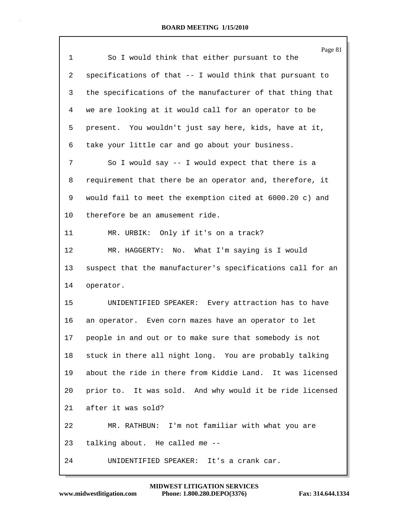| $\mathbf{1}$ | Page 81<br>So I would think that either pursuant to the    |
|--------------|------------------------------------------------------------|
| 2            | specifications of that -- I would think that pursuant to   |
| 3            | the specifications of the manufacturer of that thing that  |
| 4            | we are looking at it would call for an operator to be      |
| 5            | present. You wouldn't just say here, kids, have at it,     |
| 6            | take your little car and go about your business.           |
| 7            | So I would say $-$ - I would expect that there is a        |
| 8            | requirement that there be an operator and, therefore, it   |
| 9            | would fail to meet the exemption cited at 6000.20 c) and   |
| 10           | therefore be an amusement ride.                            |
| 11           | MR. URBIK: Only if it's on a track?                        |
| 12           | MR. HAGGERTY: No. What I'm saying is I would               |
| 13           | suspect that the manufacturer's specifications call for an |
| 14           | operator.                                                  |
| 15           | UNIDENTIFIED SPEAKER: Every attraction has to have         |
| 16           | an operator. Even corn mazes have an operator to let       |
| 17           | people in and out or to make sure that somebody is not     |
| 18           | stuck in there all night long. You are probably talking    |
| 19           | about the ride in there from Kiddie Land. It was licensed  |
| 20           | prior to. It was sold. And why would it be ride licensed   |
| 21           | after it was sold?                                         |
| 22           | MR. RATHBUN: I'm not familiar with what you are            |
| 23           | talking about. He called me --                             |
| 24           | UNIDENTIFIED SPEAKER: It's a crank car.                    |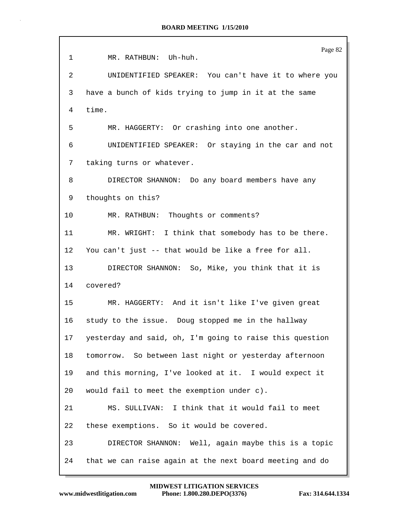|                 | Page 82                                                  |
|-----------------|----------------------------------------------------------|
| 1               | MR. RATHBUN: Uh-huh.                                     |
| 2               | UNIDENTIFIED SPEAKER: You can't have it to where you     |
| 3               | have a bunch of kids trying to jump in it at the same    |
| 4               | time.                                                    |
| 5               | MR. HAGGERTY: Or crashing into one another.              |
| 6               | UNIDENTIFIED SPEAKER: Or staying in the car and not      |
| 7               | taking turns or whatever.                                |
| 8               | DIRECTOR SHANNON: Do any board members have any          |
| 9               | thoughts on this?                                        |
| 10              | MR. RATHBUN: Thoughts or comments?                       |
| 11              | MR. WRIGHT: I think that somebody has to be there.       |
| 12              | You can't just -- that would be like a free for all.     |
| 13 <sup>°</sup> | DIRECTOR SHANNON: So, Mike, you think that it is         |
| 14              | covered?                                                 |
| 15              | MR. HAGGERTY: And it isn't like I've given great         |
| 16              | study to the issue. Doug stopped me in the hallway       |
| 17              | yesterday and said, oh, I'm going to raise this question |
| 18              | tomorrow. So between last night or yesterday afternoon   |
| 19              | and this morning, I've looked at it. I would expect it   |
| 20              | would fail to meet the exemption under c).               |
| 21              | MS. SULLIVAN: I think that it would fail to meet         |
| 22              | these exemptions. So it would be covered.                |
| 23              | DIRECTOR SHANNON: Well, again maybe this is a topic      |
| 24              | that we can raise again at the next board meeting and do |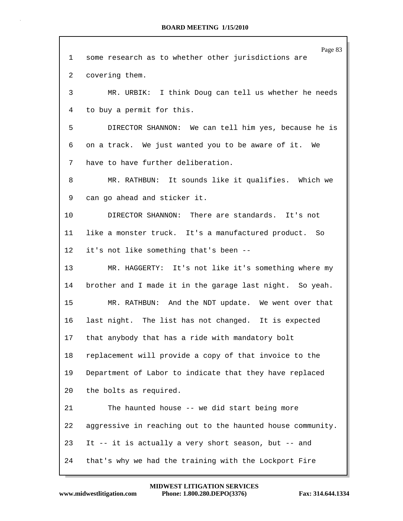|                 | Page 83                                                    |
|-----------------|------------------------------------------------------------|
| 1               | some research as to whether other jurisdictions are        |
| 2               | covering them.                                             |
| 3               | MR. URBIK: I think Doug can tell us whether he needs       |
| 4               | to buy a permit for this.                                  |
| 5               | DIRECTOR SHANNON: We can tell him yes, because he is       |
| 6               | on a track. We just wanted you to be aware of it. We       |
| 7               | have to have further deliberation.                         |
| 8               | MR. RATHBUN: It sounds like it qualifies. Which we         |
| 9               | can go ahead and sticker it.                               |
| 10              | DIRECTOR SHANNON: There are standards. It's not            |
| 11              | like a monster truck. It's a manufactured product. So      |
| $12 \,$         | it's not like something that's been --                     |
| 13              | MR. HAGGERTY: It's not like it's something where my        |
| 14              | brother and I made it in the garage last night. So yeah.   |
| 15              | MR. RATHBUN: And the NDT update. We went over that         |
| 16              | last night. The list has not changed. It is expected       |
| 17 <sub>2</sub> | that anybody that has a ride with mandatory bolt           |
| 18              | replacement will provide a copy of that invoice to the     |
| 19              | Department of Labor to indicate that they have replaced    |
| 20              | the bolts as required.                                     |
|                 |                                                            |
| 21              | The haunted house -- we did start being more               |
| 22              | aggressive in reaching out to the haunted house community. |
| 23              | It -- it is actually a very short season, but -- and       |
| 24              | that's why we had the training with the Lockport Fire      |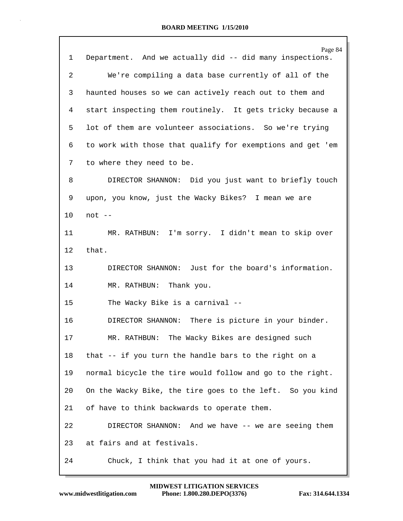|    | Page 84                                                    |
|----|------------------------------------------------------------|
| 1  | Department. And we actually did -- did many inspections.   |
| 2  | We're compiling a data base currently of all of the        |
| 3  | haunted houses so we can actively reach out to them and    |
| 4  | start inspecting them routinely. It gets tricky because a  |
| 5  | lot of them are volunteer associations. So we're trying    |
| 6  | to work with those that qualify for exemptions and get 'em |
| 7  | to where they need to be.                                  |
| 8  | DIRECTOR SHANNON: Did you just want to briefly touch       |
| 9  | upon, you know, just the Wacky Bikes? I mean we are        |
| 10 | $not --$                                                   |
| 11 | MR. RATHBUN: I'm sorry. I didn't mean to skip over         |
| 12 | that.                                                      |
| 13 | DIRECTOR SHANNON: Just for the board's information.        |
| 14 | MR. RATHBUN: Thank you.                                    |
| 15 | The Wacky Bike is a carnival --                            |
| 16 | DIRECTOR SHANNON: There is picture in your binder.         |
| 17 | RATHBUN: The Wacky Bikes are designed such<br>MR.          |
| 18 | that -- if you turn the handle bars to the right on a      |
| 19 | normal bicycle the tire would follow and go to the right.  |
| 20 | On the Wacky Bike, the tire goes to the left. So you kind  |
| 21 | of have to think backwards to operate them.                |
| 22 | DIRECTOR SHANNON: And we have -- we are seeing them        |
| 23 | at fairs and at festivals.                                 |
| 24 | Chuck, I think that you had it at one of yours.            |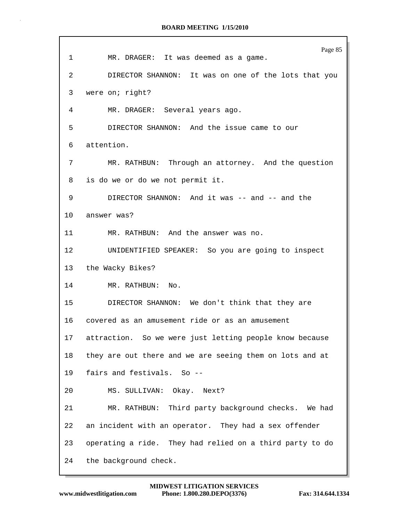| 1  | Page 85<br>MR. DRAGER: It was deemed as a game.          |
|----|----------------------------------------------------------|
| 2  | DIRECTOR SHANNON: It was on one of the lots that you     |
| 3  | were on; right?                                          |
| 4  | MR. DRAGER: Several years ago.                           |
| 5  | DIRECTOR SHANNON: And the issue came to our              |
| 6  | attention.                                               |
| 7  | MR. RATHBUN: Through an attorney. And the question       |
| 8  | is do we or do we not permit it.                         |
| 9  | DIRECTOR SHANNON: And it was -- and -- and the           |
| 10 | answer was?                                              |
| 11 | MR. RATHBUN: And the answer was no.                      |
| 12 | UNIDENTIFIED SPEAKER: So you are going to inspect        |
|    | 13 the Wacky Bikes?                                      |
|    | 14 and $\sim$<br>MR. RATHBUN: No.                        |
| 15 | DIRECTOR SHANNON: We don't think that they are           |
|    | 16 covered as an amusement ride or as an amusement       |
| 17 | attraction. So we were just letting people know because  |
| 18 | they are out there and we are seeing them on lots and at |
| 19 | fairs and festivals. So --                               |
| 20 | MS. SULLIVAN: Okay. Next?                                |
| 21 | MR. RATHBUN: Third party background checks. We had       |
| 22 | an incident with an operator. They had a sex offender    |
| 23 | operating a ride. They had relied on a third party to do |
| 24 | the background check.                                    |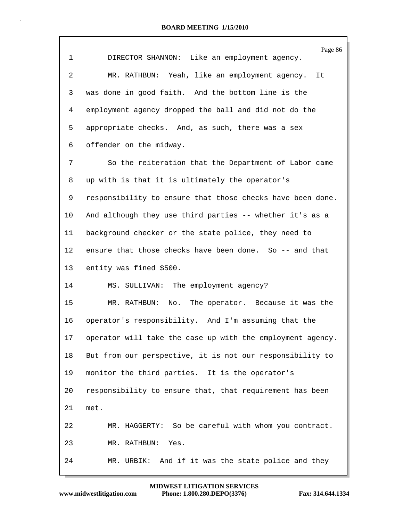| 1               | Page 86<br>DIRECTOR SHANNON: Like an employment agency.    |
|-----------------|------------------------------------------------------------|
| 2               | MR. RATHBUN: Yeah, like an employment agency. It           |
| 3               | was done in good faith. And the bottom line is the         |
| 4               | employment agency dropped the ball and did not do the      |
| 5               | appropriate checks. And, as such, there was a sex          |
| 6               | offender on the midway.                                    |
| 7               | So the reiteration that the Department of Labor came       |
| 8               | up with is that it is ultimately the operator's            |
| 9               | responsibility to ensure that those checks have been done. |
| 10              | And although they use third parties -- whether it's as a   |
| 11              | background checker or the state police, they need to       |
| 12              | ensure that those checks have been done. So -- and that    |
| 13              | entity was fined \$500.                                    |
| 14              | MS. SULLIVAN: The employment agency?                       |
| 15              | No. The operator. Because it was the<br>MR. RATHBUN:       |
| 16              | operator's responsibility. And I'm assuming that the       |
| 17 <sub>2</sub> | operator will take the case up with the employment agency. |
| 18              | But from our perspective, it is not our responsibility to  |
| 19              | monitor the third parties. It is the operator's            |
| 20              | responsibility to ensure that, that requirement has been   |
| 21              | met.                                                       |
| 22              | MR. HAGGERTY: So be careful with whom you contract.        |
| 23              | MR. RATHBUN:<br>Yes.                                       |
| 24              | MR. URBIK: And if it was the state police and they         |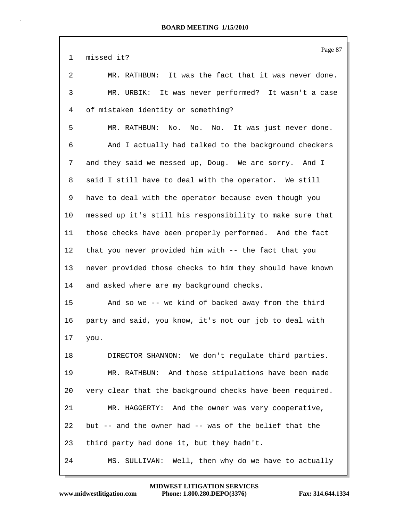|              | Page 87                                                   |
|--------------|-----------------------------------------------------------|
| $\mathbf{1}$ | missed it?                                                |
| 2            | MR. RATHBUN: It was the fact that it was never done.      |
| 3            | MR. URBIK: It was never performed? It wasn't a case       |
| 4            | of mistaken identity or something?                        |
| 5            | MR. RATHBUN: No. No. No. It was just never done.          |
| 6            | And I actually had talked to the background checkers      |
| 7            | and they said we messed up, Doug. We are sorry. And I     |
| 8            | said I still have to deal with the operator. We still     |
| 9            | have to deal with the operator because even though you    |
| 10           | messed up it's still his responsibility to make sure that |
| 11           | those checks have been properly performed. And the fact   |
| $12 \,$      | that you never provided him with -- the fact that you     |
| 13           | never provided those checks to him they should have known |
| 14           | and asked where are my background checks.                 |
| 15           | And so we -- we kind of backed away from the third        |
| 16           | party and said, you know, it's not our job to deal with   |
| 17           | you.                                                      |
| 18           | DIRECTOR SHANNON: We don't regulate third parties.        |
| 19           | MR. RATHBUN: And those stipulations have been made        |
| 20           | very clear that the background checks have been required. |
| 21           | MR. HAGGERTY: And the owner was very cooperative,         |
| 22           | but -- and the owner had -- was of the belief that the    |
| 23           | third party had done it, but they hadn't.                 |
| 24           | MS. SULLIVAN: Well, then why do we have to actually       |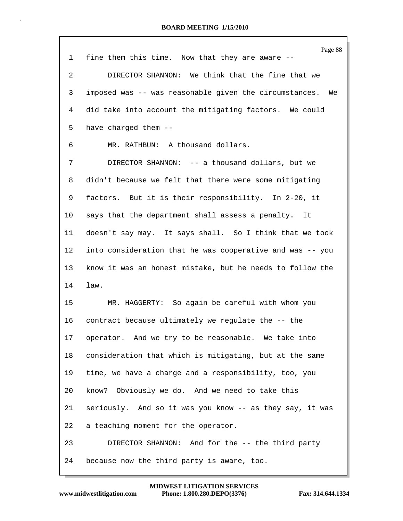|    | Page 88                                                   |
|----|-----------------------------------------------------------|
| 1  | fine them this time. Now that they are aware --           |
| 2  | DIRECTOR SHANNON: We think that the fine that we          |
| 3  | imposed was -- was reasonable given the circumstances. We |
| 4  | did take into account the mitigating factors. We could    |
| 5  | have charged them --                                      |
| 6  | MR. RATHBUN: A thousand dollars.                          |
| 7  | DIRECTOR SHANNON: -- a thousand dollars, but we           |
| 8  | didn't because we felt that there were some mitigating    |
| 9  | factors. But it is their responsibility. In 2-20, it      |
| 10 | says that the department shall assess a penalty.<br>It    |
| 11 | doesn't say may. It says shall. So I think that we took   |
| 12 | into consideration that he was cooperative and was -- you |
| 13 | know it was an honest mistake, but he needs to follow the |
| 14 | law.                                                      |
| 15 | MR. HAGGERTY: So again be careful with whom you           |
| 16 | contract because ultimately we regulate the -- the        |
| 17 | operator. And we try to be reasonable. We take into       |
| 18 | consideration that which is mitigating, but at the same   |
| 19 | time, we have a charge and a responsibility, too, you     |
| 20 | know? Obviously we do. And we need to take this           |
| 21 | seriously. And so it was you know -- as they say, it was  |
| 22 | a teaching moment for the operator.                       |
| 23 | DIRECTOR SHANNON: And for the -- the third party          |
| 24 | because now the third party is aware, too.                |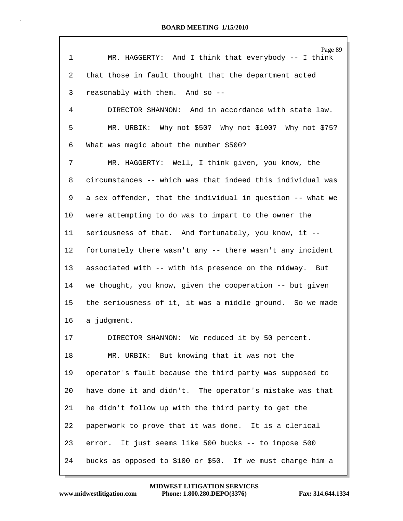| 1  | Page 89<br>MR. HAGGERTY: And I think that everybody -- I think |
|----|----------------------------------------------------------------|
| 2  | that those in fault thought that the department acted          |
| 3  | reasonably with them. And so --                                |
| 4  | DIRECTOR SHANNON: And in accordance with state law.            |
| 5  | MR. URBIK: Why not \$50? Why not \$100? Why not \$75?          |
| 6  | What was magic about the number \$500?                         |
| 7  | MR. HAGGERTY: Well, I think given, you know, the               |
| 8  | circumstances -- which was that indeed this individual was     |
| 9  | a sex offender, that the individual in question -- what we     |
| 10 | were attempting to do was to impart to the owner the           |
| 11 | seriousness of that. And fortunately, you know, it --          |
| 12 | fortunately there wasn't any -- there wasn't any incident      |
| 13 | associated with -- with his presence on the midway. But        |
| 14 | we thought, you know, given the cooperation -- but given       |
| 15 | the seriousness of it, it was a middle ground. So we made      |
| 16 | a judgment.                                                    |
| 17 | DIRECTOR SHANNON: We reduced it by 50 percent.                 |
| 18 | MR. URBIK: But knowing that it was not the                     |
| 19 | operator's fault because the third party was supposed to       |
| 20 | have done it and didn't. The operator's mistake was that       |
| 21 | he didn't follow up with the third party to get the            |
| 22 | paperwork to prove that it was done. It is a clerical          |
| 23 | error. It just seems like 500 bucks -- to impose 500           |
| 24 | bucks as opposed to \$100 or \$50. If we must charge him a     |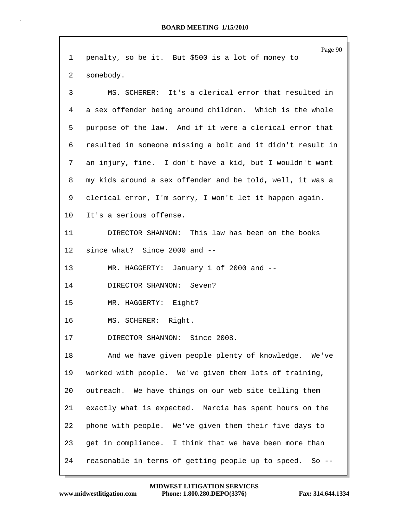|             | Page 90                                                    |
|-------------|------------------------------------------------------------|
| $\mathbf 1$ | penalty, so be it. But \$500 is a lot of money to          |
| 2           | somebody.                                                  |
| 3           | MS. SCHERER: It's a clerical error that resulted in        |
| 4           | a sex offender being around children. Which is the whole   |
| 5           | purpose of the law. And if it were a clerical error that   |
| 6           | resulted in someone missing a bolt and it didn't result in |
| 7           | an injury, fine. I don't have a kid, but I wouldn't want   |
| 8           | my kids around a sex offender and be told, well, it was a  |
| 9           | clerical error, I'm sorry, I won't let it happen again.    |
| 10          | It's a serious offense.                                    |
| 11          | DIRECTOR SHANNON: This law has been on the books           |
| 12          | since what? Since 2000 and --                              |
| 13          | MR. HAGGERTY: January 1 of 2000 and --                     |
| 14          | DIRECTOR SHANNON: Seven?                                   |
| 15          | MR. HAGGERTY: Eight?                                       |
| 16          | MS. SCHERER: Right.                                        |
| $17$        | DIRECTOR SHANNON: Since 2008.                              |
| 18          | And we have given people plenty of knowledge.<br>We've     |
| 19          | worked with people. We've given them lots of training,     |
| 20          | outreach. We have things on our web site telling them      |
| 21          | exactly what is expected. Marcia has spent hours on the    |
| 22          | phone with people. We've given them their five days to     |
| 23          | get in compliance. I think that we have been more than     |
| 24          | reasonable in terms of getting people up to speed. So --   |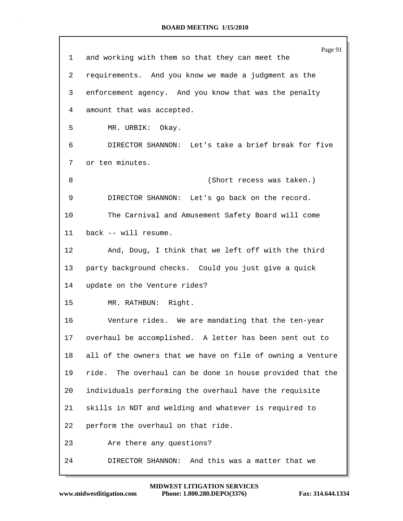| 1       | Page 91<br>and working with them so that they can meet the   |
|---------|--------------------------------------------------------------|
| 2       | requirements. And you know we made a judgment as the         |
| 3       | enforcement agency. And you know that was the penalty        |
| 4       | amount that was accepted.                                    |
| 5       | MR. URBIK: Okay.                                             |
| 6       | DIRECTOR SHANNON: Let's take a brief break for five          |
| 7       | or ten minutes.                                              |
| 8       | (Short recess was taken.)                                    |
| 9       | DIRECTOR SHANNON: Let's go back on the record.               |
| 10      | The Carnival and Amusement Safety Board will come            |
|         |                                                              |
| 11      | back -- will resume.                                         |
| $12 \,$ | And, Doug, I think that we left off with the third           |
| 13      | party background checks. Could you just give a quick         |
| 14      | update on the Venture rides?                                 |
| 15      | MR. RATHBUN: Right.                                          |
| 16      | Venture rides. We are mandating that the ten-year            |
| 17      | overhaul be accomplished. A letter has been sent out to      |
| 18      | all of the owners that we have on file of owning a Venture   |
| 19      | The overhaul can be done in house provided that the<br>ride. |
| 20      | individuals performing the overhaul have the requisite       |
| 21      | skills in NDT and welding and whatever is required to        |
| 22      | perform the overhaul on that ride.                           |
| 23      | Are there any questions?                                     |
| 24      | DIRECTOR SHANNON: And this was a matter that we              |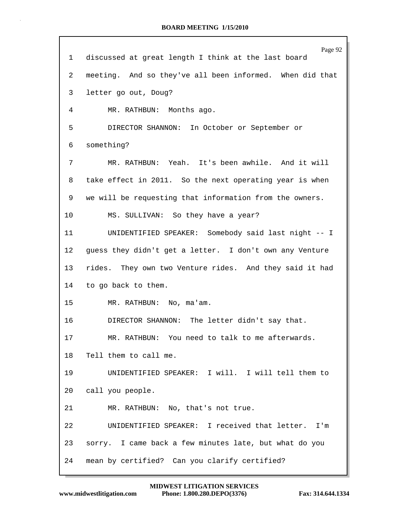| 1               | Page 92<br>discussed at great length I think at the last board |
|-----------------|----------------------------------------------------------------|
| 2               | meeting. And so they've all been informed. When did that       |
| 3               | letter go out, Doug?                                           |
| 4               | MR. RATHBUN: Months ago.                                       |
| 5               | DIRECTOR SHANNON: In October or September or                   |
| 6               | something?                                                     |
| 7               | MR. RATHBUN: Yeah. It's been awhile. And it will               |
| 8               | take effect in 2011. So the next operating year is when        |
| 9               | we will be requesting that information from the owners.        |
| 10 <sup>°</sup> | MS. SULLIVAN: So they have a year?                             |
| 11              | UNIDENTIFIED SPEAKER: Somebody said last night -- I            |
| 12              | guess they didn't get a letter. I don't own any Venture        |
| 13              | rides. They own two Venture rides. And they said it had        |
| 14              | to go back to them.                                            |
| 15 <sub>1</sub> | MR. RATHBUN: No, ma'am.                                        |
| 16              | DIRECTOR SHANNON: The letter didn't say that.                  |
| 17              | MR. RATHBUN: You need to talk to me afterwards.                |
| 18              | Tell them to call me.                                          |
| 19              | UNIDENTIFIED SPEAKER: I will. I will tell them to              |
| 20              | call you people.                                               |
| 21              | MR. RATHBUN: No, that's not true.                              |
| 22              | UNIDENTIFIED SPEAKER: I received that letter. I'm              |
| 23              | sorry. I came back a few minutes late, but what do you         |
| 24              | mean by certified? Can you clarify certified?                  |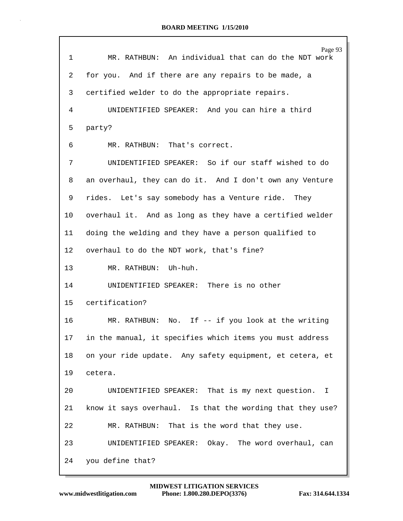| 1       | Page 93<br>MR. RATHBUN: An individual that can do the NDT work |
|---------|----------------------------------------------------------------|
| 2       | for you. And if there are any repairs to be made, a            |
| 3       | certified welder to do the appropriate repairs.                |
| 4       | UNIDENTIFIED SPEAKER: And you can hire a third                 |
| 5       | party?                                                         |
| 6       | MR. RATHBUN: That's correct.                                   |
| 7       | UNIDENTIFIED SPEAKER: So if our staff wished to do             |
| 8       | an overhaul, they can do it. And I don't own any Venture       |
| 9       | rides. Let's say somebody has a Venture ride. They             |
| 10      | overhaul it. And as long as they have a certified welder       |
| 11      | doing the welding and they have a person qualified to          |
| $12 \,$ | overhaul to do the NDT work, that's fine?                      |
| 13      | MR. RATHBUN: Uh-huh.                                           |
| 14      | UNIDENTIFIED SPEAKER: There is no other                        |
|         | certification?                                                 |
| 15      |                                                                |
| 16      | MR. RATHBUN: No. If -- if you look at the writing              |
| 17      | in the manual, it specifies which items you must address       |
| 18      | on your ride update. Any safety equipment, et cetera, et       |
| 19      | cetera.                                                        |
| 20      | UNIDENTIFIED SPEAKER: That is my next question. I              |
| 21      | know it says overhaul. Is that the wording that they use?      |
| 22      | MR. RATHBUN: That is the word that they use.                   |
| 23      | UNIDENTIFIED SPEAKER: Okay. The word overhaul, can             |
| 24      | you define that?                                               |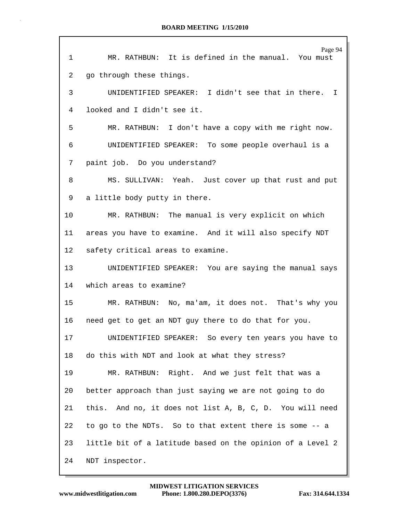| $\mathbf{1}$ | Page 94<br>MR. RATHBUN: It is defined in the manual. You must |
|--------------|---------------------------------------------------------------|
| 2            | go through these things.                                      |
| 3            | UNIDENTIFIED SPEAKER: I didn't see that in there. I           |
| 4            | looked and I didn't see it.                                   |
| 5            | MR. RATHBUN: I don't have a copy with me right now.           |
| 6            | UNIDENTIFIED SPEAKER: To some people overhaul is a            |
| 7            | paint job. Do you understand?                                 |
| 8            | MS. SULLIVAN: Yeah. Just cover up that rust and put           |
| 9            | a little body putty in there.                                 |
| 10           | MR. RATHBUN: The manual is very explicit on which             |
| 11           | areas you have to examine. And it will also specify NDT       |
| $12 \,$      | safety critical areas to examine.                             |
| 13           | UNIDENTIFIED SPEAKER: You are saying the manual says          |
| 14           | which areas to examine?                                       |
| 15           | MR. RATHBUN: No, ma'am, it does not. That's why you           |
| 16           | need get to get an NDT guy there to do that for you.          |
| 17           | UNIDENTIFIED SPEAKER: So every ten years you have to          |
| 18           | do this with NDT and look at what they stress?                |
| 19           | MR. RATHBUN: Right. And we just felt that was a               |
| 20           | better approach than just saying we are not going to do       |
| 21           | this. And no, it does not list A, B, C, D. You will need      |
| 22           | to go to the NDTs. So to that extent there is some -- a       |
| 23           | little bit of a latitude based on the opinion of a Level 2    |
| 24           | NDT inspector.                                                |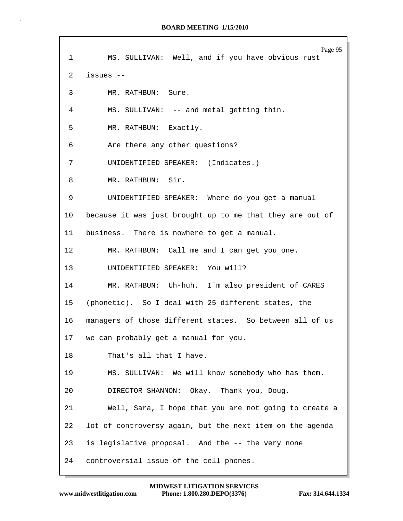| $\mathbf{1}$    | Page 95<br>MS. SULLIVAN: Well, and if you have obvious rust |
|-----------------|-------------------------------------------------------------|
| $\overline{2}$  | issues --                                                   |
| 3               | MR. RATHBUN: Sure.                                          |
| 4               | MS. SULLIVAN: -- and metal getting thin.                    |
| 5               | MR. RATHBUN: Exactly.                                       |
| 6               | Are there any other questions?                              |
| 7               | UNIDENTIFIED SPEAKER: (Indicates.)                          |
| 8               | MR. RATHBUN: Sir.                                           |
| 9               | UNIDENTIFIED SPEAKER: Where do you get a manual             |
| 10              | because it was just brought up to me that they are out of   |
| 11 <sub>1</sub> | business. There is nowhere to get a manual.                 |
| 12 <sup>°</sup> | MR. RATHBUN: Call me and I can get you one.                 |
| 13              | UNIDENTIFIED SPEAKER: You will?                             |
| 14              | MR. RATHBUN: Uh-huh. I'm also president of CARES            |
| 15              | (phonetic). So I deal with 25 different states, the         |
| 16              | managers of those different states. So between all of us    |
| 17              | we can probably get a manual for you.                       |
| 18              | That's all that I have.                                     |
| 19              | MS. SULLIVAN: We will know somebody who has them.           |
|                 |                                                             |
| 20              | DIRECTOR SHANNON: Okay. Thank you, Doug.                    |
| 21              | Well, Sara, I hope that you are not going to create a       |
| 22              | lot of controversy again, but the next item on the agenda   |
| 23              | is legislative proposal. And the -- the very none           |
| 24              | controversial issue of the cell phones.                     |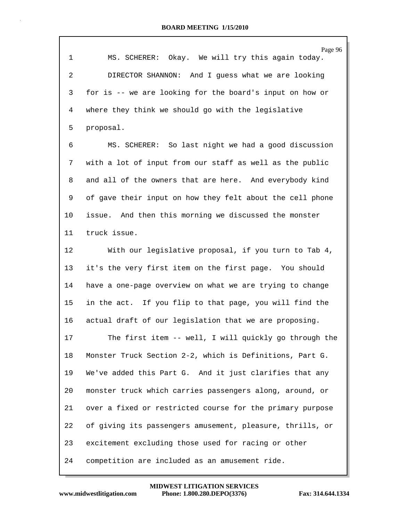| $\mathbf 1$    | Page 96<br>MS. SCHERER: Okay. We will try this again today. |
|----------------|-------------------------------------------------------------|
| $\overline{2}$ | DIRECTOR SHANNON: And I guess what we are looking           |
| 3              | for is -- we are looking for the board's input on how or    |
| 4              | where they think we should go with the legislative          |
| 5              | proposal.                                                   |
| 6              | MS. SCHERER: So last night we had a good discussion         |
| 7              | with a lot of input from our staff as well as the public    |
| 8              | and all of the owners that are here. And everybody kind     |
| 9              | of gave their input on how they felt about the cell phone   |
| 10             | issue. And then this morning we discussed the monster       |
| 11             | truck issue.                                                |
| 12             | With our legislative proposal, if you turn to Tab 4,        |
| 13             | it's the very first item on the first page. You should      |
| 14             | have a one-page overview on what we are trying to change    |
| 15             | in the act. If you flip to that page, you will find the     |
| 16             | actual draft of our legislation that we are proposing.      |
| 17             | The first item -- well, I will quickly go through the       |
| 18             | Monster Truck Section 2-2, which is Definitions, Part G.    |
| 19             | We've added this Part G. And it just clarifies that any     |
| 20             | monster truck which carries passengers along, around, or    |
| 21             | over a fixed or restricted course for the primary purpose   |
| 22             | of giving its passengers amusement, pleasure, thrills, or   |
| 23             | excitement excluding those used for racing or other         |
| 24             | competition are included as an amusement ride.              |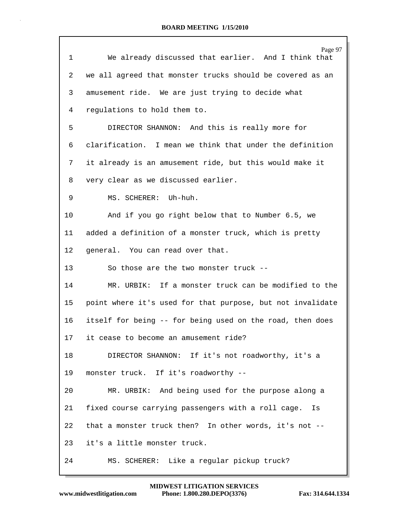|                 | Page 97                                                    |
|-----------------|------------------------------------------------------------|
| 1               | We already discussed that earlier. And I think that        |
| 2               | we all agreed that monster trucks should be covered as an  |
| 3               | amusement ride. We are just trying to decide what          |
| 4               | regulations to hold them to.                               |
| 5               | DIRECTOR SHANNON: And this is really more for              |
| 6               | clarification. I mean we think that under the definition   |
| 7               | it already is an amusement ride, but this would make it    |
| 8               | very clear as we discussed earlier.                        |
| 9               | MS. SCHERER: Uh-huh.                                       |
| 10              | And if you go right below that to Number 6.5, we           |
| 11              | added a definition of a monster truck, which is pretty     |
| 12              | general. You can read over that.                           |
| 13              | So those are the two monster truck --                      |
| 14              | MR. URBIK: If a monster truck can be modified to the       |
| 15              | point where it's used for that purpose, but not invalidate |
| 16              | itself for being -- for being used on the road, then does  |
| 17 <sub>2</sub> | it cease to become an amusement ride?                      |
| 18              | DIRECTOR SHANNON: If it's not roadworthy, it's a           |
| 19              | monster truck. If it's roadworthy --                       |
| 20              | MR. URBIK: And being used for the purpose along a          |
| 21              | fixed course carrying passengers with a roll cage.<br>Is   |
| 22              | that a monster truck then? In other words, it's not --     |
| 23              | it's a little monster truck.                               |
| 24              | MS. SCHERER: Like a regular pickup truck?                  |

Г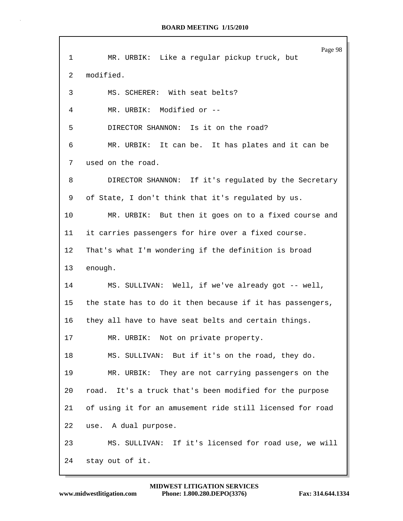| 1       | Page 98<br>MR. URBIK: Like a regular pickup truck, but     |
|---------|------------------------------------------------------------|
| 2       | modified.                                                  |
| 3       | MS. SCHERER: With seat belts?                              |
| 4       | MR. URBIK: Modified or --                                  |
| 5       | DIRECTOR SHANNON: Is it on the road?                       |
| 6       | MR. URBIK: It can be. It has plates and it can be          |
| 7       | used on the road.                                          |
| 8       | DIRECTOR SHANNON: If it's regulated by the Secretary       |
| 9       | of State, I don't think that it's regulated by us.         |
| 10      | MR. URBIK: But then it goes on to a fixed course and       |
| 11      | it carries passengers for hire over a fixed course.        |
| $12 \,$ | That's what I'm wondering if the definition is broad       |
| 13      | enough.                                                    |
| 14      | MS. SULLIVAN: Well, if we've already got -- well,          |
| 15      | the state has to do it then because if it has passengers,  |
| 16      | they all have to have seat belts and certain things.       |
| 17      | MR. URBIK: Not on private property.                        |
| 18      | MS. SULLIVAN: But if it's on the road, they do.            |
| 19      | MR. URBIK: They are not carrying passengers on the         |
| 20      | It's a truck that's been modified for the purpose<br>road. |
| 21      | of using it for an amusement ride still licensed for road  |
| 22      | use. A dual purpose.                                       |
| 23      | MS. SULLIVAN: If it's licensed for road use, we will       |
| 24      | stay out of it.                                            |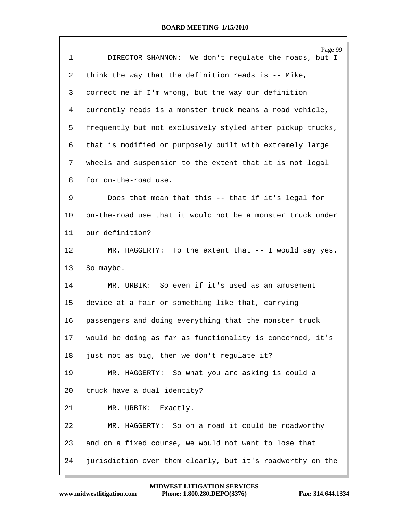| $\mathbf 1$ | Page 99<br>DIRECTOR SHANNON: We don't regulate the roads, but I |
|-------------|-----------------------------------------------------------------|
| 2           | think the way that the definition reads is -- Mike,             |
| 3           | correct me if I'm wrong, but the way our definition             |
| 4           | currently reads is a monster truck means a road vehicle,        |
| 5           | frequently but not exclusively styled after pickup trucks,      |
| 6           | that is modified or purposely built with extremely large        |
| 7           | wheels and suspension to the extent that it is not legal        |
| 8           | for on-the-road use.                                            |
| 9           | Does that mean that this -- that if it's legal for              |
| 10          | on-the-road use that it would not be a monster truck under      |
| 11          | our definition?                                                 |
| 12          | MR. HAGGERTY: To the extent that -- I would say yes.            |
| 13          | So maybe.                                                       |
| 14          | MR. URBIK: So even if it's used as an amusement                 |
| 15          | device at a fair or something like that, carrying               |
| 16          | passengers and doing everything that the monster truck          |
| 17          | would be doing as far as functionality is concerned, it's       |
| 18          | just not as big, then we don't regulate it?                     |
| 19          | MR. HAGGERTY: So what you are asking is could a                 |
| 20          | truck have a dual identity?                                     |
| 21          | MR. URBIK: Exactly.                                             |
| 22          | MR. HAGGERTY: So on a road it could be roadworthy               |
| 23          | and on a fixed course, we would not want to lose that           |
| 24          | jurisdiction over them clearly, but it's roadworthy on the      |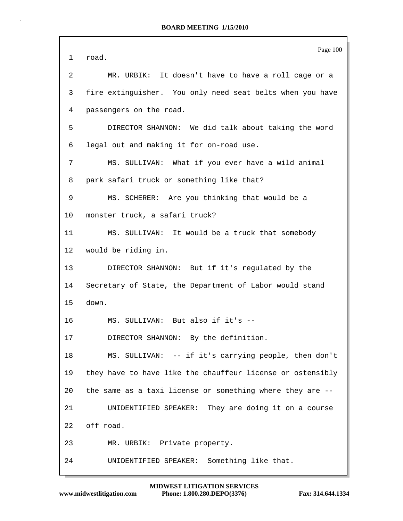Page 100 1 road. 2 MR. URBIK: It doesn't have to have a roll cage or a 3 fire extinguisher. You only need seat belts when you have 4 passengers on the road. 5 DIRECTOR SHANNON: We did talk about taking the word 6 legal out and making it for on-road use. 7 MS. SULLIVAN: What if you ever have a wild animal 8 park safari truck or something like that? 9 MS. SCHERER: Are you thinking that would be a 10 monster truck, a safari truck? 11 MS. SULLIVAN: It would be a truck that somebody 12 would be riding in. 13 DIRECTOR SHANNON: But if it's regulated by the 14 Secretary of State, the Department of Labor would stand 15 down. 16 MS. SULLIVAN: But also if it's -- 17 DIRECTOR SHANNON: By the definition. 18 MS. SULLIVAN: -- if it's carrying people, then don't 19 they have to have like the chauffeur license or ostensibly 20 the same as a taxi license or something where they are -- 21 UNIDENTIFIED SPEAKER: They are doing it on a course 22 off road. 23 MR. URBIK: Private property. 24 UNIDENTIFIED SPEAKER: Something like that.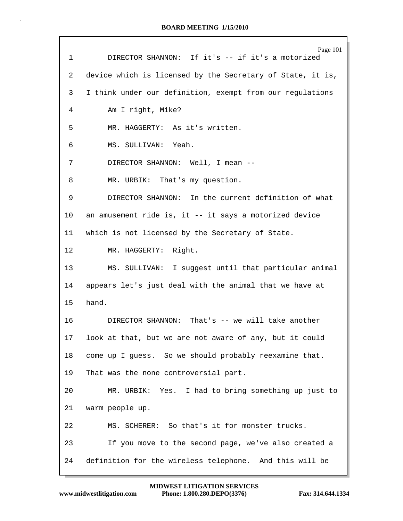| $\mathbf{1}$    | Page 101<br>DIRECTOR SHANNON: If it's -- if it's a motorized |
|-----------------|--------------------------------------------------------------|
| 2               | device which is licensed by the Secretary of State, it is,   |
|                 |                                                              |
| 3               | I think under our definition, exempt from our regulations    |
| 4               | Am I right, Mike?                                            |
| 5               | MR. HAGGERTY: As it's written.                               |
| 6               | MS. SULLIVAN: Yeah.                                          |
| 7               | DIRECTOR SHANNON: Well, I mean --                            |
| 8               | MR. URBIK: That's my question.                               |
| 9               | DIRECTOR SHANNON: In the current definition of what          |
| 10 <sub>1</sub> | an amusement ride is, it -- it says a motorized device       |
| 11              | which is not licensed by the Secretary of State.             |
| 12 <sub>1</sub> | MR. HAGGERTY: Right.                                         |
| 13 <sup>°</sup> | MS. SULLIVAN: I suggest until that particular animal         |
| 14              | appears let's just deal with the animal that we have at      |
| 15 <sub>1</sub> | hand.                                                        |
| 16              | DIRECTOR SHANNON: That's -- we will take another             |
| 17              | look at that, but we are not aware of any, but it could      |
| 18              | come up I guess. So we should probably reexamine that.       |
| 19              | That was the none controversial part.                        |
| 20              | MR. URBIK: Yes. I had to bring something up just to          |
| 21              | warm people up.                                              |
| 22              | MS. SCHERER: So that's it for monster trucks.                |
| 23              | If you move to the second page, we've also created a         |
| 24              | definition for the wireless telephone. And this will be      |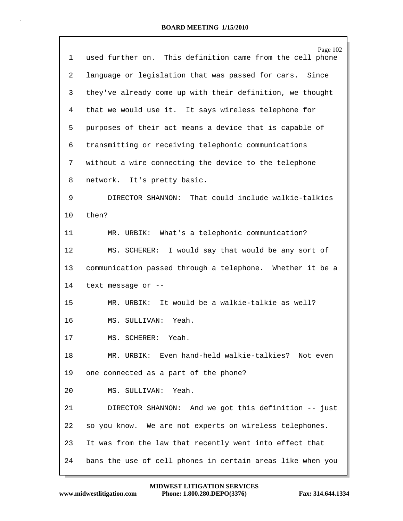| $\mathbf{1}$ | Page 102<br>used further on. This definition came from the cell phone |
|--------------|-----------------------------------------------------------------------|
| 2            | language or legislation that was passed for cars. Since               |
| 3            | they've already come up with their definition, we thought             |
| 4            | that we would use it. It says wireless telephone for                  |
| 5            | purposes of their act means a device that is capable of               |
| 6            | transmitting or receiving telephonic communications                   |
| 7            | without a wire connecting the device to the telephone                 |
| 8            | network. It's pretty basic.                                           |
| 9            | That could include walkie-talkies<br>DIRECTOR SHANNON:                |
| 10           | then?                                                                 |
| 11           | What's a telephonic communication?<br>MR. URBIK:                      |
| 12           | MS. SCHERER: I would say that would be any sort of                    |
| 13           | communication passed through a telephone. Whether it be a             |
| 14           | text message or --                                                    |
| 15           | It would be a walkie-talkie as well?<br>MR. URBIK:                    |
| 16           | Yeah.<br>MS. SULLIVAN:                                                |
| 17           | MS. SCHERER:<br>Yeah.                                                 |
| 18           | MR. URBIK: Even hand-held walkie-talkies? Not even                    |
| 19           | one connected as a part of the phone?                                 |
| 20           | MS. SULLIVAN: Yeah.                                                   |
| 21           | DIRECTOR SHANNON: And we got this definition -- just                  |
| 22           | so you know. We are not experts on wireless telephones.               |
| 23           | It was from the law that recently went into effect that               |
| 24           | bans the use of cell phones in certain areas like when you            |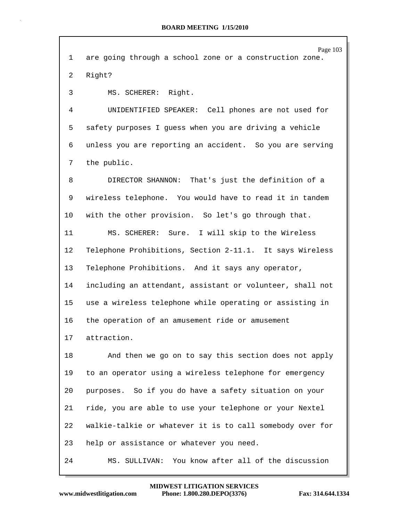| 1  | Page 103<br>are going through a school zone or a construction zone. |
|----|---------------------------------------------------------------------|
| 2  | Right?                                                              |
| 3  | MS. SCHERER: Right.                                                 |
| 4  | UNIDENTIFIED SPEAKER: Cell phones are not used for                  |
| 5  | safety purposes I guess when you are driving a vehicle              |
| 6  | unless you are reporting an accident. So you are serving            |
| 7  | the public.                                                         |
| 8  | DIRECTOR SHANNON: That's just the definition of a                   |
| 9  | wireless telephone. You would have to read it in tandem             |
| 10 | with the other provision. So let's go through that.                 |
| 11 | MS. SCHERER: Sure. I will skip to the Wireless                      |
| 12 | Telephone Prohibitions, Section 2-11.1. It says Wireless            |
| 13 | Telephone Prohibitions. And it says any operator,                   |
| 14 | including an attendant, assistant or volunteer, shall not           |
| 15 | use a wireless telephone while operating or assisting in            |
| 16 | the operation of an amusement ride or amusement                     |
| 17 | attraction.                                                         |
| 18 | And then we go on to say this section does not apply                |
| 19 | to an operator using a wireless telephone for emergency             |
| 20 | purposes. So if you do have a safety situation on your              |
| 21 | ride, you are able to use your telephone or your Nextel             |
| 22 | walkie-talkie or whatever it is to call somebody over for           |
| 23 | help or assistance or whatever you need.                            |
| 24 | MS. SULLIVAN: You know after all of the discussion                  |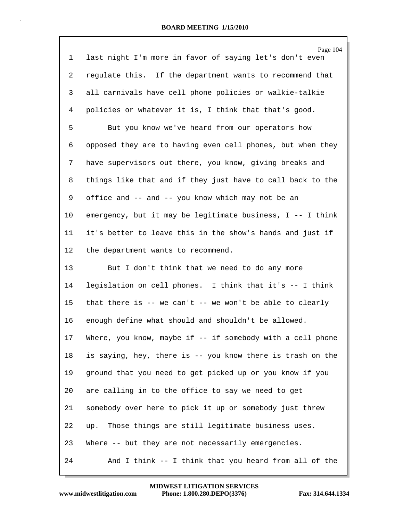| $\mathbf 1$    | Page 104<br>last night I'm more in favor of saying let's don't even |
|----------------|---------------------------------------------------------------------|
| $\overline{a}$ | regulate this. If the department wants to recommend that            |
| 3              | all carnivals have cell phone policies or walkie-talkie             |
| 4              | policies or whatever it is, I think that that's good.               |
| 5              | But you know we've heard from our operators how                     |
| 6              | opposed they are to having even cell phones, but when they          |
| 7              | have supervisors out there, you know, giving breaks and             |
| 8              | things like that and if they just have to call back to the          |
| 9              | office and -- and -- you know which may not be an                   |
| 10             | emergency, but it may be legitimate business, I -- I think          |
| 11             | it's better to leave this in the show's hands and just if           |
| $12 \,$        | the department wants to recommend.                                  |
| 13             | But I don't think that we need to do any more                       |
| 14             | legislation on cell phones. I think that it's -- I think            |
| 15             | that there is -- we can't -- we won't be able to clearly            |
| 16             | enough define what should and shouldn't be allowed.                 |
| 17             | Where, you know, maybe if -- if somebody with a cell phone          |
| 18             | is saying, hey, there is -- you know there is trash on the          |
| 19             | ground that you need to get picked up or you know if you            |
| 20             | are calling in to the office to say we need to get                  |
| 21             | somebody over here to pick it up or somebody just threw             |
| 22             | up. Those things are still legitimate business uses.                |
| 23             | Where -- but they are not necessarily emergencies.                  |
| 24             | And I think -- I think that you heard from all of the               |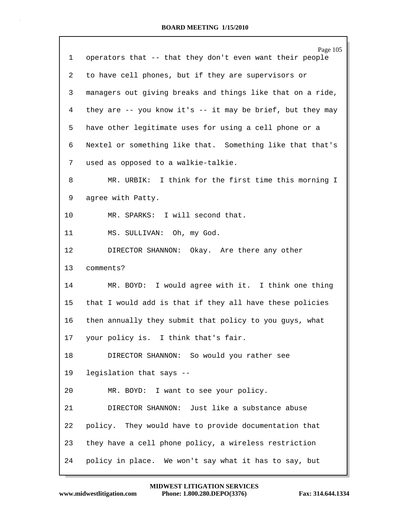|         | Page 105                                                         |
|---------|------------------------------------------------------------------|
| 1       | operators that -- that they don't even want their people         |
| 2       | to have cell phones, but if they are supervisors or              |
| 3       | managers out giving breaks and things like that on a ride,       |
| 4       | they are $-$ - you know it's $-$ - it may be brief, but they may |
| 5       | have other legitimate uses for using a cell phone or a           |
| 6       | Nextel or something like that. Something like that that's        |
| 7       | used as opposed to a walkie-talkie.                              |
| 8       | MR. URBIK: I think for the first time this morning I             |
| 9       | agree with Patty.                                                |
| $10 \,$ | MR. SPARKS: I will second that.                                  |
| 11      | MS. SULLIVAN: Oh, my God.                                        |
| 12      | DIRECTOR SHANNON: Okay. Are there any other                      |
| 13      | comments?                                                        |
| 14      | MR. BOYD: I would agree with it. I think one thing               |
| 15      | that I would add is that if they all have these policies         |
| 16      | then annually they submit that policy to you guys, what          |
| 17      | your policy is. I think that's fair.                             |
| 18      | DIRECTOR SHANNON: So would you rather see                        |
| 19      | legislation that says --                                         |
| 20      | MR. BOYD: I want to see your policy.                             |
| 21      | DIRECTOR SHANNON: Just like a substance abuse                    |
| 22      | policy. They would have to provide documentation that            |
| 23      | they have a cell phone policy, a wireless restriction            |
| 24      | policy in place. We won't say what it has to say, but            |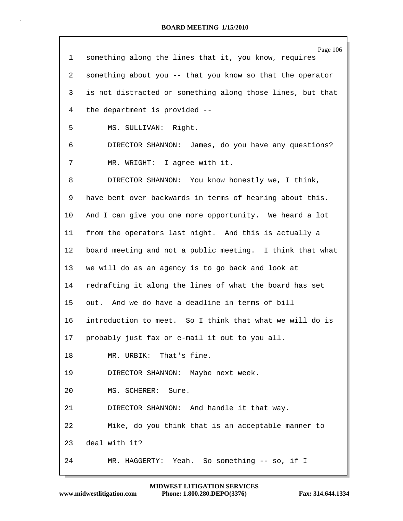|    | Page 106                                                   |
|----|------------------------------------------------------------|
| 1  | something along the lines that it, you know, requires      |
| 2  | something about you -- that you know so that the operator  |
| 3  | is not distracted or something along those lines, but that |
| 4  | the department is provided --                              |
| 5  | MS. SULLIVAN: Right.                                       |
| 6  | DIRECTOR SHANNON: James, do you have any questions?        |
| 7  | MR. WRIGHT: I agree with it.                               |
| 8  | DIRECTOR SHANNON: You know honestly we, I think,           |
| 9  | have bent over backwards in terms of hearing about this.   |
| 10 | And I can give you one more opportunity. We heard a lot    |
| 11 | from the operators last night. And this is actually a      |
| 12 | board meeting and not a public meeting. I think that what  |
| 13 | we will do as an agency is to go back and look at          |
| 14 | redrafting it along the lines of what the board has set    |
| 15 | out. And we do have a deadline in terms of bill            |
| 16 | introduction to meet. So I think that what we will do is   |
| 17 | probably just fax or e-mail it out to you all.             |
| 18 | MR. URBIK: That's fine.                                    |
| 19 | DIRECTOR SHANNON: Maybe next week.                         |
| 20 | MS. SCHERER: Sure.                                         |
| 21 | DIRECTOR SHANNON: And handle it that way.                  |
| 22 | Mike, do you think that is an acceptable manner to         |
| 23 | deal with it?                                              |
| 24 | MR. HAGGERTY: Yeah. So something -- so, if I               |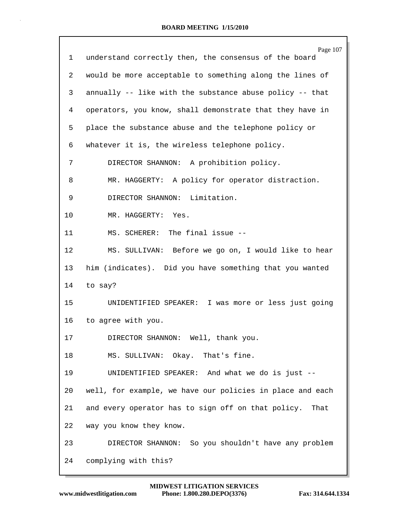| 1  | Page 107<br>understand correctly then, the consensus of the board |
|----|-------------------------------------------------------------------|
| 2  | would be more acceptable to something along the lines of          |
| 3  | annually -- like with the substance abuse policy -- that          |
| 4  | operators, you know, shall demonstrate that they have in          |
| 5  | place the substance abuse and the telephone policy or             |
| 6  | whatever it is, the wireless telephone policy.                    |
| 7  | DIRECTOR SHANNON: A prohibition policy.                           |
| 8  | MR. HAGGERTY: A policy for operator distraction.                  |
| 9  | DIRECTOR SHANNON: Limitation.                                     |
| 10 | MR. HAGGERTY: Yes.                                                |
| 11 | MS. SCHERER: The final issue --                                   |
| 12 | MS. SULLIVAN: Before we go on, I would like to hear               |
| 13 | him (indicates). Did you have something that you wanted           |
| 14 | to say?                                                           |
| 15 | UNIDENTIFIED SPEAKER: I was more or less just going               |
| 16 | to agree with you.                                                |
| 17 | DIRECTOR SHANNON: Well, thank you.                                |
| 18 | MS. SULLIVAN: Okay. That's fine.                                  |
| 19 | UNIDENTIFIED SPEAKER: And what we do is just --                   |
| 20 | well, for example, we have our policies in place and each         |
| 21 | and every operator has to sign off on that policy. That           |
| 22 | way you know they know.                                           |
| 23 | DIRECTOR SHANNON: So you shouldn't have any problem               |
| 24 | complying with this?                                              |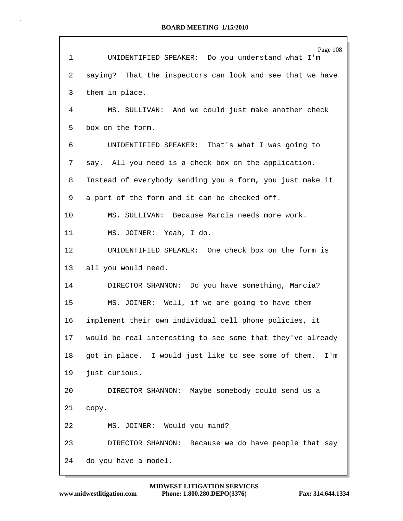| $\mathbf 1$ | Page 108<br>UNIDENTIFIED SPEAKER: Do you understand what I'm                        |
|-------------|-------------------------------------------------------------------------------------|
| 2           | saying? That the inspectors can look and see that we have                           |
| 3           | them in place.                                                                      |
| 4           | MS. SULLIVAN: And we could just make another check                                  |
| 5           | box on the form.                                                                    |
| 6           | UNIDENTIFIED SPEAKER: That's what I was going to                                    |
| 7           | say. All you need is a check box on the application.                                |
| 8           | Instead of everybody sending you a form, you just make it                           |
| 9           | a part of the form and it can be checked off.                                       |
| 10          | MS. SULLIVAN: Because Marcia needs more work.                                       |
| 11          | MS. JOINER: Yeah, I do.                                                             |
| 12          | UNIDENTIFIED SPEAKER: One check box on the form is                                  |
| 13          | all you would need.                                                                 |
| 14          | DIRECTOR SHANNON: Do you have something, Marcia?                                    |
| 15          | MS. JOINER: Well, if we are going to have them                                      |
| 16          | implement their own individual cell phone policies, it                              |
| 17          | would be real interesting to see some that they've already                          |
| $18\,$      | got in place. I would just like to see some of them.<br>$\mathtt{I}$ ' $\mathtt{m}$ |
| 19          | just curious.                                                                       |
| 20          | DIRECTOR SHANNON: Maybe somebody could send us a                                    |
| 21          | сору.                                                                               |
| 22          | MS. JOINER: Would you mind?                                                         |
| 23          | DIRECTOR SHANNON:<br>Because we do have people that say                             |
| 24          | do you have a model.                                                                |

Г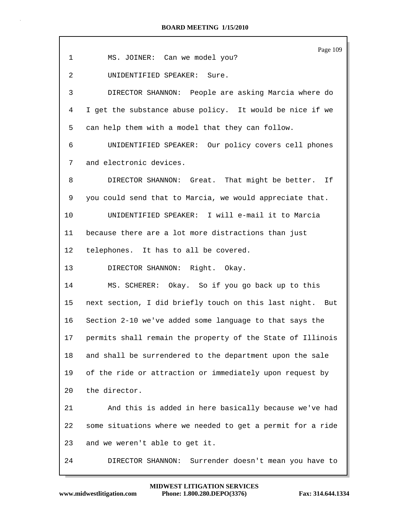|             | Page 109                                                   |
|-------------|------------------------------------------------------------|
| $\mathbf 1$ | MS. JOINER: Can we model you?                              |
| 2           | UNIDENTIFIED SPEAKER: Sure.                                |
| 3           | DIRECTOR SHANNON: People are asking Marcia where do        |
| 4           | I get the substance abuse policy. It would be nice if we   |
| 5           | can help them with a model that they can follow.           |
| 6           | UNIDENTIFIED SPEAKER: Our policy covers cell phones        |
| 7           | and electronic devices.                                    |
| 8           | DIRECTOR SHANNON: Great. That might be better. If          |
| 9           | you could send that to Marcia, we would appreciate that.   |
| 10          | UNIDENTIFIED SPEAKER: I will e-mail it to Marcia           |
| 11          | because there are a lot more distractions than just        |
| $12 \,$     | telephones. It has to all be covered.                      |
| 13          | DIRECTOR SHANNON: Right. Okay.                             |
| 14          | MS. SCHERER: Okay. So if you go back up to this            |
| 15          | next section, I did briefly touch on this last night. But  |
| 16          | Section 2-10 we've added some language to that says the    |
| 17          | permits shall remain the property of the State of Illinois |
| 18          | and shall be surrendered to the department upon the sale   |
| 19          | of the ride or attraction or immediately upon request by   |
| 20          | the director.                                              |
| 21          | And this is added in here basically because we've had      |
| 22          | some situations where we needed to get a permit for a ride |
| 23          | and we weren't able to get it.                             |
| 24          | DIRECTOR SHANNON:<br>Surrender doesn't mean you have to    |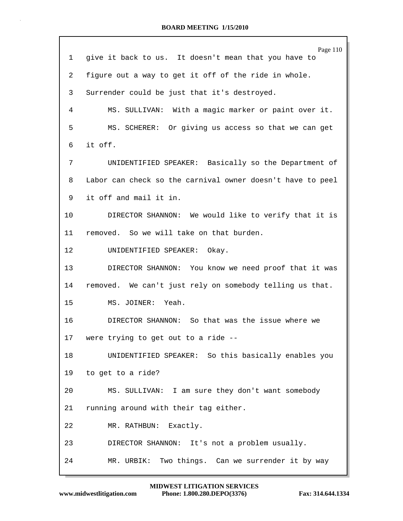Page 110 1 give it back to us. It doesn't mean that you have to 2 figure out a way to get it off of the ride in whole. 3 Surrender could be just that it's destroyed. 4 MS. SULLIVAN: With a magic marker or paint over it. 5 MS. SCHERER: Or giving us access so that we can get 6 it off. 7 UNIDENTIFIED SPEAKER: Basically so the Department of 8 Labor can check so the carnival owner doesn't have to peel 9 it off and mail it in. 10 DIRECTOR SHANNON: We would like to verify that it is 11 removed. So we will take on that burden. 12 UNIDENTIFIED SPEAKER: Okay. 13 DIRECTOR SHANNON: You know we need proof that it was 14 removed. We can't just rely on somebody telling us that. 15 MS. JOINER: Yeah. 16 DIRECTOR SHANNON: So that was the issue where we 17 were trying to get out to a ride -- 18 UNIDENTIFIED SPEAKER: So this basically enables you 19 to get to a ride? 20 MS. SULLIVAN: I am sure they don't want somebody 21 running around with their tag either. 22 MR. RATHBUN: Exactly. 23 DIRECTOR SHANNON: It's not a problem usually. 24 MR. URBIK: Two things. Can we surrender it by way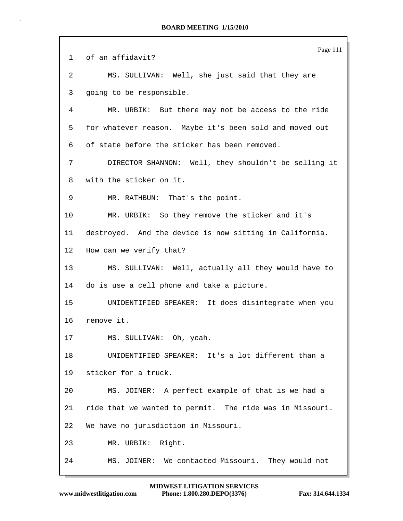|    | Page 111                                                 |
|----|----------------------------------------------------------|
| 1  | of an affidavit?                                         |
| 2  | MS. SULLIVAN: Well, she just said that they are          |
| 3  | going to be responsible.                                 |
| 4  | MR. URBIK: But there may not be access to the ride       |
| 5  | for whatever reason. Maybe it's been sold and moved out  |
| 6  | of state before the sticker has been removed.            |
| 7  | DIRECTOR SHANNON: Well, they shouldn't be selling it     |
| 8  | with the sticker on it.                                  |
| 9  | MR. RATHBUN: That's the point.                           |
| 10 | MR. URBIK: So they remove the sticker and it's           |
| 11 | destroyed. And the device is now sitting in California.  |
| 12 | How can we verify that?                                  |
| 13 | MS. SULLIVAN: Well, actually all they would have to      |
| 14 | do is use a cell phone and take a picture.               |
| 15 | UNIDENTIFIED SPEAKER: It does disintegrate when you      |
| 16 | remove it.                                               |
| 17 | MS. SULLIVAN: Oh, yeah.                                  |
| 18 | UNIDENTIFIED SPEAKER: It's a lot different than a        |
| 19 | sticker for a truck.                                     |
| 20 | MS. JOINER: A perfect example of that is we had a        |
| 21 | ride that we wanted to permit. The ride was in Missouri. |
| 22 | We have no jurisdiction in Missouri.                     |
| 23 | MR. URBIK: Right.                                        |
| 24 | MS. JOINER: We contacted Missouri. They would not        |

 $\mathsf{r}$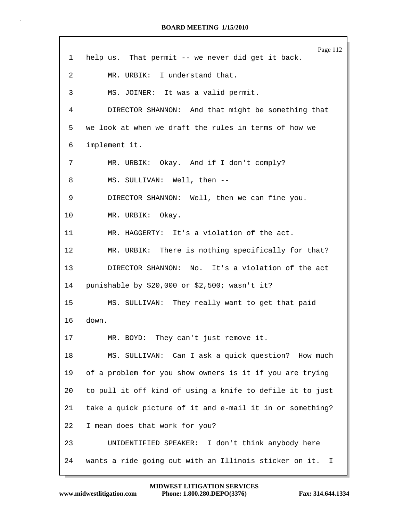Page 112 1 help us. That permit -- we never did get it back. 2 MR. URBIK: I understand that. 3 MS. JOINER: It was a valid permit. 4 DIRECTOR SHANNON: And that might be something that 5 we look at when we draft the rules in terms of how we 6 implement it. 7 MR. URBIK: Okay. And if I don't comply? 8 MS. SULLIVAN: Well, then --9 DIRECTOR SHANNON: Well, then we can fine you. 10 MR. URBIK: Okay. 11 MR. HAGGERTY: It's a violation of the act. 12 MR. URBIK: There is nothing specifically for that? 13 DIRECTOR SHANNON: No. It's a violation of the act 14 punishable by \$20,000 or \$2,500; wasn't it? 15 MS. SULLIVAN: They really want to get that paid 16 down. 17 MR. BOYD: They can't just remove it. 18 MS. SULLIVAN: Can I ask a quick question? How much 19 of a problem for you show owners is it if you are trying 20 to pull it off kind of using a knife to defile it to just 21 take a quick picture of it and e-mail it in or something? 22 I mean does that work for you? 23 UNIDENTIFIED SPEAKER: I don't think anybody here 24 wants a ride going out with an Illinois sticker on it. I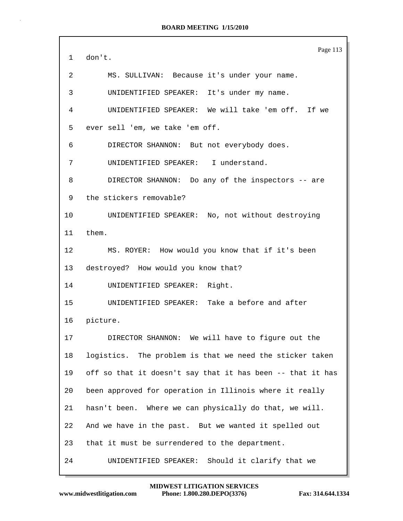|              | Page 113                                                   |
|--------------|------------------------------------------------------------|
| $\mathbf{1}$ | don't.                                                     |
| 2            | MS. SULLIVAN: Because it's under your name.                |
| 3            | UNIDENTIFIED SPEAKER: It's under my name.                  |
| 4            | UNIDENTIFIED SPEAKER: We will take 'em off. If we          |
| 5            | ever sell 'em, we take 'em off.                            |
| 6            | DIRECTOR SHANNON: But not everybody does.                  |
| 7            | UNIDENTIFIED SPEAKER: I understand.                        |
| 8            | DIRECTOR SHANNON: Do any of the inspectors -- are          |
| 9            | the stickers removable?                                    |
| 10           | UNIDENTIFIED SPEAKER: No, not without destroying           |
| 11           | them.                                                      |
| 12           | MS. ROYER: How would you know that if it's been            |
| 13           | destroyed? How would you know that?                        |
| 14           | UNIDENTIFIED SPEAKER: Right.                               |
| 15           | UNIDENTIFIED SPEAKER: Take a before and after              |
| 16           | picture.                                                   |
| 17           | DIRECTOR SHANNON: We will have to figure out the           |
| 18           | logistics. The problem is that we need the sticker taken   |
| 19           | off so that it doesn't say that it has been -- that it has |
| 20           | been approved for operation in Illinois where it really    |
| 21           | hasn't been. Where we can physically do that, we will.     |
| 22           | And we have in the past. But we wanted it spelled out      |
| 23           | that it must be surrendered to the department.             |
| 24           | UNIDENTIFIED SPEAKER: Should it clarify that we            |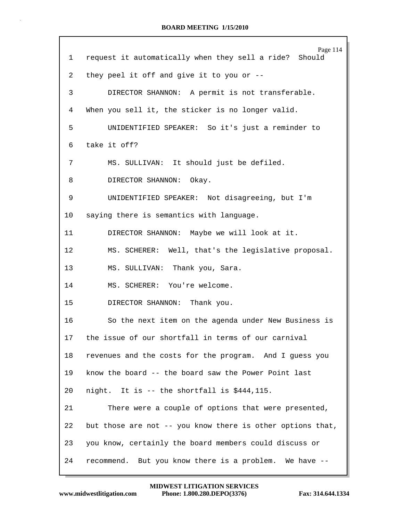| $\mathbf{1}$ | Page 114<br>request it automatically when they sell a ride? Should |
|--------------|--------------------------------------------------------------------|
| 2            | they peel it off and give it to you or --                          |
| 3            | DIRECTOR SHANNON: A permit is not transferable.                    |
|              |                                                                    |
| 4            | When you sell it, the sticker is no longer valid.                  |
| 5            | UNIDENTIFIED SPEAKER: So it's just a reminder to                   |
| 6            | take it off?                                                       |
| 7            | MS. SULLIVAN: It should just be defiled.                           |
| 8            | DIRECTOR SHANNON: Okay.                                            |
| 9            | UNIDENTIFIED SPEAKER: Not disagreeing, but I'm                     |
| 10           | saying there is semantics with language.                           |
| 11           | DIRECTOR SHANNON: Maybe we will look at it.                        |
| 12           | MS. SCHERER: Well, that's the legislative proposal.                |
| 13           | MS. SULLIVAN: Thank you, Sara.                                     |
| 14           | MS. SCHERER: You're welcome.                                       |
| 15           | DIRECTOR SHANNON: Thank you.                                       |
| 16           | So the next item on the agenda under New Business is               |
| 17           | the issue of our shortfall in terms of our carnival                |
| 18           | revenues and the costs for the program. And I guess you            |
| 19           | know the board -- the board saw the Power Point last               |
| 20           | night. It is -- the shortfall is \$444,115.                        |
| 21           | There were a couple of options that were presented,                |
| 22           | but those are not -- you know there is other options that,         |
| 23           | you know, certainly the board members could discuss or             |
| 24           | recommend. But you know there is a problem. We have --             |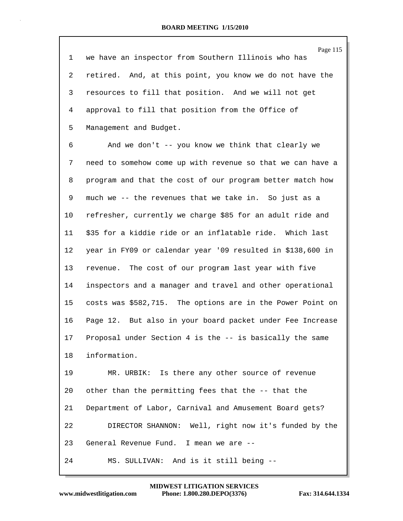Page 115 1 we have an inspector from Southern Illinois who has 2 retired. And, at this point, you know we do not have the 3 resources to fill that position. And we will not get 4 approval to fill that position from the Office of 5 Management and Budget.

6 And we don't -- you know we think that clearly we 7 need to somehow come up with revenue so that we can have a 8 program and that the cost of our program better match how 9 much we -- the revenues that we take in. So just as a 10 refresher, currently we charge \$85 for an adult ride and 11 \$35 for a kiddie ride or an inflatable ride. Which last 12 year in FY09 or calendar year '09 resulted in \$138,600 in 13 revenue. The cost of our program last year with five 14 inspectors and a manager and travel and other operational 15 costs was \$582,715. The options are in the Power Point on 16 Page 12. But also in your board packet under Fee Increase 17 Proposal under Section 4 is the -- is basically the same 18 information.

19 MR. URBIK: Is there any other source of revenue 20 other than the permitting fees that the -- that the 21 Department of Labor, Carnival and Amusement Board gets? 22 DIRECTOR SHANNON: Well, right now it's funded by the 23 General Revenue Fund. I mean we are -- 24 MS. SULLIVAN: And is it still being --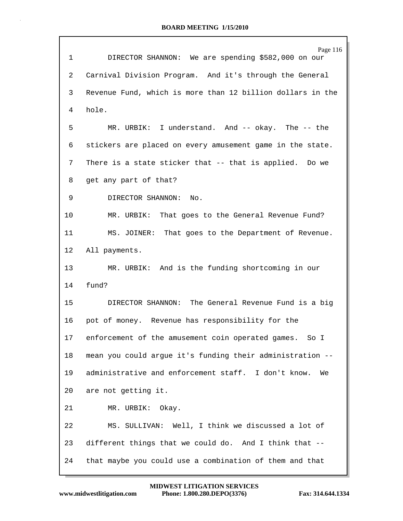| $\mathbf 1$     | Page 116<br>DIRECTOR SHANNON: We are spending \$582,000 on our |
|-----------------|----------------------------------------------------------------|
| 2               | Carnival Division Program. And it's through the General        |
| 3               | Revenue Fund, which is more than 12 billion dollars in the     |
| 4               | hole.                                                          |
| 5               | MR. URBIK: I understand. And -- okay. The -- the               |
| 6               | stickers are placed on every amusement game in the state.      |
| 7               | There is a state sticker that -- that is applied. Do we        |
| 8               | get any part of that?                                          |
| 9               | DIRECTOR SHANNON:<br>No.                                       |
| $10 \,$         | MR. URBIK: That goes to the General Revenue Fund?              |
| 11              | MS. JOINER: That goes to the Department of Revenue.            |
| 12 <sub>1</sub> | All payments.                                                  |
| 13 <sup>°</sup> | MR. URBIK: And is the funding shortcoming in our               |
| 14              | fund?                                                          |
| 15 <sub>1</sub> | DIRECTOR SHANNON: The General Revenue Fund is a big            |
| 16              | pot of money. Revenue has responsibility for the               |
| 17              | enforcement of the amusement coin operated games. So I         |
| 18              | mean you could argue it's funding their administration --      |
| 19              | administrative and enforcement staff. I don't know.<br>We      |
| 20              | are not getting it.                                            |
| 21              | MR. URBIK: Okay.                                               |
| 22              | MS. SULLIVAN: Well, I think we discussed a lot of              |
| 23              | different things that we could do. And I think that --         |
| 24              | that maybe you could use a combination of them and that        |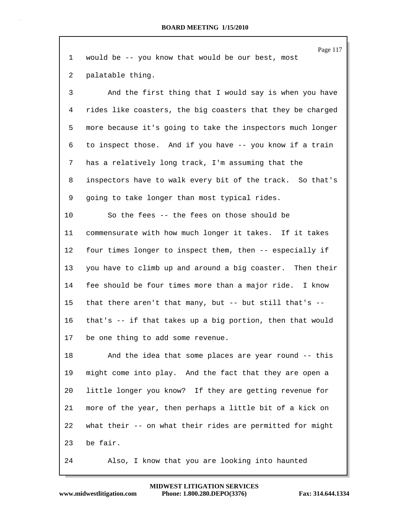|    | Page 117                                                   |
|----|------------------------------------------------------------|
| 1  | would be -- you know that would be our best, most          |
| 2  | palatable thing.                                           |
| 3  | And the first thing that I would say is when you have      |
| 4  | rides like coasters, the big coasters that they be charged |
| 5  | more because it's going to take the inspectors much longer |
| 6  | to inspect those. And if you have -- you know if a train   |
| 7  | has a relatively long track, I'm assuming that the         |
| 8  | inspectors have to walk every bit of the track. So that's  |
| 9  | going to take longer than most typical rides.              |
| 10 | So the fees -- the fees on those should be                 |
| 11 | commensurate with how much longer it takes. If it takes    |
| 12 | four times longer to inspect them, then -- especially if   |
| 13 | you have to climb up and around a big coaster. Then their  |
| 14 | fee should be four times more than a major ride. I know    |
| 15 | that there aren't that many, but -- but still that's --    |
| 16 | that's -- if that takes up a big portion, then that would  |
| 17 | be one thing to add some revenue.                          |
| 18 | And the idea that some places are year round -- this       |
| 19 | might come into play. And the fact that they are open a    |
| 20 | little longer you know? If they are getting revenue for    |
| 21 | more of the year, then perhaps a little bit of a kick on   |
| 22 | what their -- on what their rides are permitted for might  |
| 23 | be fair.                                                   |
| 24 | Also, I know that you are looking into haunted             |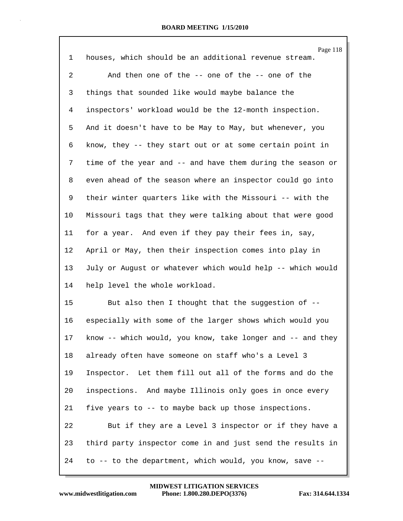| $\mathbf 1$ | Page 118<br>houses, which should be an additional revenue stream. |
|-------------|-------------------------------------------------------------------|
| 2           | And then one of the -- one of the -- one of the                   |
| 3           | things that sounded like would maybe balance the                  |
| 4           | inspectors' workload would be the 12-month inspection.            |
| 5           | And it doesn't have to be May to May, but whenever, you           |
| 6           | know, they -- they start out or at some certain point in          |
| 7           | time of the year and -- and have them during the season or        |
| 8           | even ahead of the season where an inspector could go into         |
| 9           | their winter quarters like with the Missouri -- with the          |
| 10          | Missouri tags that they were talking about that were good         |
| 11          | for a year. And even if they pay their fees in, say,              |
| 12          | April or May, then their inspection comes into play in            |
| 13          | July or August or whatever which would help -- which would        |
| 14          | help level the whole workload.                                    |
| 15          | But also then I thought that the suggestion of --                 |
| 16          | especially with some of the larger shows which would you          |
| 17          | know -- which would, you know, take longer and -- and they        |
| 18          | already often have someone on staff who's a Level 3               |
| 19          | Inspector. Let them fill out all of the forms and do the          |
| 20          | inspections. And maybe Illinois only goes in once every           |
| 21          | five years to -- to maybe back up those inspections.              |
| 22          | But if they are a Level 3 inspector or if they have a             |
| 23          | third party inspector come in and just send the results in        |
| 24          | to -- to the department, which would, you know, save --           |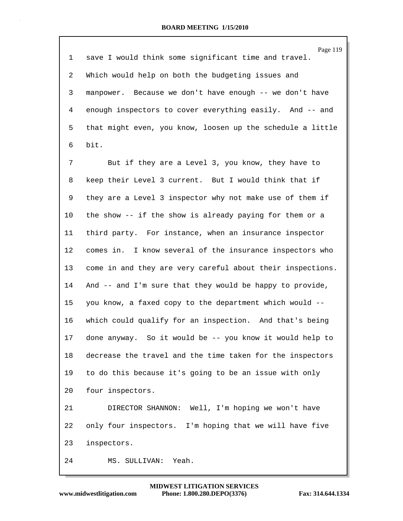| $\mathbf{1}$   | Page 119<br>save I would think some significant time and travel. |
|----------------|------------------------------------------------------------------|
| $\overline{2}$ | Which would help on both the budgeting issues and                |
| 3              | manpower. Because we don't have enough -- we don't have          |
| 4              | enough inspectors to cover everything easily. And -- and         |
| 5              | that might even, you know, loosen up the schedule a little       |
| 6              | bit.                                                             |
| 7              | But if they are a Level 3, you know, they have to                |
| 8              | keep their Level 3 current. But I would think that if            |
| 9              | they are a Level 3 inspector why not make use of them if         |
| 10             | the show -- if the show is already paying for them or a          |
| 11             | third party. For instance, when an insurance inspector           |
| 12             | comes in. I know several of the insurance inspectors who         |
| 13             | come in and they are very careful about their inspections.       |
| 14             | And -- and I'm sure that they would be happy to provide,         |
| 15             | you know, a faxed copy to the department which would --          |
| 16             | which could qualify for an inspection. And that's being          |
| 17             | done anyway. So it would be -- you know it would help to         |
| 18             | decrease the travel and the time taken for the inspectors        |
| 19             | to do this because it's going to be an issue with only           |
| 20             | four inspectors.                                                 |
| 21             | DIRECTOR SHANNON: Well, I'm hoping we won't have                 |
| 22             | only four inspectors. I'm hoping that we will have five          |
| 23             | inspectors.                                                      |
| 24             | Yeah.<br>MS. SULLIVAN:                                           |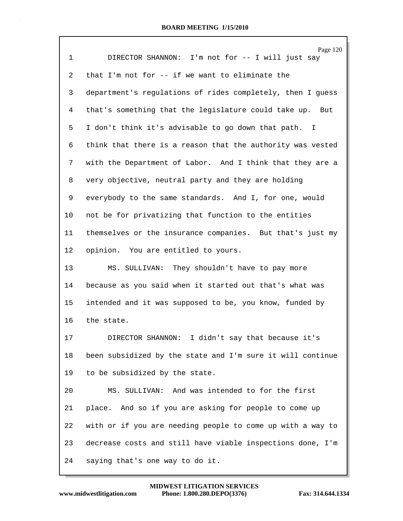|                | Page 120                                                   |
|----------------|------------------------------------------------------------|
| $\mathbf 1$    | DIRECTOR SHANNON: I'm not for -- I will just say           |
| $\overline{2}$ | that I'm not for -- if we want to eliminate the            |
| 3              | department's regulations of rides completely, then I guess |
| 4              | that's something that the legislature could take up. But   |
| 5              | I don't think it's advisable to go down that path. I       |
| 6              | think that there is a reason that the authority was vested |
| 7              | with the Department of Labor. And I think that they are a  |
| 8              | very objective, neutral party and they are holding         |
| 9              | everybody to the same standards. And I, for one, would     |
| 10             | not be for privatizing that function to the entities       |
| 11             | themselves or the insurance companies. But that's just my  |
| $12 \,$        | opinion. You are entitled to yours.                        |
| 13             | MS. SULLIVAN: They shouldn't have to pay more              |
| 14             | because as you said when it started out that's what was    |
| 15             | intended and it was supposed to be, you know, funded by    |
| 16             | the state.                                                 |
| 17             | I didn't say that because it's<br>DIRECTOR SHANNON:        |
| 18             | been subsidized by the state and I'm sure it will continue |
| 19             | to be subsidized by the state.                             |
| 20             | MS. SULLIVAN: And was intended to for the first            |
| 21             | place. And so if you are asking for people to come up      |
| 22             | with or if you are needing people to come up with a way to |
| 23             | decrease costs and still have viable inspections done, I'm |
| 24             | saying that's one way to do it.                            |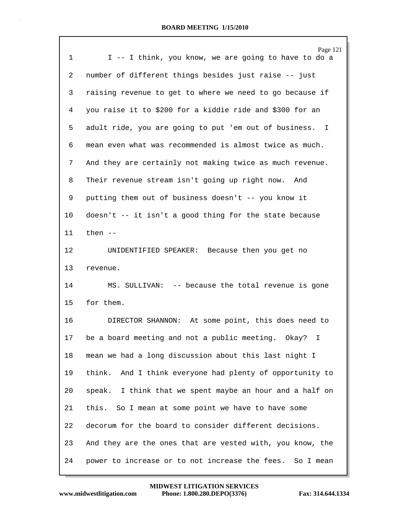| 1              | Page 121<br>I -- I think, you know, we are going to have to do a |
|----------------|------------------------------------------------------------------|
| $\overline{2}$ | number of different things besides just raise -- just            |
| 3              | raising revenue to get to where we need to go because if         |
| 4              | you raise it to \$200 for a kiddie ride and \$300 for an         |
| 5              | adult ride, you are going to put 'em out of business. I          |
| 6              | mean even what was recommended is almost twice as much.          |
| 7              | And they are certainly not making twice as much revenue.         |
| 8              | Their revenue stream isn't going up right now. And               |
| 9              | putting them out of business doesn't -- you know it              |
| 10             | doesn't $-$ it isn't a good thing for the state because          |
| 11             | then $--$                                                        |
| 12             | UNIDENTIFIED SPEAKER: Because then you get no                    |
| 13             | revenue.                                                         |
| 14             | MS. SULLIVAN: -- because the total revenue is gone               |
| 15             | for them.                                                        |
| 16             | DIRECTOR SHANNON: At some point, this does need to               |
| 17             | be a board meeting and not a public meeting. Okay?<br>Ι.         |
| 18             | mean we had a long discussion about this last night I            |
| 19             | think. And I think everyone had plenty of opportunity to         |
| 20             | speak. I think that we spent maybe an hour and a half on         |
| 21             | this. So I mean at some point we have to have some               |
| 22             | decorum for the board to consider different decisions.           |
| 23             | And they are the ones that are vested with, you know, the        |
| 24             | power to increase or to not increase the fees. So I mean         |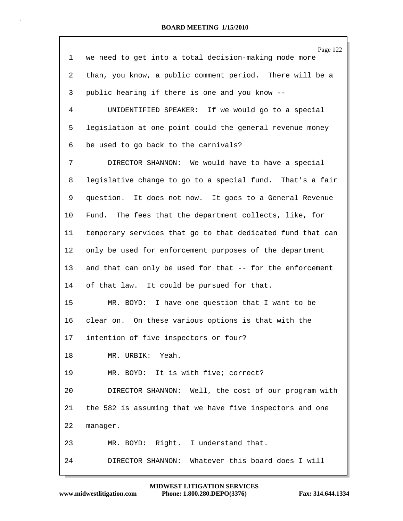| 1       | Page 122<br>we need to get into a total decision-making mode more |
|---------|-------------------------------------------------------------------|
| 2       | than, you know, a public comment period. There will be a          |
| 3       | public hearing if there is one and you know --                    |
| 4       | UNIDENTIFIED SPEAKER: If we would go to a special                 |
| 5       | legislation at one point could the general revenue money          |
| 6       | be used to go back to the carnivals?                              |
| 7       | DIRECTOR SHANNON: We would have to have a special                 |
| 8       | legislative change to go to a special fund. That's a fair         |
| 9       | question. It does not now. It goes to a General Revenue           |
| 10      | Fund. The fees that the department collects, like, for            |
| 11      | temporary services that go to that dedicated fund that can        |
| $12 \,$ | only be used for enforcement purposes of the department           |
| 13      | and that can only be used for that -- for the enforcement         |
| 14      | of that law. It could be pursued for that.                        |
| 15      | MR. BOYD: I have one question that I want to be                   |
| 16      | clear on. On these various options is that with the               |
| 17      | intention of five inspectors or four?                             |
| 18      | MR. URBIK: Yeah.                                                  |
| 19      | MR. BOYD: It is with five; correct?                               |
| 20      | DIRECTOR SHANNON: Well, the cost of our program with              |
| 21      | the 582 is assuming that we have five inspectors and one          |
| 22      | manager.                                                          |
| 23      | MR. BOYD: Right. I understand that.                               |
| 24      | DIRECTOR SHANNON: Whatever this board does I will                 |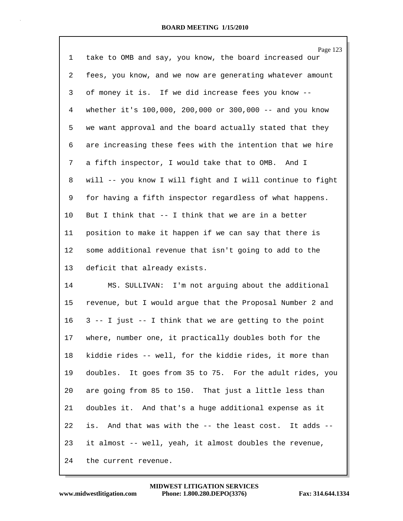Page 123 1 take to OMB and say, you know, the board increased our 2 fees, you know, and we now are generating whatever amount 3 of money it is. If we did increase fees you know -- 4 whether it's 100,000, 200,000 or 300,000 -- and you know 5 we want approval and the board actually stated that they 6 are increasing these fees with the intention that we hire 7 a fifth inspector, I would take that to OMB. And I 8 will -- you know I will fight and I will continue to fight 9 for having a fifth inspector regardless of what happens. 10 But I think that -- I think that we are in a better 11 position to make it happen if we can say that there is 12 some additional revenue that isn't going to add to the 13 deficit that already exists.

14 MS. SULLIVAN: I'm not arguing about the additional 15 revenue, but I would argue that the Proposal Number 2 and 16 3 -- I just -- I think that we are getting to the point 17 where, number one, it practically doubles both for the 18 kiddie rides -- well, for the kiddie rides, it more than 19 doubles. It goes from 35 to 75. For the adult rides, you 20 are going from 85 to 150. That just a little less than 21 doubles it. And that's a huge additional expense as it 22 is. And that was with the -- the least cost. It adds -- 23 it almost -- well, yeah, it almost doubles the revenue, 24 the current revenue.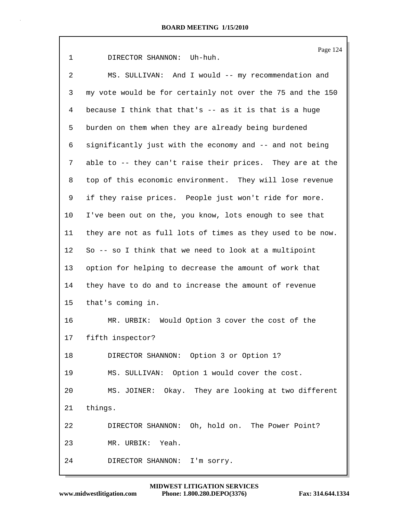Page 124 1 DIRECTOR SHANNON: Uh-huh. 2 MS. SULLIVAN: And I would -- my recommendation and 3 my vote would be for certainly not over the 75 and the 150 4 because I think that that's -- as it is that is a huge 5 burden on them when they are already being burdened 6 significantly just with the economy and -- and not being 7 able to -- they can't raise their prices. They are at the 8 top of this economic environment. They will lose revenue 9 if they raise prices. People just won't ride for more. 10 I've been out on the, you know, lots enough to see that 11 they are not as full lots of times as they used to be now. 12 So -- so I think that we need to look at a multipoint 13 option for helping to decrease the amount of work that 14 they have to do and to increase the amount of revenue 15 that's coming in. 16 MR. URBIK: Would Option 3 cover the cost of the 17 fifth inspector? 18 DIRECTOR SHANNON: Option 3 or Option 1? 19 MS. SULLIVAN: Option 1 would cover the cost. 20 MS. JOINER: Okay. They are looking at two different 21 things. 22 DIRECTOR SHANNON: Oh, hold on. The Power Point? 23 MR. URBIK: Yeah. 24 DIRECTOR SHANNON: I'm sorry.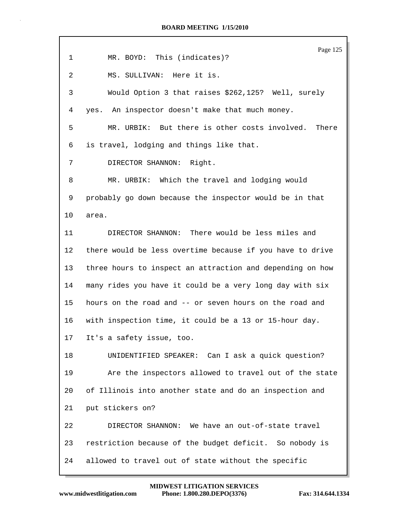|                | Page 125                                                  |
|----------------|-----------------------------------------------------------|
| $\mathbf 1$    | MR. BOYD: This (indicates)?                               |
| $\overline{a}$ | MS. SULLIVAN: Here it is.                                 |
| 3              | Would Option 3 that raises \$262,125? Well, surely        |
| 4              | yes. An inspector doesn't make that much money.           |
| 5              | MR. URBIK: But there is other costs involved.<br>There    |
| 6              | is travel, lodging and things like that.                  |
| 7              | DIRECTOR SHANNON: Right.                                  |
| 8              | MR. URBIK: Which the travel and lodging would             |
| 9              | probably go down because the inspector would be in that   |
| 10             | area.                                                     |
| 11             | DIRECTOR SHANNON: There would be less miles and           |
| 12             | there would be less overtime because if you have to drive |
| 13             | three hours to inspect an attraction and depending on how |
| 14             | many rides you have it could be a very long day with six  |
| 15             | hours on the road and -- or seven hours on the road and   |
| 16             | with inspection time, it could be a 13 or 15-hour day.    |
| 17             | It's a safety issue, too.                                 |
| 18             | UNIDENTIFIED SPEAKER: Can I ask a quick question?         |
| 19             | Are the inspectors allowed to travel out of the state     |
| 20             | of Illinois into another state and do an inspection and   |
| 21             | put stickers on?                                          |
| 22             | DIRECTOR SHANNON: We have an out-of-state travel          |
| 23             | restriction because of the budget deficit. So nobody is   |
| 24             | allowed to travel out of state without the specific       |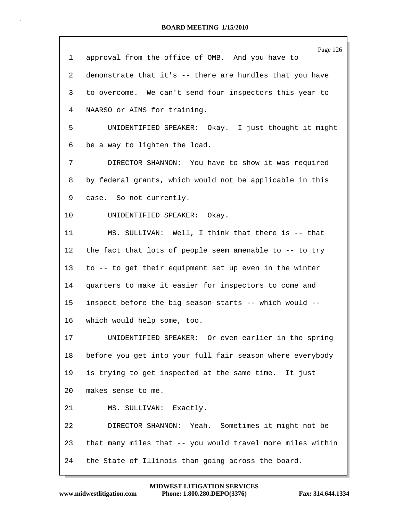|                 | Page 126                                                   |
|-----------------|------------------------------------------------------------|
| 1               | approval from the office of OMB. And you have to           |
| 2               | demonstrate that it's -- there are hurdles that you have   |
| 3               | to overcome. We can't send four inspectors this year to    |
| 4               | NAARSO or AIMS for training.                               |
| 5               | UNIDENTIFIED SPEAKER: Okay. I just thought it might        |
| 6               | be a way to lighten the load.                              |
| 7               | DIRECTOR SHANNON: You have to show it was required         |
| 8               | by federal grants, which would not be applicable in this   |
| 9               | case. So not currently.                                    |
| 10              | UNIDENTIFIED SPEAKER: Okay.                                |
| 11              | MS. SULLIVAN: Well, I think that there is -- that          |
| 12              | the fact that lots of people seem amenable to -- to try    |
| 13              | to -- to get their equipment set up even in the winter     |
| 14              | quarters to make it easier for inspectors to come and      |
| 15 <sub>1</sub> | inspect before the big season starts -- which would --     |
| 16              | which would help some, too.                                |
| 17              | UNIDENTIFIED SPEAKER: Or even earlier in the spring        |
| 18              | before you get into your full fair season where everybody  |
| 19              | is trying to get inspected at the same time. It just       |
| 20              | makes sense to me.                                         |
| 21              | MS. SULLIVAN: Exactly.                                     |
| 22              | DIRECTOR SHANNON: Yeah. Sometimes it might not be          |
| 23              | that many miles that -- you would travel more miles within |
| 24              | the State of Illinois than going across the board.         |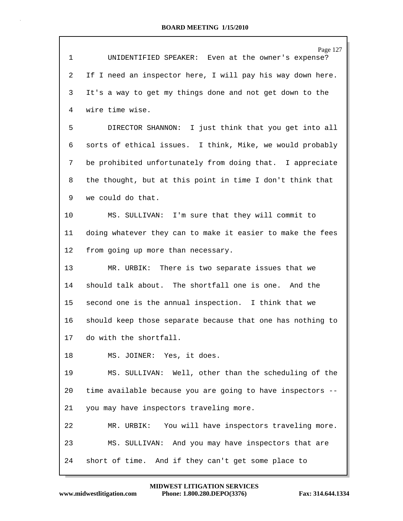| $\mathbf{1}$ | Page 127<br>UNIDENTIFIED SPEAKER: Even at the owner's expense? |
|--------------|----------------------------------------------------------------|
| 2            | If I need an inspector here, I will pay his way down here.     |
| 3            | It's a way to get my things done and not get down to the       |
| 4            | wire time wise.                                                |
| 5            | DIRECTOR SHANNON: I just think that you get into all           |
| 6            | sorts of ethical issues. I think, Mike, we would probably      |
| 7            | be prohibited unfortunately from doing that. I appreciate      |
| 8            | the thought, but at this point in time I don't think that      |
| 9            | we could do that.                                              |
| 10           | MS. SULLIVAN: I'm sure that they will commit to                |
| 11           | doing whatever they can to make it easier to make the fees     |
| 12           | from going up more than necessary.                             |
| 13           | MR. URBIK: There is two separate issues that we                |
| 14           | should talk about. The shortfall one is one. And the           |
| 15           | second one is the annual inspection. I think that we           |
| 16           | should keep those separate because that one has nothing to     |
| 17           | do with the shortfall.                                         |
| 18           | MS. JOINER: Yes, it does.                                      |
| 19           | MS. SULLIVAN: Well, other than the scheduling of the           |
| 20           | time available because you are going to have inspectors --     |
| 21           | you may have inspectors traveling more.                        |
| 22           | MR. URBIK: You will have inspectors traveling more.            |
| 23           | MS. SULLIVAN: And you may have inspectors that are             |
| 24           | short of time. And if they can't get some place to             |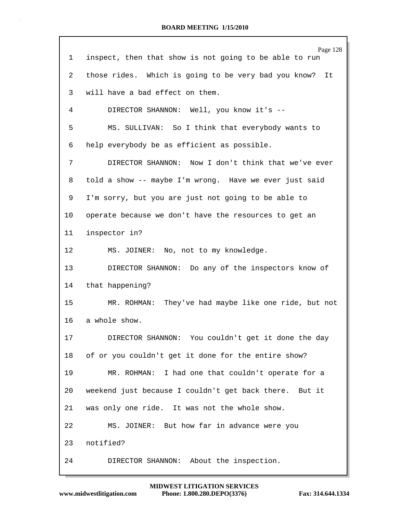|         | Page 128                                                   |
|---------|------------------------------------------------------------|
| 1       | inspect, then that show is not going to be able to run     |
| 2       | those rides. Which is going to be very bad you know?<br>It |
| 3       | will have a bad effect on them.                            |
| 4       | DIRECTOR SHANNON: Well, you know it's --                   |
| 5       | MS. SULLIVAN: So I think that everybody wants to           |
| 6       | help everybody be as efficient as possible.                |
| 7       | DIRECTOR SHANNON: Now I don't think that we've ever        |
| 8       | told a show -- maybe I'm wrong. Have we ever just said     |
| 9       | I'm sorry, but you are just not going to be able to        |
| 10      | operate because we don't have the resources to get an      |
| 11      | inspector in?                                              |
| $12 \,$ | MS. JOINER: No, not to my knowledge.                       |
| 13      | DIRECTOR SHANNON: Do any of the inspectors know of         |
| 14      | that happening?                                            |
| 15      | MR. ROHMAN: They've had maybe like one ride, but not       |
| 16      | a whole show.                                              |
| 17      | DIRECTOR SHANNON: You couldn't get it done the day         |
| 18      | of or you couldn't get it done for the entire show?        |
| 19      | MR. ROHMAN: I had one that couldn't operate for a          |
| 20      | weekend just because I couldn't get back there. But it     |
| 21      | was only one ride. It was not the whole show.              |
| 22      | MS. JOINER: But how far in advance were you                |
| 23      | notified?                                                  |
| 24      | About the inspection.<br>DIRECTOR SHANNON:                 |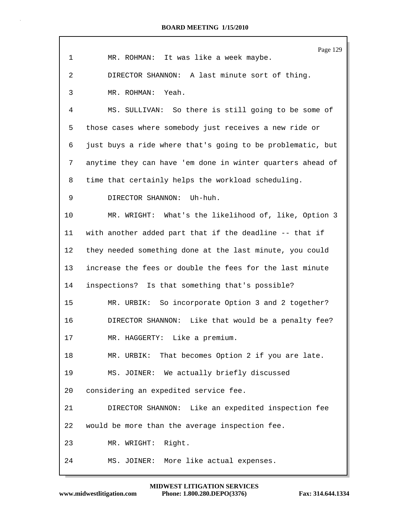|                 | Page 129                                                   |
|-----------------|------------------------------------------------------------|
| $\mathbf 1$     | MR. ROHMAN: It was like a week maybe.                      |
| 2               | DIRECTOR SHANNON: A last minute sort of thing.             |
| 3               | MR. ROHMAN: Yeah.                                          |
| 4               | MS. SULLIVAN: So there is still going to be some of        |
| 5               | those cases where somebody just receives a new ride or     |
| 6               | just buys a ride where that's going to be problematic, but |
| 7               | anytime they can have 'em done in winter quarters ahead of |
| 8               | time that certainly helps the workload scheduling.         |
| 9               | DIRECTOR SHANNON: Uh-huh.                                  |
| 10              | MR. WRIGHT: What's the likelihood of, like, Option 3       |
| 11 <sup>1</sup> | with another added part that if the deadline -- that if    |
| $12 \,$         | they needed something done at the last minute, you could   |
| 13              | increase the fees or double the fees for the last minute   |
| 14              | inspections? Is that something that's possible?            |
| 15              | So incorporate Option 3 and 2 together?<br>MR. URBIK:      |
| 16              | DIRECTOR SHANNON:<br>Like that would be a penalty fee?     |
| 17              | MR. HAGGERTY: Like a premium.                              |
| 18              | That becomes Option 2 if you are late.<br>MR. URBIK:       |
| 19              | MS. JOINER: We actually briefly discussed                  |
| 20              | considering an expedited service fee.                      |
| 21              | DIRECTOR SHANNON: Like an expedited inspection fee         |
| 22              | would be more than the average inspection fee.             |
| 23              | Right.<br>MR. WRIGHT:                                      |
| 24              | MS. JOINER: More like actual expenses.                     |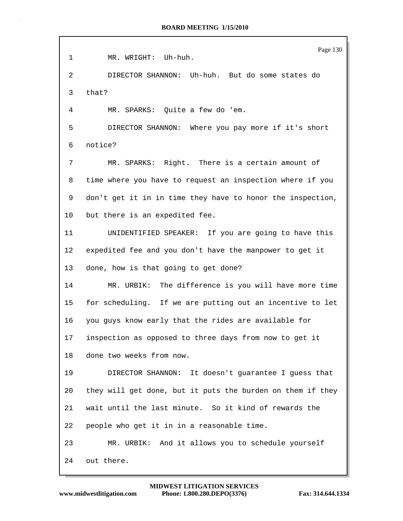|             | Page 130                                                   |
|-------------|------------------------------------------------------------|
| $\mathbf 1$ | MR. WRIGHT: Uh-huh.                                        |
| 2           | DIRECTOR SHANNON: Uh-huh. But do some states do            |
| 3           | that?                                                      |
| 4           | MR. SPARKS: Quite a few do 'em.                            |
| 5           | DIRECTOR SHANNON: Where you pay more if it's short         |
| 6           | notice?                                                    |
| 7           | MR. SPARKS: Right. There is a certain amount of            |
| 8           | time where you have to request an inspection where if you  |
| 9           | don't get it in in time they have to honor the inspection, |
| 10          | but there is an expedited fee.                             |
| 11          | UNIDENTIFIED SPEAKER: If you are going to have this        |
| 12          | expedited fee and you don't have the manpower to get it    |
| 13          | done, how is that going to get done?                       |
| 14          | MR. URBIK: The difference is you will have more time       |
| 15          | for scheduling. If we are putting out an incentive to let  |
| 16          | you guys know early that the rides are available for       |
| 17          | inspection as opposed to three days from now to get it     |
| 18          | done two weeks from now.                                   |
| 19          | DIRECTOR SHANNON: It doesn't guarantee I guess that        |
| 20          | they will get done, but it puts the burden on them if they |
| 21          | wait until the last minute. So it kind of rewards the      |
| 22          | people who get it in in a reasonable time.                 |
| 23          | MR. URBIK: And it allows you to schedule yourself          |
| 24          | out there.                                                 |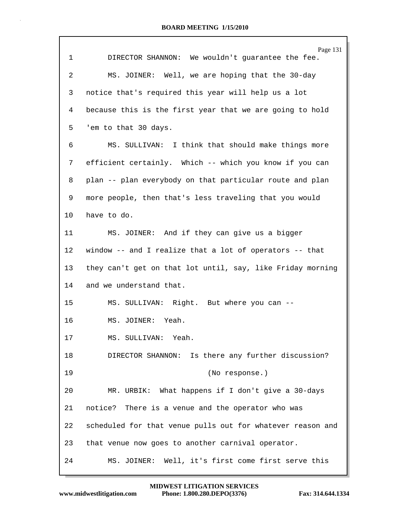|             | Page 131                                                   |
|-------------|------------------------------------------------------------|
| $\mathbf 1$ | DIRECTOR SHANNON: We wouldn't guarantee the fee.           |
| 2           | MS. JOINER: Well, we are hoping that the 30-day            |
| 3           | notice that's required this year will help us a lot        |
| 4           | because this is the first year that we are going to hold   |
| 5           | 'em to that 30 days.                                       |
| 6           | MS. SULLIVAN: I think that should make things more         |
| 7           | efficient certainly. Which -- which you know if you can    |
| 8           | plan -- plan everybody on that particular route and plan   |
| 9           | more people, then that's less traveling that you would     |
| 10          | have to do.                                                |
| 11          | MS. JOINER: And if they can give us a bigger               |
| 12          | window -- and I realize that a lot of operators -- that    |
| 13          | they can't get on that lot until, say, like Friday morning |
| 14          | and we understand that.                                    |
| 15          | MS. SULLIVAN: Right. But where you can --                  |
| 16          | MS. JOINER: Yeah.                                          |
| 17          | MS. SULLIVAN: Yeah.                                        |
| 18          | DIRECTOR SHANNON: Is there any further discussion?         |
| 19          | (No response.)                                             |
| 20          | MR. URBIK: What happens if I don't give a 30-days          |
| 21          | notice? There is a venue and the operator who was          |
| 22          | scheduled for that venue pulls out for whatever reason and |
| 23          | that venue now goes to another carnival operator.          |
| 24          | MS. JOINER: Well, it's first come first serve this         |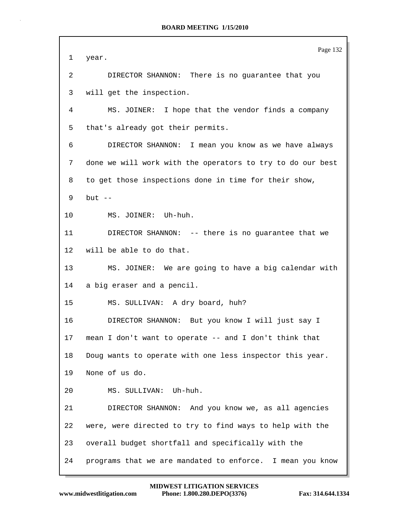| 1       | Page 132<br>year.                                            |
|---------|--------------------------------------------------------------|
| 2       | DIRECTOR SHANNON: There is no guarantee that you             |
| 3       | will get the inspection.                                     |
| 4       | MS. JOINER: I hope that the vendor finds a company           |
| 5       | that's already got their permits.                            |
| 6       | DIRECTOR SHANNON: I mean you know as we have always          |
| 7       | done we will work with the operators to try to do our best   |
| 8       | to get those inspections done in time for their show,        |
| 9       | but $--$                                                     |
| 10      | MS. JOINER: Uh-huh.                                          |
| 11      | DIRECTOR SHANNON: -- there is no guarantee that we           |
| $12 \,$ | will be able to do that.                                     |
| 13      | MS. JOINER: We are going to have a big calendar with         |
| 14      | a big eraser and a pencil.                                   |
| 15      | MS. SULLIVAN: A dry board, huh?                              |
| 16      | DIRECTOR SHANNON: But you know I will just say I             |
| 17      | mean I don't want to operate -- and I don't think that       |
| 18      | Doug wants to operate with one less inspector this year.     |
| 19      | None of us do.                                               |
| 20      | MS. SULLIVAN: Uh-huh.                                        |
| 21      | DIRECTOR SHANNON: And you know we, as all agencies           |
| 22      | were, were directed to try to find ways to help with the     |
| 23      | overall budget shortfall and specifically with the           |
| 24      | programs that we are mandated to enforce.<br>I mean you know |

 $\mathsf{r}$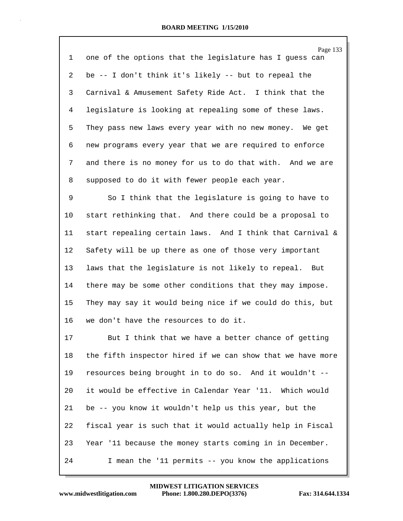|        | Page 133                                                     |
|--------|--------------------------------------------------------------|
| 1      | one of the options that the legislature has I guess can      |
| 2      | be -- I don't think it's likely -- but to repeal the         |
| 3      | Carnival & Amusement Safety Ride Act. I think that the       |
| 4      | legislature is looking at repealing some of these laws.      |
| 5      | They pass new laws every year with no new money. We get      |
| 6      | new programs every year that we are required to enforce      |
| 7      | and there is no money for us to do that with. And we are     |
| 8      | supposed to do it with fewer people each year.               |
| 9      | So I think that the legislature is going to have to          |
| $10\,$ | start rethinking that. And there could be a proposal to      |
|        | 11 start repealing certain laws. And I think that Carnival & |
|        |                                                              |

15 They may say it would being nice if we could do this, but 16 we don't have the resources to do it. 17 But I think that we have a better chance of getting 18 the fifth inspector hired if we can show that we have more 19 resources being brought in to do so. And it wouldn't -- 20 it would be effective in Calendar Year '11. Which would 21 be -- you know it wouldn't help us this year, but the

12 Safety will be up there as one of those very important

13 laws that the legislature is not likely to repeal. But

14 there may be some other conditions that they may impose.

22 fiscal year is such that it would actually help in Fiscal 23 Year '11 because the money starts coming in in December. 24 I mean the '11 permits -- you know the applications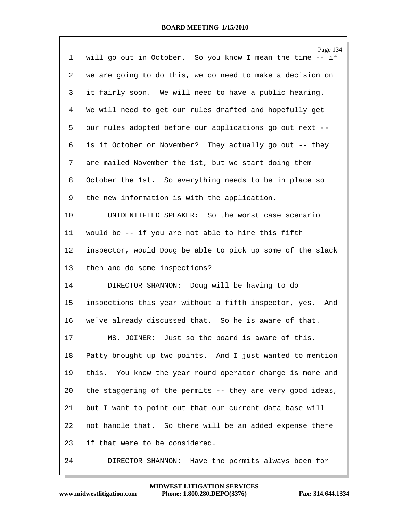|    | Page 134                                                     |
|----|--------------------------------------------------------------|
| 1  | will go out in October. So you know I mean the time -- if    |
| 2  | we are going to do this, we do need to make a decision on    |
| 3  | it fairly soon. We will need to have a public hearing.       |
| 4  | We will need to get our rules drafted and hopefully get      |
| 5  | our rules adopted before our applications go out next --     |
| 6  | is it October or November? They actually go out -- they      |
| 7  | are mailed November the 1st, but we start doing them         |
| 8  | October the 1st. So everything needs to be in place so       |
| 9  | the new information is with the application.                 |
| 10 | UNIDENTIFIED SPEAKER: So the worst case scenario             |
| 11 | would be -- if you are not able to hire this fifth           |
| 12 | inspector, would Doug be able to pick up some of the slack   |
| 13 | then and do some inspections?                                |
| 14 | DIRECTOR SHANNON: Doug will be having to do                  |
| 15 | inspections this year without a fifth inspector, yes.<br>And |
| 16 | we've already discussed that. So he is aware of that.        |
| 17 | MS. JOINER: Just so the board is aware of this.              |
| 18 | Patty brought up two points. And I just wanted to mention    |
| 19 | this. You know the year round operator charge is more and    |
| 20 | the staggering of the permits -- they are very good ideas,   |
| 21 | but I want to point out that our current data base will      |
| 22 | not handle that. So there will be an added expense there     |
| 23 | if that were to be considered.                               |
| 24 | Have the permits always been for<br>DIRECTOR SHANNON:        |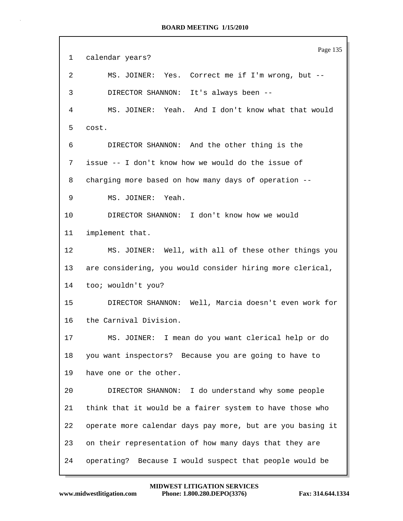Page 135 1 calendar years? 2 MS. JOINER: Yes. Correct me if I'm wrong, but -- 3 DIRECTOR SHANNON: It's always been -- 4 MS. JOINER: Yeah. And I don't know what that would 5 cost. 6 DIRECTOR SHANNON: And the other thing is the 7 issue -- I don't know how we would do the issue of 8 charging more based on how many days of operation -- 9 MS. JOINER: Yeah. 10 DIRECTOR SHANNON: I don't know how we would 11 implement that. 12 MS. JOINER: Well, with all of these other things you 13 are considering, you would consider hiring more clerical, 14 too; wouldn't you? 15 DIRECTOR SHANNON: Well, Marcia doesn't even work for 16 the Carnival Division. 17 MS. JOINER: I mean do you want clerical help or do 18 you want inspectors? Because you are going to have to 19 have one or the other. 20 DIRECTOR SHANNON: I do understand why some people 21 think that it would be a fairer system to have those who 22 operate more calendar days pay more, but are you basing it 23 on their representation of how many days that they are 24 operating? Because I would suspect that people would be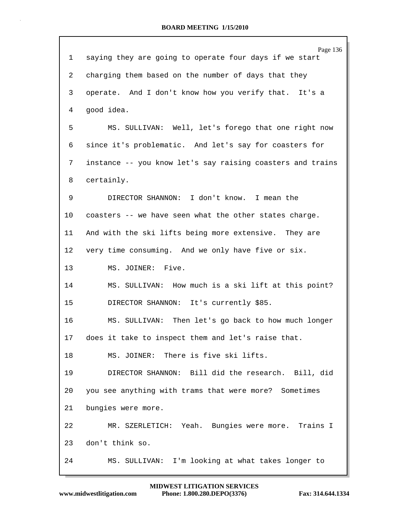|              | Page 136                                                   |
|--------------|------------------------------------------------------------|
| $\mathbf{1}$ | saying they are going to operate four days if we start     |
| 2            | charging them based on the number of days that they        |
| 3            | operate. And I don't know how you verify that. It's a      |
| 4            | good idea.                                                 |
| 5            | MS. SULLIVAN: Well, let's forego that one right now        |
| 6            | since it's problematic. And let's say for coasters for     |
| 7            | instance -- you know let's say raising coasters and trains |
| 8            | certainly.                                                 |
| 9            | DIRECTOR SHANNON: I don't know. I mean the                 |
| $10 \,$      | coasters -- we have seen what the other states charge.     |
| 11           | And with the ski lifts being more extensive. They are      |
| $12 \,$      | very time consuming. And we only have five or six.         |
| 13           | MS. JOINER: Five.                                          |
| 14           | MS. SULLIVAN: How much is a ski lift at this point?        |
| 15           | DIRECTOR SHANNON: It's currently \$85.                     |
| 16           | MS. SULLIVAN: Then let's go back to how much longer        |
| 17           | does it take to inspect them and let's raise that.         |
| 18           | MS. JOINER: There is five ski lifts.                       |
| 19           | DIRECTOR SHANNON: Bill did the research. Bill, did         |
| 20           | you see anything with trams that were more? Sometimes      |
| 21           | bungies were more.                                         |
| 22           | MR. SZERLETICH: Yeah. Bungies were more. Trains I          |
| 23           | don't think so.                                            |
| 24           | MS. SULLIVAN: I'm looking at what takes longer to          |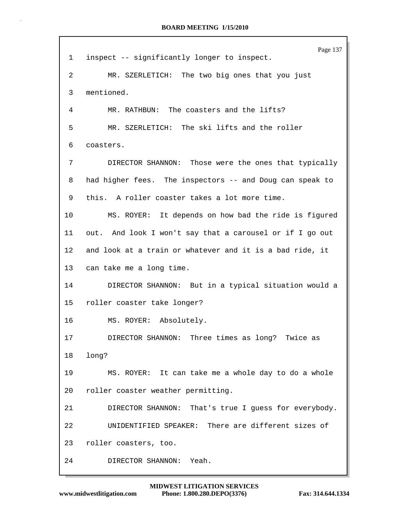|    | Page 137                                                 |
|----|----------------------------------------------------------|
| 1  | inspect -- significantly longer to inspect.              |
| 2  | MR. SZERLETICH: The two big ones that you just           |
| 3  | mentioned.                                               |
| 4  | MR. RATHBUN: The coasters and the lifts?                 |
| 5  | MR. SZERLETICH: The ski lifts and the roller             |
| 6  | coasters.                                                |
| 7  | DIRECTOR SHANNON: Those were the ones that typically     |
| 8  | had higher fees. The inspectors -- and Doug can speak to |
| 9  | this. A roller coaster takes a lot more time.            |
| 10 | MS. ROYER: It depends on how bad the ride is figured     |
| 11 | out. And look I won't say that a carousel or if I go out |
| 12 | and look at a train or whatever and it is a bad ride, it |
| 13 | can take me a long time.                                 |
| 14 | DIRECTOR SHANNON: But in a typical situation would a     |
| 15 | roller coaster take longer?                              |
| 16 | MS. ROYER: Absolutely.                                   |
| 17 | DIRECTOR SHANNON: Three times as long? Twice as          |
| 18 | long?                                                    |
| 19 | MS. ROYER: It can take me a whole day to do a whole      |
| 20 | roller coaster weather permitting.                       |
| 21 | DIRECTOR SHANNON: That's true I guess for everybody.     |
| 22 | UNIDENTIFIED SPEAKER: There are different sizes of       |
| 23 | roller coasters, too.                                    |
| 24 | DIRECTOR SHANNON: Yeah.                                  |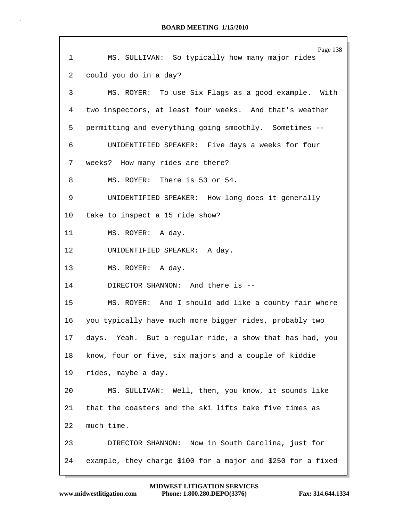| $\mathbf 1$ | Page 138<br>MS. SULLIVAN: So typically how many major rides  |
|-------------|--------------------------------------------------------------|
| 2           | could you do in a day?                                       |
|             |                                                              |
| 3           | MS. ROYER: To use Six Flags as a good example. With          |
| 4           | two inspectors, at least four weeks. And that's weather      |
| 5           | permitting and everything going smoothly. Sometimes --       |
| 6           | UNIDENTIFIED SPEAKER: Five days a weeks for four             |
| 7           | weeks? How many rides are there?                             |
| 8           | MS. ROYER: There is 53 or 54.                                |
| 9           | UNIDENTIFIED SPEAKER: How long does it generally             |
| 10          | take to inspect a 15 ride show?                              |
| 11          | MS. ROYER: A day.                                            |
| 12          | UNIDENTIFIED SPEAKER: A day.                                 |
| 13          | MS. ROYER: A day.                                            |
| 14          | DIRECTOR SHANNON: And there is --                            |
| 15          | MS. ROYER: And I should add like a county fair where         |
| 16          | you typically have much more bigger rides, probably two      |
| 17          | days. Yeah. But a regular ride, a show that has had, you     |
| 18          | know, four or five, six majors and a couple of kiddie        |
| 19          | rides, maybe a day.                                          |
| 20          | MS. SULLIVAN: Well, then, you know, it sounds like           |
| 21          | that the coasters and the ski lifts take five times as       |
| 22          | much time.                                                   |
| 23          | DIRECTOR SHANNON: Now in South Carolina, just for            |
| 24          | example, they charge \$100 for a major and \$250 for a fixed |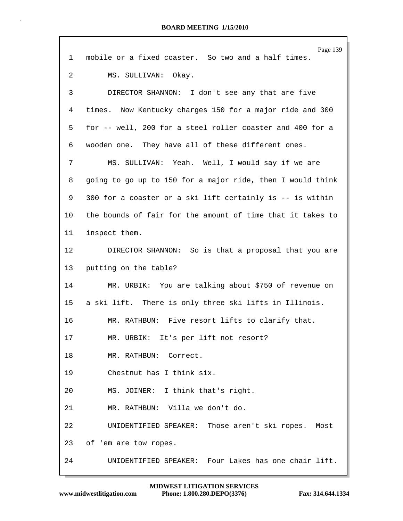| 1               | Page 139<br>mobile or a fixed coaster. So two and a half times. |
|-----------------|-----------------------------------------------------------------|
| 2               | MS. SULLIVAN: Okay.                                             |
| 3               | DIRECTOR SHANNON: I don't see any that are five                 |
| 4               | times. Now Kentucky charges 150 for a major ride and 300        |
| 5               | for -- well, 200 for a steel roller coaster and 400 for a       |
| 6               | wooden one. They have all of these different ones.              |
| 7               | MS. SULLIVAN: Yeah. Well, I would say if we are                 |
| 8               | going to go up to 150 for a major ride, then I would think      |
| 9               | 300 for a coaster or a ski lift certainly is -- is within       |
| 10              | the bounds of fair for the amount of time that it takes to      |
| 11              | inspect them.                                                   |
| 12 <sub>2</sub> | DIRECTOR SHANNON: So is that a proposal that you are            |
| 13              | putting on the table?                                           |
| 14              | MR. URBIK: You are talking about \$750 of revenue on            |
| 15              | a ski lift. There is only three ski lifts in Illinois.          |
| 16              | MR. RATHBUN: Five resort lifts to clarify that.                 |
| 17              | MR. URBIK: It's per lift not resort?                            |
| 18              | MR. RATHBUN: Correct.                                           |
| 19              | Chestnut has I think six.                                       |
| 20              | MS. JOINER: I think that's right.                               |
| 21              | MR. RATHBUN: Villa we don't do.                                 |
| 22              | UNIDENTIFIED SPEAKER: Those aren't ski ropes. Most              |
| 23              | of 'em are tow ropes.                                           |
| 24              | UNIDENTIFIED SPEAKER: Four Lakes has one chair lift.            |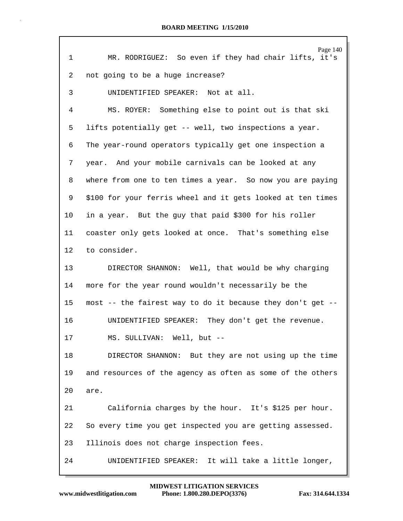| $\mathbf 1$     | Page 140<br>MR. RODRIGUEZ: So even if they had chair lifts, it's |
|-----------------|------------------------------------------------------------------|
| 2               | not going to be a huge increase?                                 |
| 3               | UNIDENTIFIED SPEAKER: Not at all.                                |
| 4               | MS. ROYER: Something else to point out is that ski               |
| 5               | lifts potentially get -- well, two inspections a year.           |
| 6               | The year-round operators typically get one inspection a          |
| 7               | year. And your mobile carnivals can be looked at any             |
| 8               | where from one to ten times a year. So now you are paying        |
| 9               | \$100 for your ferris wheel and it gets looked at ten times      |
| 10              | in a year. But the guy that paid \$300 for his roller            |
| 11              | coaster only gets looked at once. That's something else          |
| $12 \,$         | to consider.                                                     |
| 13 <sup>°</sup> | DIRECTOR SHANNON: Well, that would be why charging               |
| 14              | more for the year round wouldn't necessarily be the              |
| 15 <sub>1</sub> | most -- the fairest way to do it because they don't get --       |
| 16              | UNIDENTIFIED SPEAKER: They don't get the revenue.                |
| 17              | MS. SULLIVAN: Well, but --                                       |
| 18              | DIRECTOR SHANNON: But they are not using up the time             |
| 19              | and resources of the agency as often as some of the others       |
| 20              | are.                                                             |
| 21              | California charges by the hour. It's \$125 per hour.             |
| 22              | So every time you get inspected you are getting assessed.        |
| 23              | Illinois does not charge inspection fees.                        |
| 24              | UNIDENTIFIED SPEAKER: It will take a little longer,              |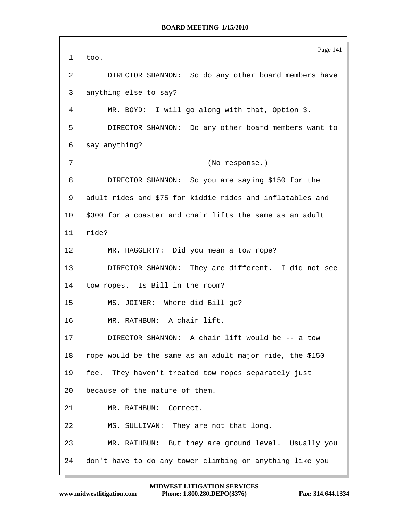Page 141 1 too. 2 DIRECTOR SHANNON: So do any other board members have 3 anything else to say? 4 MR. BOYD: I will go along with that, Option 3. 5 DIRECTOR SHANNON: Do any other board members want to 6 say anything? 7 (No response.) 8 DIRECTOR SHANNON: So you are saying \$150 for the 9 adult rides and \$75 for kiddie rides and inflatables and 10 \$300 for a coaster and chair lifts the same as an adult 11 ride? 12 MR. HAGGERTY: Did you mean a tow rope? 13 DIRECTOR SHANNON: They are different. I did not see 14 tow ropes. Is Bill in the room? 15 MS. JOINER: Where did Bill go? 16 MR. RATHBUN: A chair lift. 17 DIRECTOR SHANNON: A chair lift would be -- a tow 18 rope would be the same as an adult major ride, the \$150 19 fee. They haven't treated tow ropes separately just 20 because of the nature of them. 21 MR. RATHBUN: Correct. 22 MS. SULLIVAN: They are not that long. 23 MR. RATHBUN: But they are ground level. Usually you 24 don't have to do any tower climbing or anything like you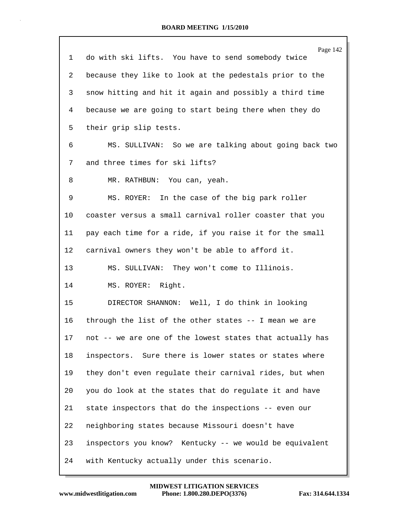|              | Page 142                                                 |
|--------------|----------------------------------------------------------|
| $\mathbf{1}$ | do with ski lifts. You have to send somebody twice       |
| 2            | because they like to look at the pedestals prior to the  |
| 3            | snow hitting and hit it again and possibly a third time  |
| 4            | because we are going to start being there when they do   |
| 5            | their grip slip tests.                                   |
| 6            | MS. SULLIVAN: So we are talking about going back two     |
| 7            | and three times for ski lifts?                           |
| 8            | MR. RATHBUN: You can, yeah.                              |
| 9            | MS. ROYER: In the case of the big park roller            |
| 10           | coaster versus a small carnival roller coaster that you  |
| 11           | pay each time for a ride, if you raise it for the small  |
| 12           | carnival owners they won't be able to afford it.         |
| 13           | MS. SULLIVAN: They won't come to Illinois.               |
| 14           | MS. ROYER: Right.                                        |
| 15           | DIRECTOR SHANNON: Well, I do think in looking            |
| 16           | through the list of the other states -- I mean we are    |
| 17           | not -- we are one of the lowest states that actually has |
| 18           | inspectors. Sure there is lower states or states where   |
| 19           | they don't even regulate their carnival rides, but when  |
| 20           | you do look at the states that do regulate it and have   |
| 21           | state inspectors that do the inspections -- even our     |
| 22           | neighboring states because Missouri doesn't have         |
| 23           | inspectors you know? Kentucky -- we would be equivalent  |
| 24           | with Kentucky actually under this scenario.              |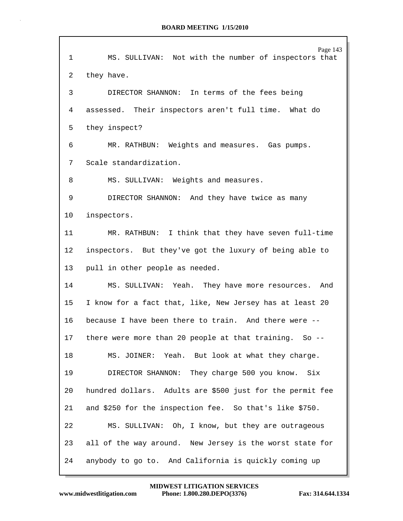| $\mathbf 1$ | Page 143<br>MS. SULLIVAN: Not with the number of inspectors that |
|-------------|------------------------------------------------------------------|
| 2           | they have.                                                       |
| 3           | DIRECTOR SHANNON: In terms of the fees being                     |
| 4           | assessed. Their inspectors aren't full time. What do             |
| 5           | they inspect?                                                    |
| 6           | MR. RATHBUN: Weights and measures. Gas pumps.                    |
| 7           | Scale standardization.                                           |
| 8           | MS. SULLIVAN: Weights and measures.                              |
| 9           | DIRECTOR SHANNON: And they have twice as many                    |
| 10          | inspectors.                                                      |
| 11          | MR. RATHBUN: I think that they have seven full-time              |
| 12          | inspectors. But they've got the luxury of being able to          |
| 13          | pull in other people as needed.                                  |
| 14          | MS. SULLIVAN: Yeah. They have more resources. And                |
| 15          | I know for a fact that, like, New Jersey has at least 20         |
| 16          | because I have been there to train. And there were --            |
| 17          | there were more than 20 people at that training. So --           |
| 18          | MS. JOINER: Yeah. But look at what they charge.                  |
| 19          | DIRECTOR SHANNON: They charge 500 you know. Six                  |
| 20          | hundred dollars. Adults are \$500 just for the permit fee        |
| 21          | and \$250 for the inspection fee. So that's like \$750.          |
|             |                                                                  |
| 22          | MS. SULLIVAN: Oh, I know, but they are outrageous                |
| 23          | all of the way around. New Jersey is the worst state for         |
| 24          | anybody to go to. And California is quickly coming up            |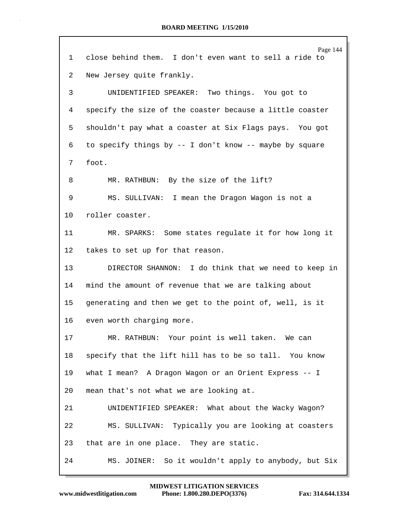|                 | Page 144                                                 |
|-----------------|----------------------------------------------------------|
| 1               | close behind them. I don't even want to sell a ride to   |
| 2               | New Jersey quite frankly.                                |
| 3               | UNIDENTIFIED SPEAKER: Two things. You got to             |
| 4               | specify the size of the coaster because a little coaster |
| 5               | shouldn't pay what a coaster at Six Flags pays. You got  |
| 6               | to specify things by -- I don't know -- maybe by square  |
| 7               | foot.                                                    |
| 8               | MR. RATHBUN: By the size of the lift?                    |
| 9               | MS. SULLIVAN: I mean the Dragon Wagon is not a           |
| 10 <sup>°</sup> | roller coaster.                                          |
| 11              | MR. SPARKS: Some states regulate it for how long it      |
| 12              | takes to set up for that reason.                         |
| 13              | DIRECTOR SHANNON: I do think that we need to keep in     |
| 14              | mind the amount of revenue that we are talking about     |
| 15 <sub>1</sub> | generating and then we get to the point of, well, is it  |
| 16              | even worth charging more.                                |
| 17              | MR. RATHBUN: Your point is well taken. We can            |
| 18              | specify that the lift hill has to be so tall. You know   |
| 19              | what I mean? A Dragon Wagon or an Orient Express -- I    |
| 20              | mean that's not what we are looking at.                  |
| 21              | UNIDENTIFIED SPEAKER: What about the Wacky Wagon?        |
| 22              | MS. SULLIVAN: Typically you are looking at coasters      |
| 23              | that are in one place. They are static.                  |
| 24              | MS. JOINER: So it wouldn't apply to anybody, but Six     |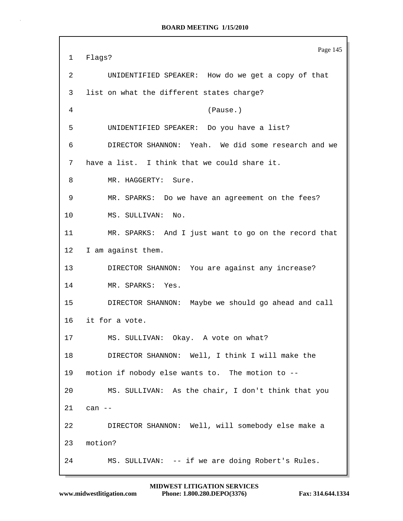```
Page 145
1 Flags?
2 UNIDENTIFIED SPEAKER: How do we get a copy of that
3 list on what the different states charge?
4 (Pause.)
5 UNIDENTIFIED SPEAKER: Do you have a list?
6 DIRECTOR SHANNON: Yeah. We did some research and we
7 have a list. I think that we could share it.
8 MR. HAGGERTY: Sure.
9 MR. SPARKS: Do we have an agreement on the fees?
10 MS. SULLIVAN: No.
11 MR. SPARKS: And I just want to go on the record that
12 I am against them.
13 DIRECTOR SHANNON: You are against any increase?
14 MR. SPARKS: Yes.
15 DIRECTOR SHANNON: Maybe we should go ahead and call
16 it for a vote.
17 MS. SULLIVAN: Okay. A vote on what?
18 DIRECTOR SHANNON: Well, I think I will make the
19 motion if nobody else wants to. The motion to --
20 MS. SULLIVAN: As the chair, I don't think that you
21 can --
22 DIRECTOR SHANNON: Well, will somebody else make a
23 motion?
24 MS. SULLIVAN: -- if we are doing Robert's Rules.
```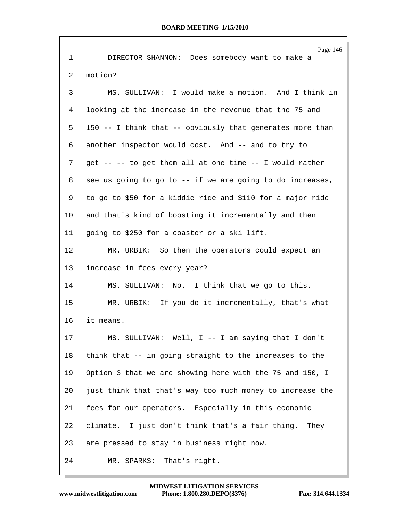|             | Page 146                                                   |
|-------------|------------------------------------------------------------|
| $\mathbf 1$ | DIRECTOR SHANNON: Does somebody want to make a             |
| 2           | motion?                                                    |
| 3           | MS. SULLIVAN: I would make a motion. And I think in        |
| 4           | looking at the increase in the revenue that the 75 and     |
| 5           | 150 -- I think that -- obviously that generates more than  |
| 6           | another inspector would cost. And -- and to try to         |
| 7           | get -- -- to get them all at one time -- I would rather    |
| 8           | see us going to go to -- if we are going to do increases,  |
| 9           | to go to \$50 for a kiddie ride and \$110 for a major ride |
| 10          | and that's kind of boosting it incrementally and then      |
| 11          | going to \$250 for a coaster or a ski lift.                |
| 12          | MR. URBIK: So then the operators could expect an           |
| 13          | increase in fees every year?                               |
| 14          | MS. SULLIVAN: No. I think that we go to this.              |
| 15          | MR. URBIK: If you do it incrementally, that's what         |
| 16          | it means.                                                  |
| 17          | MS. SULLIVAN: Well, I -- I am saying that I don't          |
| 18          | think that -- in going straight to the increases to the    |
| 19          | Option 3 that we are showing here with the 75 and 150, I   |
| 20          | just think that that's way too much money to increase the  |
| 21          | fees for our operators. Especially in this economic        |
| 22          | climate. I just don't think that's a fair thing. They      |
| 23          | are pressed to stay in business right now.                 |
| 24          | That's right.<br>MR. SPARKS:                               |

Г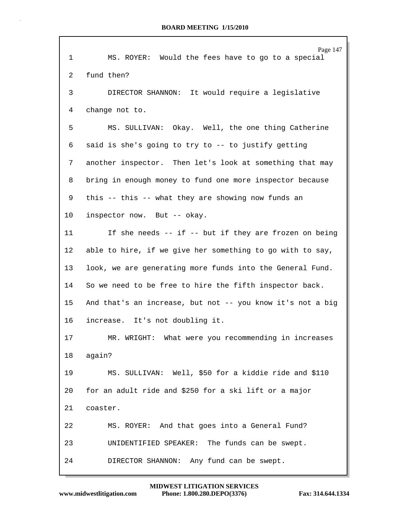| $\mathbf{1}$ | Page 147<br>MS. ROYER: Would the fees have to go to a special |  |  |  |  |
|--------------|---------------------------------------------------------------|--|--|--|--|
| 2            | fund then?                                                    |  |  |  |  |
| 3            | DIRECTOR SHANNON: It would require a legislative              |  |  |  |  |
| 4            | change not to.                                                |  |  |  |  |
| 5            | MS. SULLIVAN: Okay. Well, the one thing Catherine             |  |  |  |  |
| 6            | said is she's going to try to -- to justify getting           |  |  |  |  |
| 7            | another inspector. Then let's look at something that may      |  |  |  |  |
| 8            | bring in enough money to fund one more inspector because      |  |  |  |  |
| 9            | this -- this -- what they are showing now funds an            |  |  |  |  |
| 10           | inspector now. But -- okay.                                   |  |  |  |  |
| 11           | If she needs -- if -- but if they are frozen on being         |  |  |  |  |
| $12 \,$      | able to hire, if we give her something to go with to say,     |  |  |  |  |
| 13           | look, we are generating more funds into the General Fund.     |  |  |  |  |
| 14           | So we need to be free to hire the fifth inspector back.       |  |  |  |  |
| 15           | And that's an increase, but not -- you know it's not a big    |  |  |  |  |
| 16           | increase. It's not doubling it.                               |  |  |  |  |
| 17           | MR. WRIGHT: What were you recommending in increases           |  |  |  |  |
| 18           | again?                                                        |  |  |  |  |
| 19           | MS. SULLIVAN: Well, \$50 for a kiddie ride and \$110          |  |  |  |  |
| 20           | for an adult ride and \$250 for a ski lift or a major         |  |  |  |  |
| 21           | coaster.                                                      |  |  |  |  |
| 22           | MS. ROYER: And that goes into a General Fund?                 |  |  |  |  |
| 23           | UNIDENTIFIED SPEAKER: The funds can be swept.                 |  |  |  |  |
| 24           | Any fund can be swept.<br>DIRECTOR SHANNON:                   |  |  |  |  |

г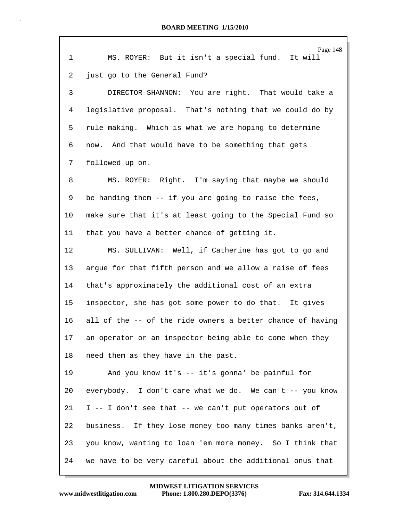|             | Page 148                                                   |
|-------------|------------------------------------------------------------|
| $\mathbf 1$ | MS. ROYER: But it isn't a special fund. It will            |
| 2           | just go to the General Fund?                               |
| 3           | DIRECTOR SHANNON: You are right. That would take a         |
| 4           | legislative proposal. That's nothing that we could do by   |
| 5           | rule making. Which is what we are hoping to determine      |
| 6           | now. And that would have to be something that gets         |
| 7           | followed up on.                                            |
| 8           | MS. ROYER: Right. I'm saying that maybe we should          |
| 9           | be handing them -- if you are going to raise the fees,     |
| 10          | make sure that it's at least going to the Special Fund so  |
| 11          | that you have a better chance of getting it.               |
| 12          | MS. SULLIVAN: Well, if Catherine has got to go and         |
| 13          | argue for that fifth person and we allow a raise of fees   |
| 14          | that's approximately the additional cost of an extra       |
| 15          | inspector, she has got some power to do that. It gives     |
| 16          | all of the -- of the ride owners a better chance of having |
| 17          | an operator or an inspector being able to come when they   |
| 18          | need them as they have in the past.                        |
| 19          | And you know it's -- it's gonna' be painful for            |
| 20          | everybody. I don't care what we do. We can't -- you know   |
| 21          | I -- I don't see that -- we can't put operators out of     |
| 22          | business. If they lose money too many times banks aren't,  |
| 23          | you know, wanting to loan 'em more money. So I think that  |
| 24          | we have to be very careful about the additional onus that  |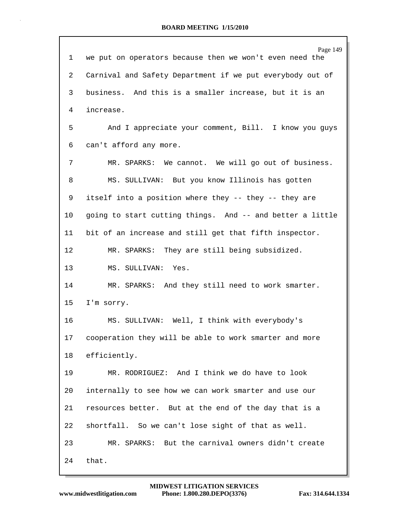|                 | Page 149                                                  |  |  |  |
|-----------------|-----------------------------------------------------------|--|--|--|
| 1               | we put on operators because then we won't even need the   |  |  |  |
| 2               | Carnival and Safety Department if we put everybody out of |  |  |  |
| 3               | business. And this is a smaller increase, but it is an    |  |  |  |
| 4               | increase.                                                 |  |  |  |
| 5               | And I appreciate your comment, Bill. I know you guys      |  |  |  |
| 6               | can't afford any more.                                    |  |  |  |
| 7               | MR. SPARKS: We cannot. We will go out of business.        |  |  |  |
| 8               | MS. SULLIVAN: But you know Illinois has gotten            |  |  |  |
| 9               | itself into a position where they -- they -- they are     |  |  |  |
| 10              | going to start cutting things. And -- and better a little |  |  |  |
| 11              | bit of an increase and still get that fifth inspector.    |  |  |  |
| 12              | MR. SPARKS: They are still being subsidized.              |  |  |  |
| 13              | MS. SULLIVAN: Yes.                                        |  |  |  |
| 14              | MR. SPARKS: And they still need to work smarter.          |  |  |  |
| 15              | I'm sorry.                                                |  |  |  |
| 16              | MS. SULLIVAN: Well, I think with everybody's              |  |  |  |
| 17 <sub>2</sub> | cooperation they will be able to work smarter and more    |  |  |  |
| 18              | efficiently.                                              |  |  |  |
| 19              | MR. RODRIGUEZ: And I think we do have to look             |  |  |  |
| 20              | internally to see how we can work smarter and use our     |  |  |  |
| 21              | resources better. But at the end of the day that is a     |  |  |  |
| 22              | shortfall. So we can't lose sight of that as well.        |  |  |  |
| 23              | MR. SPARKS: But the carnival owners didn't create         |  |  |  |
| 24              | that.                                                     |  |  |  |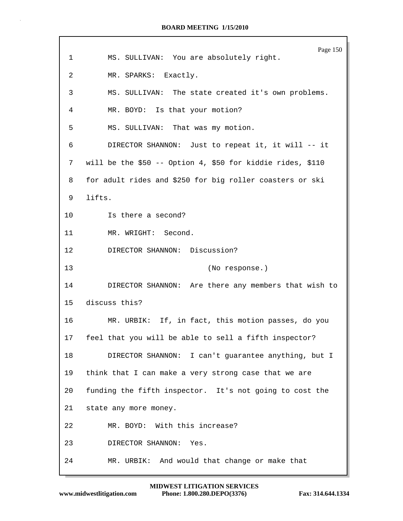|             | Page 150                                                   |  |  |  |  |
|-------------|------------------------------------------------------------|--|--|--|--|
| $\mathbf 1$ | MS. SULLIVAN: You are absolutely right.                    |  |  |  |  |
| 2           | MR. SPARKS: Exactly.                                       |  |  |  |  |
| 3           | MS. SULLIVAN: The state created it's own problems.         |  |  |  |  |
| 4           | MR. BOYD: Is that your motion?                             |  |  |  |  |
| 5           | MS. SULLIVAN: That was my motion.                          |  |  |  |  |
| 6           | DIRECTOR SHANNON: Just to repeat it, it will -- it         |  |  |  |  |
| 7           | will be the \$50 -- Option 4, \$50 for kiddie rides, \$110 |  |  |  |  |
| 8           | for adult rides and \$250 for big roller coasters or ski   |  |  |  |  |
| 9           | lifts.                                                     |  |  |  |  |
| 10          | Is there a second?                                         |  |  |  |  |
| 11          | MR. WRIGHT: Second.                                        |  |  |  |  |
| 12          | DIRECTOR SHANNON: Discussion?                              |  |  |  |  |
| 13          | (No response.)                                             |  |  |  |  |
| 14          | DIRECTOR SHANNON: Are there any members that wish to       |  |  |  |  |
| 15          | discuss this?                                              |  |  |  |  |
| 16          | MR. URBIK: If, in fact, this motion passes, do you         |  |  |  |  |
| 17          | feel that you will be able to sell a fifth inspector?      |  |  |  |  |
| 18          | DIRECTOR SHANNON: I can't guarantee anything, but I        |  |  |  |  |
| 19          | think that I can make a very strong case that we are       |  |  |  |  |
| 20          | funding the fifth inspector. It's not going to cost the    |  |  |  |  |
| 21          | state any more money.                                      |  |  |  |  |
| 22          | MR. BOYD: With this increase?                              |  |  |  |  |
| 23          | DIRECTOR SHANNON: Yes.                                     |  |  |  |  |
| 24          | MR. URBIK: And would that change or make that              |  |  |  |  |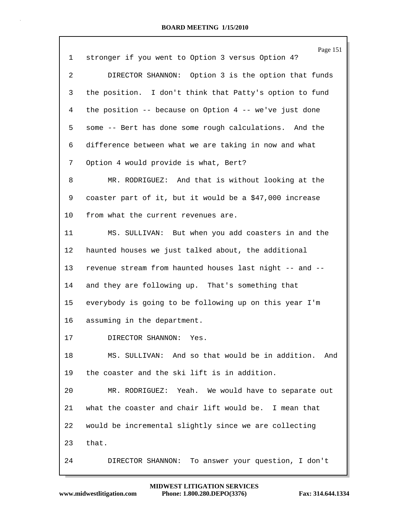|    | Page 151                                                |
|----|---------------------------------------------------------|
| 1  | stronger if you went to Option 3 versus Option 4?       |
| 2  | DIRECTOR SHANNON: Option 3 is the option that funds     |
| 3  | the position. I don't think that Patty's option to fund |
| 4  | the position -- because on Option 4 -- we've just done  |
| 5  | some -- Bert has done some rough calculations. And the  |
| 6  | difference between what we are taking in now and what   |
| 7  | Option 4 would provide is what, Bert?                   |
| 8  | MR. RODRIGUEZ: And that is without looking at the       |
| 9  | coaster part of it, but it would be a \$47,000 increase |
| 10 | from what the current revenues are.                     |
| 11 | MS. SULLIVAN: But when you add coasters in and the      |
| 12 | haunted houses we just talked about, the additional     |
| 13 | revenue stream from haunted houses last night -- and -- |
| 14 | and they are following up. That's something that        |
| 15 | everybody is going to be following up on this year I'm  |
| 16 | assuming in the department.                             |
| 17 | DIRECTOR SHANNON: Yes                                   |
| 18 | MS. SULLIVAN: And so that would be in addition.<br>And  |
| 19 | the coaster and the ski lift is in addition.            |
| 20 | MR. RODRIGUEZ: Yeah. We would have to separate out      |
| 21 | what the coaster and chair lift would be. I mean that   |
| 22 | would be incremental slightly since we are collecting   |
| 23 | that.                                                   |
| 24 | To answer your question, I don't<br>DIRECTOR SHANNON:   |

 $\Gamma$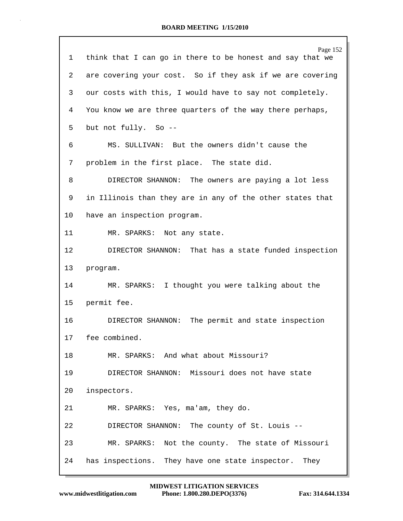## **BOARD MEETING 1/15/2010**

| Page 152<br>think that I can go in there to be honest and say that we |  |  |  |  |
|-----------------------------------------------------------------------|--|--|--|--|
| are covering your cost. So if they ask if we are covering             |  |  |  |  |
| our costs with this, I would have to say not completely.              |  |  |  |  |
| You know we are three quarters of the way there perhaps,              |  |  |  |  |
| but not fully. So --                                                  |  |  |  |  |
| MS. SULLIVAN: But the owners didn't cause the                         |  |  |  |  |
| problem in the first place. The state did.                            |  |  |  |  |
| DIRECTOR SHANNON: The owners are paying a lot less                    |  |  |  |  |
| in Illinois than they are in any of the other states that             |  |  |  |  |
| have an inspection program.                                           |  |  |  |  |
| MR. SPARKS: Not any state.                                            |  |  |  |  |
| DIRECTOR SHANNON: That has a state funded inspection                  |  |  |  |  |
| program.                                                              |  |  |  |  |
| MR. SPARKS: I thought you were talking about the                      |  |  |  |  |
| permit fee.                                                           |  |  |  |  |
| DIRECTOR SHANNON: The permit and state inspection                     |  |  |  |  |
| fee combined.                                                         |  |  |  |  |
| MR. SPARKS: And what about Missouri?                                  |  |  |  |  |
| DIRECTOR SHANNON: Missouri does not have state                        |  |  |  |  |
| inspectors.                                                           |  |  |  |  |
| MR. SPARKS: Yes, ma'am, they do.                                      |  |  |  |  |
| DIRECTOR SHANNON: The county of St. Louis --                          |  |  |  |  |
| MR. SPARKS: Not the county. The state of Missouri                     |  |  |  |  |
|                                                                       |  |  |  |  |
|                                                                       |  |  |  |  |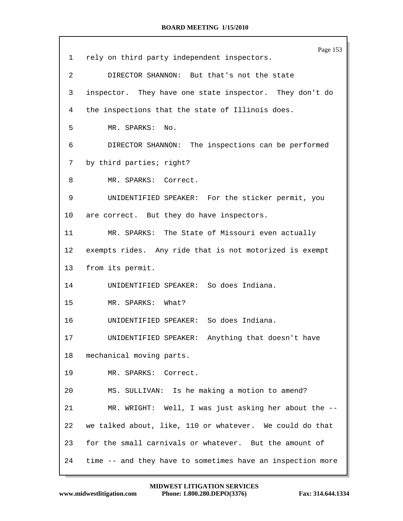|                 | Page 153                                                   |  |  |  |  |
|-----------------|------------------------------------------------------------|--|--|--|--|
| 1               | rely on third party independent inspectors.                |  |  |  |  |
| 2               | DIRECTOR SHANNON: But that's not the state                 |  |  |  |  |
| 3               | inspector. They have one state inspector. They don't do    |  |  |  |  |
| 4               | the inspections that the state of Illinois does.           |  |  |  |  |
| 5               | MR. SPARKS: No.                                            |  |  |  |  |
| 6               | DIRECTOR SHANNON: The inspections can be performed         |  |  |  |  |
| 7               | by third parties; right?                                   |  |  |  |  |
| 8               | MR. SPARKS: Correct.                                       |  |  |  |  |
| 9               | UNIDENTIFIED SPEAKER: For the sticker permit, you          |  |  |  |  |
| 10              | are correct. But they do have inspectors.                  |  |  |  |  |
| 11              | MR. SPARKS: The State of Missouri even actually            |  |  |  |  |
| 12 <sup>°</sup> | exempts rides. Any ride that is not motorized is exempt    |  |  |  |  |
| 13              | from its permit.                                           |  |  |  |  |
| 14              | UNIDENTIFIED SPEAKER: So does Indiana.                     |  |  |  |  |
| 15              | MR. SPARKS: What?                                          |  |  |  |  |
| 16              | UNIDENTIFIED SPEAKER: So does Indiana.                     |  |  |  |  |
| 17              | UNIDENTIFIED SPEAKER: Anything that doesn't have           |  |  |  |  |
| 18              | mechanical moving parts.                                   |  |  |  |  |
| 19              | MR. SPARKS: Correct.                                       |  |  |  |  |
| 20              | MS. SULLIVAN: Is he making a motion to amend?              |  |  |  |  |
| 21              | MR. WRIGHT: Well, I was just asking her about the --       |  |  |  |  |
| 22              | we talked about, like, 110 or whatever. We could do that   |  |  |  |  |
| 23              | for the small carnivals or whatever. But the amount of     |  |  |  |  |
| 24              | time -- and they have to sometimes have an inspection more |  |  |  |  |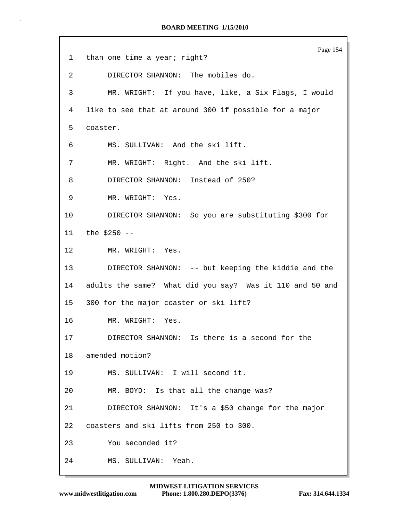Page 154 1 than one time a year; right? 2 DIRECTOR SHANNON: The mobiles do. 3 MR. WRIGHT: If you have, like, a Six Flags, I would 4 like to see that at around 300 if possible for a major 5 coaster. 6 MS. SULLIVAN: And the ski lift. 7 MR. WRIGHT: Right. And the ski lift. 8 DIRECTOR SHANNON: Instead of 250? 9 MR. WRIGHT: Yes. 10 DIRECTOR SHANNON: So you are substituting \$300 for 11 the \$250 -- 12 MR. WRIGHT: Yes. 13 DIRECTOR SHANNON: -- but keeping the kiddie and the 14 adults the same? What did you say? Was it 110 and 50 and 15 300 for the major coaster or ski lift? 16 MR. WRIGHT: Yes. 17 DIRECTOR SHANNON: Is there is a second for the 18 amended motion? 19 MS. SULLIVAN: I will second it. 20 MR. BOYD: Is that all the change was? 21 DIRECTOR SHANNON: It's a \$50 change for the major 22 coasters and ski lifts from 250 to 300. 23 You seconded it? 24 MS. SULLIVAN: Yeah.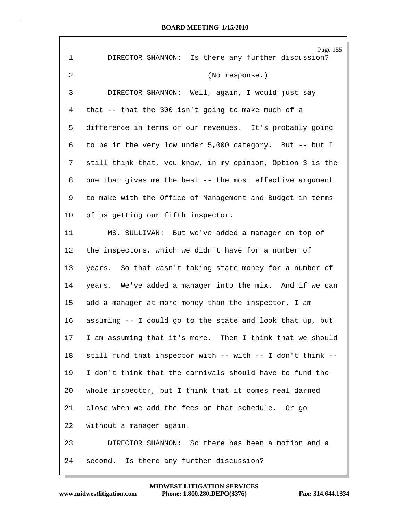| $\mathbf 1$ | Page 155<br>Is there any further discussion?<br>DIRECTOR SHANNON: |
|-------------|-------------------------------------------------------------------|
|             |                                                                   |
| 2           | (No response.)                                                    |
| 3           | DIRECTOR SHANNON: Well, again, I would just say                   |
| 4           | that -- that the 300 isn't going to make much of a                |
| 5           | difference in terms of our revenues. It's probably going          |
| 6           | to be in the very low under 5,000 category. But -- but I          |
| 7           | still think that, you know, in my opinion, Option 3 is the        |
| 8           | one that gives me the best -- the most effective argument         |
| 9           | to make with the Office of Management and Budget in terms         |
| 10          | of us getting our fifth inspector.                                |
| 11          | MS. SULLIVAN: But we've added a manager on top of                 |
| 12          | the inspectors, which we didn't have for a number of              |
| 13          | years. So that wasn't taking state money for a number of          |
| 14          | years. We've added a manager into the mix. And if we can          |
| 15          | add a manager at more money than the inspector, I am              |
| 16          | assuming -- I could go to the state and look that up, but         |
| 17          | I am assuming that it's more. Then I think that we should         |
| 18          | still fund that inspector with -- with -- I don't think --        |
| 19          | I don't think that the carnivals should have to fund the          |
| 20          | whole inspector, but I think that it comes real darned            |
| 21          | close when we add the fees on that schedule. Or go                |
| 22          | without a manager again.                                          |
| 23          | DIRECTOR SHANNON: So there has been a motion and a                |
| 24          | second. Is there any further discussion?                          |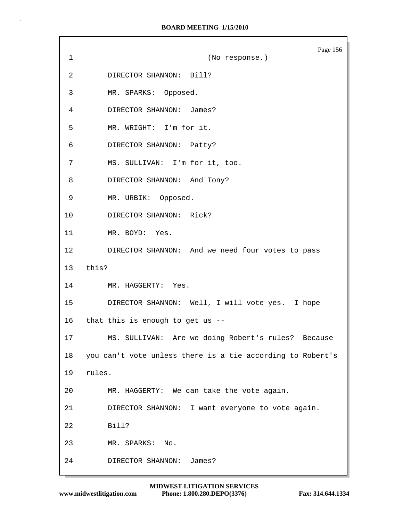## **BOARD MEETING 1/15/2010**

Page 156 1 (No response.) 2 DIRECTOR SHANNON: Bill? 3 MR. SPARKS: Opposed. 4 DIRECTOR SHANNON: James? 5 MR. WRIGHT: I'm for it. 6 DIRECTOR SHANNON: Patty? 7 MS. SULLIVAN: I'm for it, too. 8 DIRECTOR SHANNON: And Tony? 9 MR. URBIK: Opposed. 10 DIRECTOR SHANNON: Rick? 11 MR. BOYD: Yes. 12 DIRECTOR SHANNON: And we need four votes to pass 13 this? 14 MR. HAGGERTY: Yes. 15 DIRECTOR SHANNON: Well, I will vote yes. I hope 16 that this is enough to get us -- 17 MS. SULLIVAN: Are we doing Robert's rules? Because 18 you can't vote unless there is a tie according to Robert's 19 rules. 20 MR. HAGGERTY: We can take the vote again. 21 DIRECTOR SHANNON: I want everyone to vote again. 22 Bill? 23 MR. SPARKS: No. 24 DIRECTOR SHANNON: James?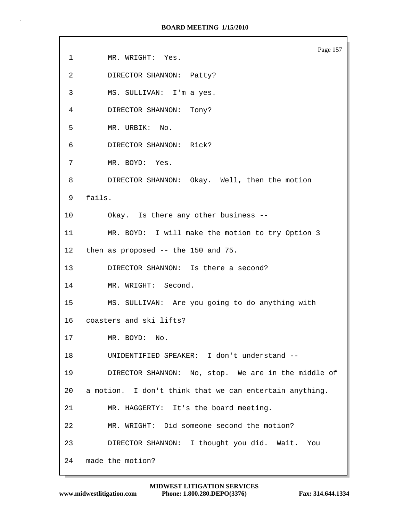Page 157 1 MR. WRIGHT: Yes. 2 DIRECTOR SHANNON: Patty? 3 MS. SULLIVAN: I'm a yes. 4 DIRECTOR SHANNON: Tony? 5 MR. URBIK: No. 6 DIRECTOR SHANNON: Rick? 7 MR. BOYD: Yes. 8 DIRECTOR SHANNON: Okay. Well, then the motion 9 fails. 10 Okay. Is there any other business -- 11 MR. BOYD: I will make the motion to try Option 3 12 then as proposed -- the 150 and 75. 13 DIRECTOR SHANNON: Is there a second? 14 MR. WRIGHT: Second. 15 MS. SULLIVAN: Are you going to do anything with 16 coasters and ski lifts? 17 MR. BOYD: No. 18 UNIDENTIFIED SPEAKER: I don't understand -- 19 DIRECTOR SHANNON: No, stop. We are in the middle of 20 a motion. I don't think that we can entertain anything. 21 MR. HAGGERTY: It's the board meeting. 22 MR. WRIGHT: Did someone second the motion? 23 DIRECTOR SHANNON: I thought you did. Wait. You 24 made the motion?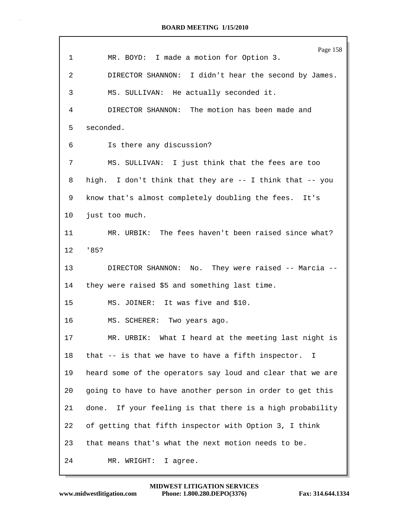## **BOARD MEETING 1/15/2010**

|             | Page 158                                                           |  |  |  |
|-------------|--------------------------------------------------------------------|--|--|--|
| $\mathbf 1$ | MR. BOYD: I made a motion for Option 3.                            |  |  |  |
| 2           | DIRECTOR SHANNON: I didn't hear the second by James.               |  |  |  |
| 3           | MS. SULLIVAN: He actually seconded it.                             |  |  |  |
| 4           | DIRECTOR SHANNON: The motion has been made and                     |  |  |  |
| 5           | seconded.                                                          |  |  |  |
| 6           | Is there any discussion?                                           |  |  |  |
| 7           | MS. SULLIVAN: I just think that the fees are too                   |  |  |  |
| 8           | high. I don't think that they are -- I think that -- you           |  |  |  |
| 9           | know that's almost completely doubling the fees. It's              |  |  |  |
| $10 \,$     | just too much.                                                     |  |  |  |
| 11          | MR. URBIK: The fees haven't been raised since what?                |  |  |  |
| 12          | '85?                                                               |  |  |  |
| 13          | DIRECTOR SHANNON: No. They were raised -- Marcia --                |  |  |  |
| 14          | they were raised \$5 and something last time.                      |  |  |  |
| 15          | MS. JOINER: It was five and \$10.                                  |  |  |  |
| 16          | MS. SCHERER: Two years ago.                                        |  |  |  |
| 17          | MR. URBIK: What I heard at the meeting last night is               |  |  |  |
| 18          | that -- is that we have to have a fifth inspector.<br>$\mathbf{I}$ |  |  |  |
| 19          | heard some of the operators say loud and clear that we are         |  |  |  |
| 20          | going to have to have another person in order to get this          |  |  |  |
| 21          | done. If your feeling is that there is a high probability          |  |  |  |
| 22          | of getting that fifth inspector with Option 3, I think             |  |  |  |
| 23          | that means that's what the next motion needs to be.                |  |  |  |
| 24          | I agree.<br>MR. WRIGHT:                                            |  |  |  |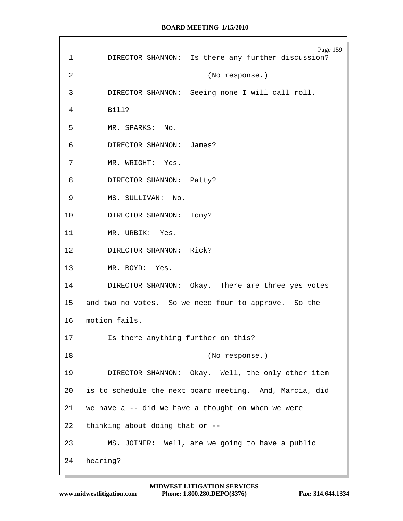| 1              | Page 159<br>DIRECTOR SHANNON: Is there any further discussion?             |  |  |  |
|----------------|----------------------------------------------------------------------------|--|--|--|
| $\overline{2}$ | (No response.)                                                             |  |  |  |
| 3              | DIRECTOR SHANNON: Seeing none I will call roll.                            |  |  |  |
| 4              | Bill?                                                                      |  |  |  |
| 5              | MR. SPARKS: No.                                                            |  |  |  |
| 6              | DIRECTOR SHANNON: James?                                                   |  |  |  |
| 7              | MR. WRIGHT: Yes.                                                           |  |  |  |
| 8              | DIRECTOR SHANNON: Patty?                                                   |  |  |  |
| 9              | MS. SULLIVAN: No.                                                          |  |  |  |
| 10             | DIRECTOR SHANNON: Tony?                                                    |  |  |  |
| 11             | MR. URBIK: Yes.                                                            |  |  |  |
| 12             | DIRECTOR SHANNON: Rick?                                                    |  |  |  |
| 13             | MR. BOYD: Yes.                                                             |  |  |  |
|                | DIRECTOR SHANNON: Okay. There are three yes votes<br>14 and $\overline{a}$ |  |  |  |
|                | 15 and two no votes. So we need four to approve. So the                    |  |  |  |
|                | 16 motion fails.                                                           |  |  |  |
| 17             | Is there anything further on this?                                         |  |  |  |
| 18             | (No response.)                                                             |  |  |  |
| 19             | DIRECTOR SHANNON: Okay. Well, the only other item                          |  |  |  |
| 20             | is to schedule the next board meeting. And, Marcia, did                    |  |  |  |
| 21             | we have $a$ -- did we have a thought on when we were                       |  |  |  |
| 22             | thinking about doing that or --                                            |  |  |  |
| 23             | MS. JOINER: Well, are we going to have a public                            |  |  |  |
| 24             | hearing?                                                                   |  |  |  |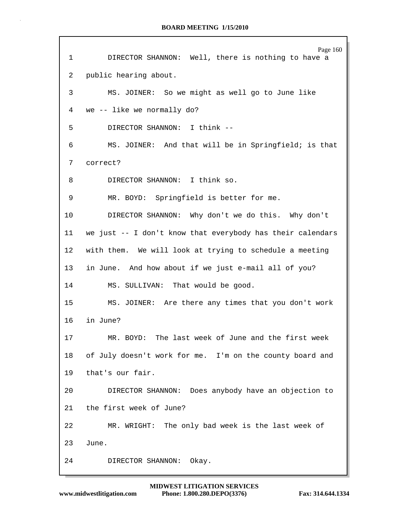Page 160 1 DIRECTOR SHANNON: Well, there is nothing to have a 2 public hearing about. 3 MS. JOINER: So we might as well go to June like 4 we -- like we normally do? 5 DIRECTOR SHANNON: I think -- 6 MS. JOINER: And that will be in Springfield; is that 7 correct? 8 DIRECTOR SHANNON: I think so. 9 MR. BOYD: Springfield is better for me. 10 DIRECTOR SHANNON: Why don't we do this. Why don't 11 we just -- I don't know that everybody has their calendars 12 with them. We will look at trying to schedule a meeting 13 in June. And how about if we just e-mail all of you? 14 MS. SULLIVAN: That would be good. 15 MS. JOINER: Are there any times that you don't work 16 in June? 17 MR. BOYD: The last week of June and the first week 18 of July doesn't work for me. I'm on the county board and 19 that's our fair. 20 DIRECTOR SHANNON: Does anybody have an objection to 21 the first week of June? 22 MR. WRIGHT: The only bad week is the last week of 23 June. 24 DIRECTOR SHANNON: Okay.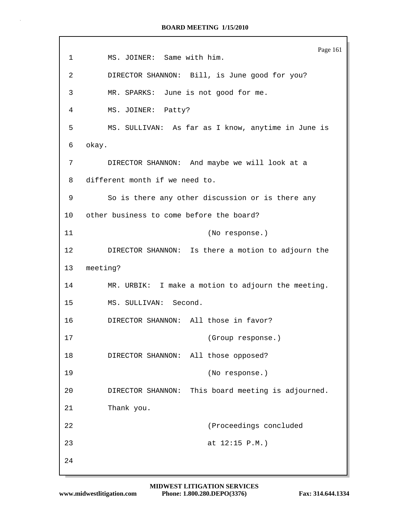Page 161 1 MS. JOINER: Same with him. 2 DIRECTOR SHANNON: Bill, is June good for you? 3 MR. SPARKS: June is not good for me. 4 MS. JOINER: Patty? 5 MS. SULLIVAN: As far as I know, anytime in June is 6 okay. 7 DIRECTOR SHANNON: And maybe we will look at a 8 different month if we need to. 9 So is there any other discussion or is there any 10 other business to come before the board? 11 (No response.) 12 DIRECTOR SHANNON: Is there a motion to adjourn the 13 meeting? 14 MR. URBIK: I make a motion to adjourn the meeting. 15 MS. SULLIVAN: Second. 16 DIRECTOR SHANNON: All those in favor? 17 (Group response.) 18 DIRECTOR SHANNON: All those opposed? 19 (No response.) 20 DIRECTOR SHANNON: This board meeting is adjourned. 21 Thank you. 22 (Proceedings concluded 23 at 12:15 P.M.) 24